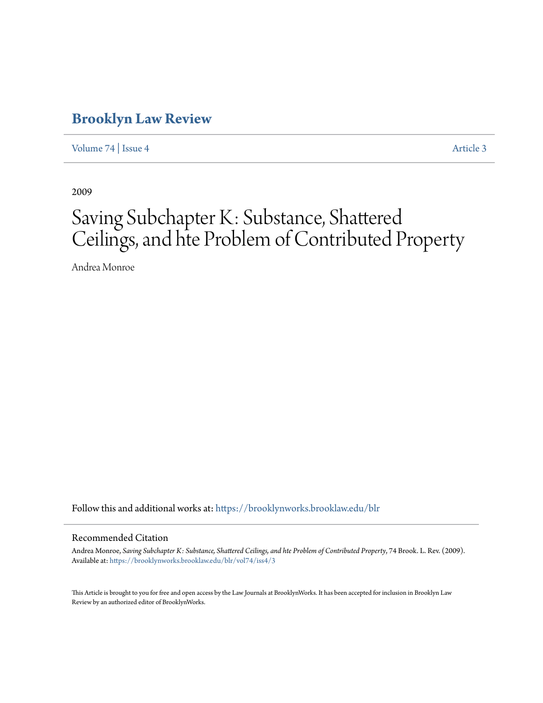# **[Brooklyn Law Review](https://brooklynworks.brooklaw.edu/blr?utm_source=brooklynworks.brooklaw.edu%2Fblr%2Fvol74%2Fiss4%2F3&utm_medium=PDF&utm_campaign=PDFCoverPages)**

[Volume 74](https://brooklynworks.brooklaw.edu/blr/vol74?utm_source=brooklynworks.brooklaw.edu%2Fblr%2Fvol74%2Fiss4%2F3&utm_medium=PDF&utm_campaign=PDFCoverPages) | [Issue 4](https://brooklynworks.brooklaw.edu/blr/vol74/iss4?utm_source=brooklynworks.brooklaw.edu%2Fblr%2Fvol74%2Fiss4%2F3&utm_medium=PDF&utm_campaign=PDFCoverPages) [Article 3](https://brooklynworks.brooklaw.edu/blr/vol74/iss4/3?utm_source=brooklynworks.brooklaw.edu%2Fblr%2Fvol74%2Fiss4%2F3&utm_medium=PDF&utm_campaign=PDFCoverPages)

2009

# Saving Subchapter K: Substance, Shattered Ceilings, and hte Problem of Contributed Property

Andrea Monroe

Follow this and additional works at: [https://brooklynworks.brooklaw.edu/blr](https://brooklynworks.brooklaw.edu/blr?utm_source=brooklynworks.brooklaw.edu%2Fblr%2Fvol74%2Fiss4%2F3&utm_medium=PDF&utm_campaign=PDFCoverPages)

# Recommended Citation

Andrea Monroe, *Saving Subchapter K: Substance, Shattered Ceilings, and hte Problem of Contributed Property*, 74 Brook. L. Rev. (2009). Available at: [https://brooklynworks.brooklaw.edu/blr/vol74/iss4/3](https://brooklynworks.brooklaw.edu/blr/vol74/iss4/3?utm_source=brooklynworks.brooklaw.edu%2Fblr%2Fvol74%2Fiss4%2F3&utm_medium=PDF&utm_campaign=PDFCoverPages)

This Article is brought to you for free and open access by the Law Journals at BrooklynWorks. It has been accepted for inclusion in Brooklyn Law Review by an authorized editor of BrooklynWorks.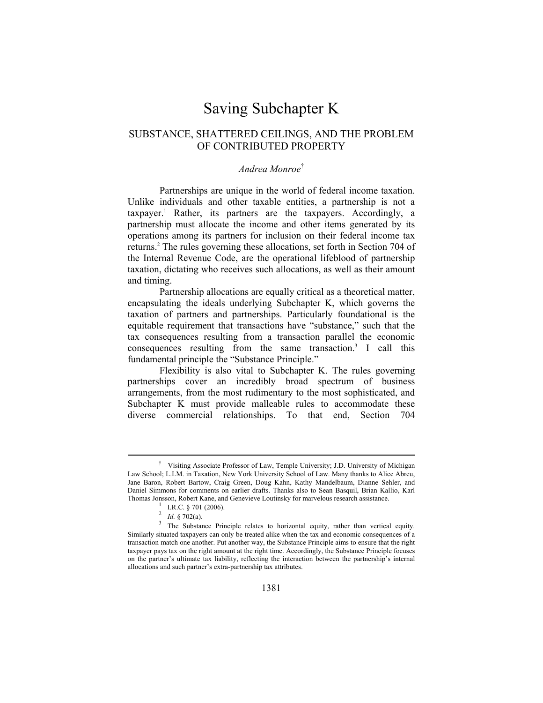# Saving Subchapter K

# SUBSTANCE, SHATTERED CEILINGS, AND THE PROBLEM OF CONTRIBUTED PROPERTY

# *Andrea Monroe*†

Partnerships are unique in the world of federal income taxation. Unlike individuals and other taxable entities, a partnership is not a taxpayer.1 Rather, its partners are the taxpayers. Accordingly, a partnership must allocate the income and other items generated by its operations among its partners for inclusion on their federal income tax returns.<sup>2</sup> The rules governing these allocations, set forth in Section 704 of the Internal Revenue Code, are the operational lifeblood of partnership taxation, dictating who receives such allocations, as well as their amount and timing.

Partnership allocations are equally critical as a theoretical matter, encapsulating the ideals underlying Subchapter K, which governs the taxation of partners and partnerships. Particularly foundational is the equitable requirement that transactions have "substance," such that the tax consequences resulting from a transaction parallel the economic consequences resulting from the same transaction.<sup>3</sup> I call this fundamental principle the "Substance Principle."

Flexibility is also vital to Subchapter K. The rules governing partnerships cover an incredibly broad spectrum of business arrangements, from the most rudimentary to the most sophisticated, and Subchapter K must provide malleable rules to accommodate these diverse commercial relationships. To that end, Section 704

 <sup>†</sup> Visiting Associate Professor of Law, Temple University; J.D. University of Michigan Law School; L.LM. in Taxation, New York University School of Law. Many thanks to Alice Abreu, Jane Baron, Robert Bartow, Craig Green, Doug Kahn, Kathy Mandelbaum, Dianne Sehler, and Daniel Simmons for comments on earlier drafts. Thanks also to Sean Basquil, Brian Kallio, Karl Thomas Jonsson, Robert Kane, and Genevieve Loutinsky for marvelous research assistance.<br>
<sup>1</sup> I.R.C. § 701 (2006).<br>
<sup>2</sup> *Id.* § 702(a).<br>
<sup>3</sup> The Substance Principle relates to horizontal equity, rather than vertical equity.

Similarly situated taxpayers can only be treated alike when the tax and economic consequences of a transaction match one another. Put another way, the Substance Principle aims to ensure that the right taxpayer pays tax on the right amount at the right time. Accordingly, the Substance Principle focuses on the partner's ultimate tax liability, reflecting the interaction between the partnership's internal allocations and such partner's extra-partnership tax attributes.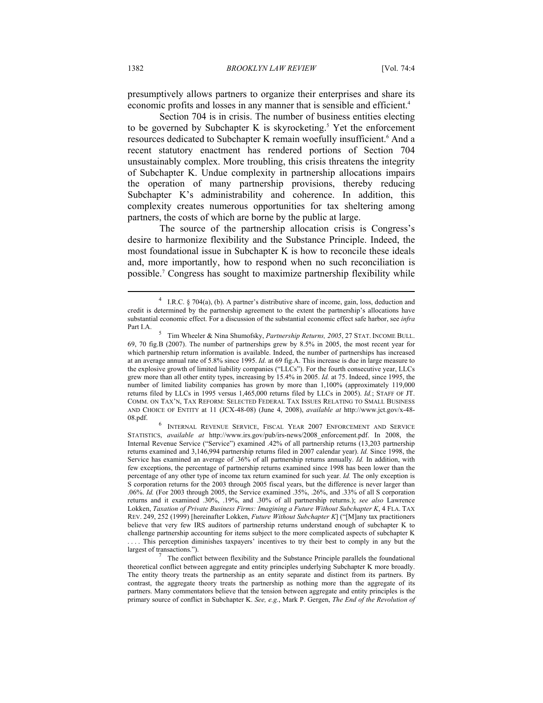presumptively allows partners to organize their enterprises and share its economic profits and losses in any manner that is sensible and efficient.<sup>4</sup>

Section 704 is in crisis. The number of business entities electing to be governed by Subchapter K is skyrocketing.<sup>5</sup> Yet the enforcement resources dedicated to Subchapter K remain woefully insufficient.<sup>6</sup> And a recent statutory enactment has rendered portions of Section 704 unsustainably complex. More troubling, this crisis threatens the integrity of Subchapter K. Undue complexity in partnership allocations impairs the operation of many partnership provisions, thereby reducing Subchapter K's administrability and coherence. In addition, this complexity creates numerous opportunities for tax sheltering among partners, the costs of which are borne by the public at large.

The source of the partnership allocation crisis is Congress's desire to harmonize flexibility and the Substance Principle. Indeed, the most foundational issue in Subchapter K is how to reconcile these ideals and, more importantly, how to respond when no such reconciliation is possible.7 Congress has sought to maximize partnership flexibility while

<sup>4</sup> I.R.C. § 704(a), (b). A partner's distributive share of income, gain, loss, deduction and credit is determined by the partnership agreement to the extent the partnership's allocations have substantial economic effect. For a discussion of the substantial economic effect safe harbor, see *infra*  Part I.A.

Tim Wheeler & Nina Shumofsky, *Partnership Returns, 2005*, 27 STAT. INCOME BULL. 69, 70 fig.B (2007). The number of partnerships grew by 8.5% in 2005, the most recent year for which partnership return information is available. Indeed, the number of partnerships has increased at an average annual rate of 5.8% since 1995. *Id.* at 69 fig.A. This increase is due in large measure to the explosive growth of limited liability companies ("LLCs"). For the fourth consecutive year, LLCs grew more than all other entity types, increasing by 15.4% in 2005. *Id.* at 75. Indeed, since 1995, the number of limited liability companies has grown by more than 1,100% (approximately 119,000 returns filed by LLCs in 1995 versus 1,465,000 returns filed by LLCs in 2005). *Id.*; STAFF OF JT. COMM. ON TAX'N, TAX REFORM: SELECTED FEDERAL TAX ISSUES RELATING TO SMALL BUSINESS AND CHOICE OF ENTITY at 11 (JCX-48-08) (June 4, 2008), *available at* http://www.jct.gov/x-48- 08.pdf. 6

INTERNAL REVENUE SERVICE, FISCAL YEAR 2007 ENFORCEMENT AND SERVICE STATISTICS, *available at* http://www.irs.gov/pub/irs-news/2008\_enforcement.pdf. In 2008, the Internal Revenue Service ("Service") examined .42% of all partnership returns (13,203 partnership returns examined and 3,146,994 partnership returns filed in 2007 calendar year). *Id.* Since 1998, the Service has examined an average of .36% of all partnership returns annually. *Id.* In addition, with few exceptions, the percentage of partnership returns examined since 1998 has been lower than the percentage of any other type of income tax return examined for such year. *Id.* The only exception is S corporation returns for the 2003 through 2005 fiscal years, but the difference is never larger than .06%. *Id.* (For 2003 through 2005, the Service examined .35%, .26%, and .33% of all S corporation returns and it examined .30%, .19%, and .30% of all partnership returns.); *see also* Lawrence Lokken, *Taxation of Private Business Firms: Imagining a Future Without Subchapter K*, 4 FLA. TAX REV. 249, 252 (1999) [hereinafter Lokken, *Future Without Subchapter K*] ("[M]any tax practitioners believe that very few IRS auditors of partnership returns understand enough of subchapter K to challenge partnership accounting for items subject to the more complicated aspects of subchapter K . . . . This perception diminishes taxpayers' incentives to try their best to comply in any but the largest of transactions.").

The conflict between flexibility and the Substance Principle parallels the foundational theoretical conflict between aggregate and entity principles underlying Subchapter K more broadly. The entity theory treats the partnership as an entity separate and distinct from its partners. By contrast, the aggregate theory treats the partnership as nothing more than the aggregate of its partners. Many commentators believe that the tension between aggregate and entity principles is the primary source of conflict in Subchapter K. *See, e.g.*, Mark P. Gergen, *The End of the Revolution of*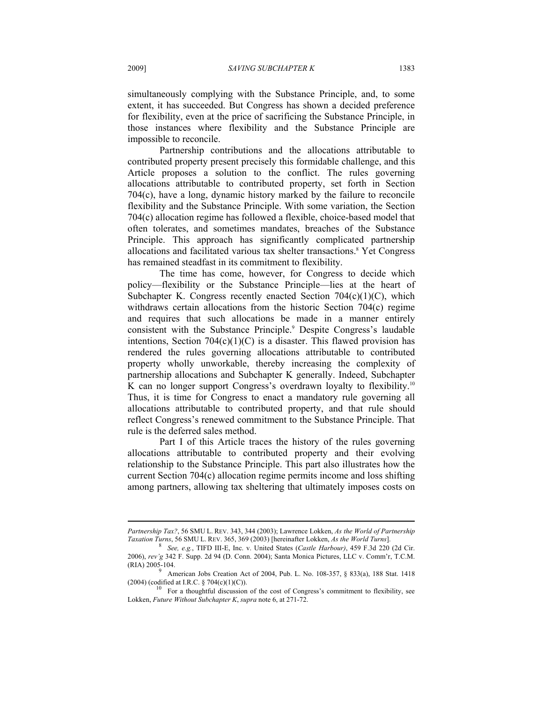simultaneously complying with the Substance Principle, and, to some extent, it has succeeded. But Congress has shown a decided preference for flexibility, even at the price of sacrificing the Substance Principle, in those instances where flexibility and the Substance Principle are impossible to reconcile.

Partnership contributions and the allocations attributable to contributed property present precisely this formidable challenge, and this Article proposes a solution to the conflict. The rules governing allocations attributable to contributed property, set forth in Section 704(c), have a long, dynamic history marked by the failure to reconcile flexibility and the Substance Principle. With some variation, the Section 704(c) allocation regime has followed a flexible, choice-based model that often tolerates, and sometimes mandates, breaches of the Substance Principle. This approach has significantly complicated partnership allocations and facilitated various tax shelter transactions.<sup>8</sup> Yet Congress has remained steadfast in its commitment to flexibility.

The time has come, however, for Congress to decide which policy—flexibility or the Substance Principle—lies at the heart of Subchapter K. Congress recently enacted Section  $704(c)(1)(C)$ , which withdraws certain allocations from the historic Section 704(c) regime and requires that such allocations be made in a manner entirely consistent with the Substance Principle.<sup>9</sup> Despite Congress's laudable intentions, Section  $704(c)(1)(C)$  is a disaster. This flawed provision has rendered the rules governing allocations attributable to contributed property wholly unworkable, thereby increasing the complexity of partnership allocations and Subchapter K generally. Indeed, Subchapter K can no longer support Congress's overdrawn loyalty to flexibility.<sup>10</sup> Thus, it is time for Congress to enact a mandatory rule governing all allocations attributable to contributed property, and that rule should reflect Congress's renewed commitment to the Substance Principle. That rule is the deferred sales method.

Part I of this Article traces the history of the rules governing allocations attributable to contributed property and their evolving relationship to the Substance Principle. This part also illustrates how the current Section 704(c) allocation regime permits income and loss shifting among partners, allowing tax sheltering that ultimately imposes costs on

*Partnership Tax?*, 56 SMU L. REV. 343, 344 (2003); Lawrence Lokken, *As the World of Partnership Taxation Turns*, 56 SMU L. REV. 365, 369 (2003) [hereinafter Lokken, *As the World Turns*]. 8

*See, e.g.*, TIFD III-E, Inc. v. United States (*Castle Harbour)*, 459 F.3d 220 (2d Cir. 2006), *rev'g* 342 F. Supp. 2d 94 (D. Conn. 2004); Santa Monica Pictures, LLC v. Comm'r, T.C.M. (RIA) 2005-104.

<sup>&</sup>lt;sup>9</sup> American Jobs Creation Act of 2004, Pub. L. No. 108-357, § 833(a), 188 Stat. 1418 (2004) (codified at I.R.C. § 704(c)(1)(C)).

 $^{10}$  For a thoughtful discussion of the cost of Congress's commitment to flexibility, see Lokken, *Future Without Subchapter K*, *supra* note 6, at 271-72.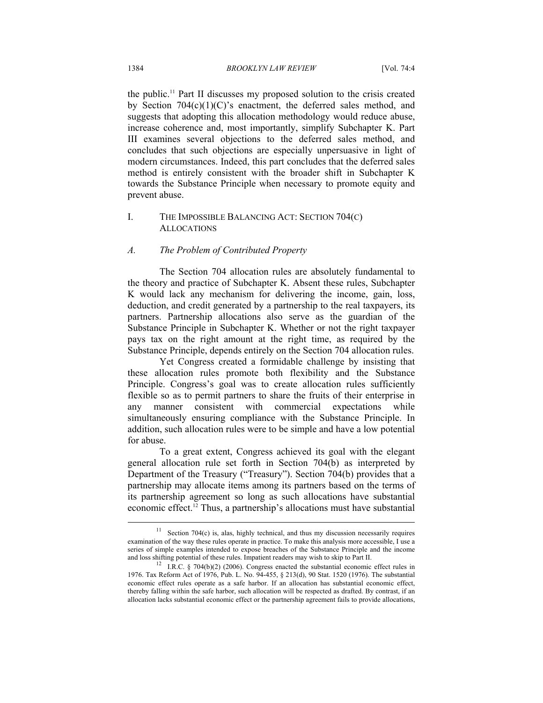the public.11 Part II discusses my proposed solution to the crisis created by Section  $704(c)(1)(C)$ 's enactment, the deferred sales method, and suggests that adopting this allocation methodology would reduce abuse, increase coherence and, most importantly, simplify Subchapter K. Part III examines several objections to the deferred sales method, and concludes that such objections are especially unpersuasive in light of modern circumstances. Indeed, this part concludes that the deferred sales method is entirely consistent with the broader shift in Subchapter K towards the Substance Principle when necessary to promote equity and prevent abuse.

# I. THE IMPOSSIBLE BALANCING ACT: SECTION 704(C) ALLOCATIONS

#### *A. The Problem of Contributed Property*

The Section 704 allocation rules are absolutely fundamental to the theory and practice of Subchapter K. Absent these rules, Subchapter K would lack any mechanism for delivering the income, gain, loss, deduction, and credit generated by a partnership to the real taxpayers, its partners. Partnership allocations also serve as the guardian of the Substance Principle in Subchapter K. Whether or not the right taxpayer pays tax on the right amount at the right time, as required by the Substance Principle, depends entirely on the Section 704 allocation rules.

Yet Congress created a formidable challenge by insisting that these allocation rules promote both flexibility and the Substance Principle. Congress's goal was to create allocation rules sufficiently flexible so as to permit partners to share the fruits of their enterprise in any manner consistent with commercial expectations while simultaneously ensuring compliance with the Substance Principle. In addition, such allocation rules were to be simple and have a low potential for abuse.

To a great extent, Congress achieved its goal with the elegant general allocation rule set forth in Section 704(b) as interpreted by Department of the Treasury ("Treasury"). Section 704(b) provides that a partnership may allocate items among its partners based on the terms of its partnership agreement so long as such allocations have substantial economic effect.12 Thus, a partnership's allocations must have substantial

 $11$  Section 704(c) is, alas, highly technical, and thus my discussion necessarily requires examination of the way these rules operate in practice. To make this analysis more accessible, I use a series of simple examples intended to expose breaches of the Substance Principle and the income and loss shifting potential of these rules. Impatient readers may wish to skip to Part II.

<sup>&</sup>lt;sup>12</sup> I.R.C. § 704(b)(2) (2006). Congress enacted the substantial economic effect rules in 1976. Tax Reform Act of 1976, Pub. L. No. 94-455, § 213(d), 90 Stat. 1520 (1976). The substantial economic effect rules operate as a safe harbor. If an allocation has substantial economic effect, thereby falling within the safe harbor, such allocation will be respected as drafted. By contrast, if an allocation lacks substantial economic effect or the partnership agreement fails to provide allocations,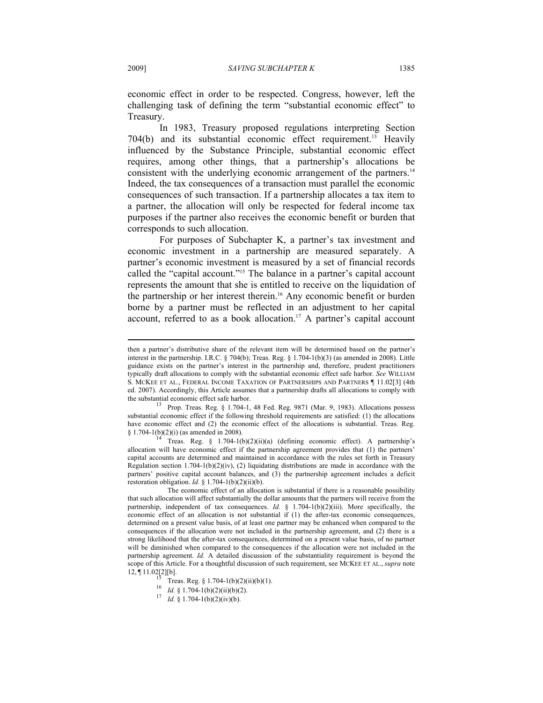economic effect in order to be respected. Congress, however, left the challenging task of defining the term "substantial economic effect" to Treasury.

In 1983, Treasury proposed regulations interpreting Section 704(b) and its substantial economic effect requirement.13 Heavily influenced by the Substance Principle, substantial economic effect requires, among other things, that a partnership's allocations be consistent with the underlying economic arrangement of the partners.<sup>14</sup> Indeed, the tax consequences of a transaction must parallel the economic consequences of such transaction. If a partnership allocates a tax item to a partner, the allocation will only be respected for federal income tax purposes if the partner also receives the economic benefit or burden that corresponds to such allocation.

For purposes of Subchapter K, a partner's tax investment and economic investment in a partnership are measured separately. A partner's economic investment is measured by a set of financial records called the "capital account."15 The balance in a partner's capital account represents the amount that she is entitled to receive on the liquidation of the partnership or her interest therein.<sup>16</sup> Any economic benefit or burden borne by a partner must be reflected in an adjustment to her capital account, referred to as a book allocation.<sup>17</sup> A partner's capital account

then a partner's distributive share of the relevant item will be determined based on the partner's interest in the partnership. I.R.C. § 704(b); Treas. Reg. § 1.704-1(b)(3) (as amended in 2008). Little guidance exists on the partner's interest in the partnership and, therefore, prudent practitioners typically draft allocations to comply with the substantial economic effect safe harbor. *See* WILLIAM S. MCKEE ET AL., FEDERAL INCOME TAXATION OF PARTNERSHIPS AND PARTNERS ¶ 11.02[3] (4th ed. 2007). Accordingly, this Article assumes that a partnership drafts all allocations to comply with the substantial economic effect safe harbor.<br><sup>13</sup> Prop. Treas. Reg. § 1.704-1, 48 Fed. Reg. 9871 (Mar. 9, 1983). Allocations possess

substantial economic effect if the following threshold requirements are satisfied: (1) the allocations have economic effect and (2) the economic effect of the allocations is substantial. Treas. Reg. § 1.704-1(b)(2)(i) (as amended in 2008).<br><sup>14</sup> Treas. Reg. § 1.704-1(b)(2)(ii)(a) (defining economic effect). A partnership's

allocation will have economic effect if the partnership agreement provides that (1) the partners' capital accounts are determined and maintained in accordance with the rules set forth in Treasury Regulation section  $1.704-1(b)(2)(iv)$ , (2) liquidating distributions are made in accordance with the partners' positive capital account balances, and (3) the partnership agreement includes a deficit restoration obligation. *Id.* § 1.704-1(b)(2)(ii)(b).

The economic effect of an allocation is substantial if there is a reasonable possibility that such allocation will affect substantially the dollar amounts that the partners will receive from the partnership, independent of tax consequences. *Id.* § 1.704-1(b)(2)(iii). More specifically, the economic effect of an allocation is not substantial if (1) the after-tax economic consequences, determined on a present value basis, of at least one partner may be enhanced when compared to the consequences if the allocation were not included in the partnership agreement, and (2) there is a strong likelihood that the after-tax consequences, determined on a present value basis, of no partner will be diminished when compared to the consequences if the allocation were not included in the partnership agreement. *Id.* A detailed discussion of the substantiality requirement is beyond the scope of this Article. For a thoughtful discussion of such requirement, see MCKEE ET AL., *supra* note 12,  $\P$  11.02[2][b].<br>
<sup>15</sup> Treas. Reg. § 1.704-1(b)(2)(ii)(b)(1).<br>
<sup>16</sup> *Id.* § 1.704-1(b)(2)(ii)(b)(2).

<sup>17</sup> *Id.* § 1.704-1(b)(2)(iv)(b).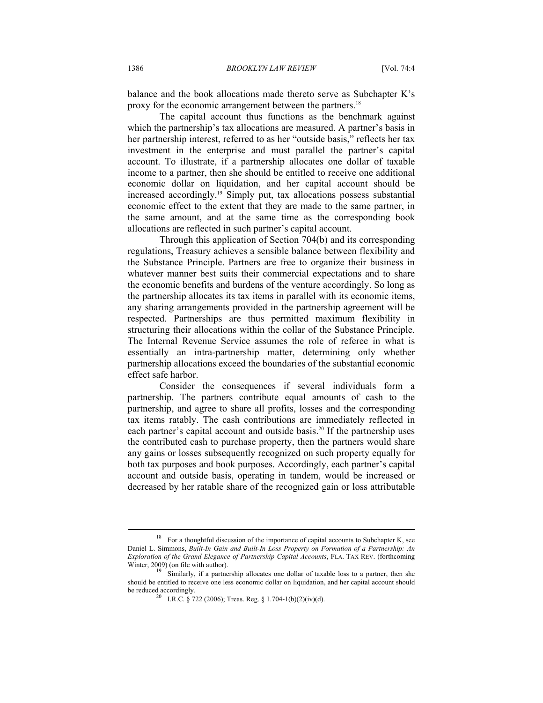balance and the book allocations made thereto serve as Subchapter K's proxy for the economic arrangement between the partners.18

The capital account thus functions as the benchmark against which the partnership's tax allocations are measured. A partner's basis in her partnership interest, referred to as her "outside basis," reflects her tax investment in the enterprise and must parallel the partner's capital account. To illustrate, if a partnership allocates one dollar of taxable income to a partner, then she should be entitled to receive one additional economic dollar on liquidation, and her capital account should be increased accordingly.19 Simply put, tax allocations possess substantial economic effect to the extent that they are made to the same partner, in the same amount, and at the same time as the corresponding book allocations are reflected in such partner's capital account.

Through this application of Section 704(b) and its corresponding regulations, Treasury achieves a sensible balance between flexibility and the Substance Principle. Partners are free to organize their business in whatever manner best suits their commercial expectations and to share the economic benefits and burdens of the venture accordingly. So long as the partnership allocates its tax items in parallel with its economic items, any sharing arrangements provided in the partnership agreement will be respected. Partnerships are thus permitted maximum flexibility in structuring their allocations within the collar of the Substance Principle. The Internal Revenue Service assumes the role of referee in what is essentially an intra-partnership matter, determining only whether partnership allocations exceed the boundaries of the substantial economic effect safe harbor.

Consider the consequences if several individuals form a partnership. The partners contribute equal amounts of cash to the partnership, and agree to share all profits, losses and the corresponding tax items ratably. The cash contributions are immediately reflected in each partner's capital account and outside basis.<sup>20</sup> If the partnership uses the contributed cash to purchase property, then the partners would share any gains or losses subsequently recognized on such property equally for both tax purposes and book purposes. Accordingly, each partner's capital account and outside basis, operating in tandem, would be increased or decreased by her ratable share of the recognized gain or loss attributable

<sup>18</sup> For a thoughtful discussion of the importance of capital accounts to Subchapter K, see Daniel L. Simmons, *Built-In Gain and Built-In Loss Property on Formation of a Partnership: An Exploration of the Grand Elegance of Partnership Capital Accounts*, FLA. TAX REV. (forthcoming Winter,  $2009$ ) (on file with author).<br><sup>19</sup> Similarly, if a partnership allocates one dollar of taxable loss to a partner, then she

should be entitled to receive one less economic dollar on liquidation, and her capital account should be reduced accordingly.

<sup>&</sup>lt;sup>20</sup> I.R.C. § 722 (2006); Treas. Reg. § 1.704-1(b)(2)(iv)(d).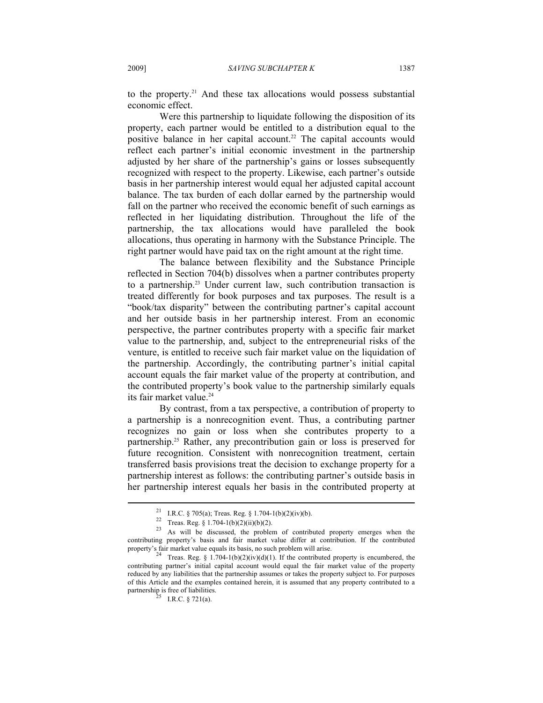to the property.<sup>21</sup> And these tax allocations would possess substantial economic effect.

Were this partnership to liquidate following the disposition of its property, each partner would be entitled to a distribution equal to the positive balance in her capital account.<sup>22</sup> The capital accounts would reflect each partner's initial economic investment in the partnership adjusted by her share of the partnership's gains or losses subsequently recognized with respect to the property. Likewise, each partner's outside basis in her partnership interest would equal her adjusted capital account balance. The tax burden of each dollar earned by the partnership would fall on the partner who received the economic benefit of such earnings as reflected in her liquidating distribution. Throughout the life of the partnership, the tax allocations would have paralleled the book allocations, thus operating in harmony with the Substance Principle. The right partner would have paid tax on the right amount at the right time.

The balance between flexibility and the Substance Principle reflected in Section 704(b) dissolves when a partner contributes property to a partnership.23 Under current law, such contribution transaction is treated differently for book purposes and tax purposes. The result is a "book/tax disparity" between the contributing partner's capital account and her outside basis in her partnership interest. From an economic perspective, the partner contributes property with a specific fair market value to the partnership, and, subject to the entrepreneurial risks of the venture, is entitled to receive such fair market value on the liquidation of the partnership. Accordingly, the contributing partner's initial capital account equals the fair market value of the property at contribution, and the contributed property's book value to the partnership similarly equals its fair market value.<sup>24</sup>

By contrast, from a tax perspective, a contribution of property to a partnership is a nonrecognition event. Thus, a contributing partner recognizes no gain or loss when she contributes property to a partnership.25 Rather, any precontribution gain or loss is preserved for future recognition. Consistent with nonrecognition treatment, certain transferred basis provisions treat the decision to exchange property for a partnership interest as follows: the contributing partner's outside basis in her partnership interest equals her basis in the contributed property at

<sup>&</sup>lt;sup>21</sup> I.R.C. § 705(a); Treas. Reg. § 1.704-1(b)(2)(iv)(b).

 $22$  Treas. Reg. § 1.704-1(b)(2)(ii)(b)(2).

<sup>23</sup> As will be discussed, the problem of contributed property emerges when the contributing property's basis and fair market value differ at contribution. If the contributed

<sup>&</sup>lt;sup>24</sup> Treas. Reg. § 1.704-1(b)(2)(iv)(d)(1). If the contributed property is encumbered, the contributing partner's initial capital account would equal the fair market value of the property reduced by any liabilities that the partnership assumes or takes the property subject to. For purposes of this Article and the examples contained herein, it is assumed that any property contributed to a partnership is free of liabilities.<br><sup>25</sup> I.R.C. § 721(a).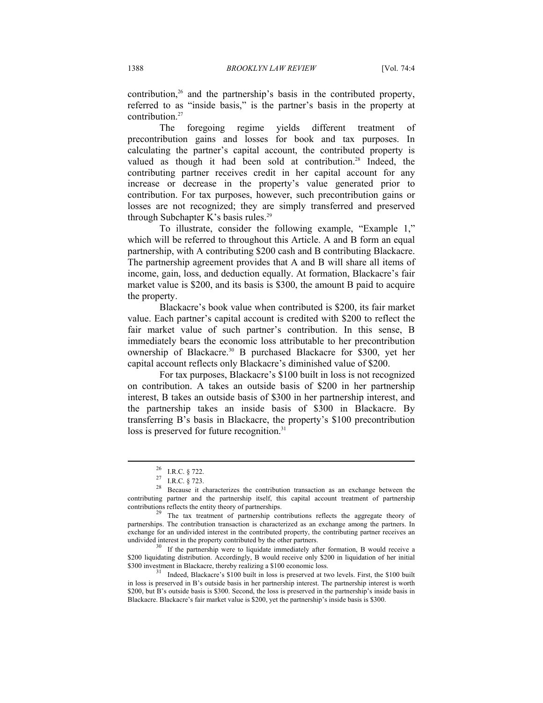contribution, $26$  and the partnership's basis in the contributed property, referred to as "inside basis," is the partner's basis in the property at contribution.<sup>27</sup>

The foregoing regime yields different treatment of precontribution gains and losses for book and tax purposes. In calculating the partner's capital account, the contributed property is valued as though it had been sold at contribution.<sup>28</sup> Indeed, the contributing partner receives credit in her capital account for any increase or decrease in the property's value generated prior to contribution. For tax purposes, however, such precontribution gains or losses are not recognized; they are simply transferred and preserved through Subchapter K's basis rules.<sup>29</sup>

To illustrate, consider the following example, "Example 1," which will be referred to throughout this Article. A and B form an equal partnership, with A contributing \$200 cash and B contributing Blackacre. The partnership agreement provides that A and B will share all items of income, gain, loss, and deduction equally. At formation, Blackacre's fair market value is \$200, and its basis is \$300, the amount B paid to acquire the property.

Blackacre's book value when contributed is \$200, its fair market value. Each partner's capital account is credited with \$200 to reflect the fair market value of such partner's contribution. In this sense, B immediately bears the economic loss attributable to her precontribution ownership of Blackacre.30 B purchased Blackacre for \$300, yet her capital account reflects only Blackacre's diminished value of \$200.

For tax purposes, Blackacre's \$100 built in loss is not recognized on contribution. A takes an outside basis of \$200 in her partnership interest, B takes an outside basis of \$300 in her partnership interest, and the partnership takes an inside basis of \$300 in Blackacre. By transferring B's basis in Blackacre, the property's \$100 precontribution loss is preserved for future recognition.<sup>31</sup>

 $\overline{a}$ 

\$200 liquidating distribution. Accordingly, B would receive only \$200 in liquidation of her initial \$300 investment in Blackacre, thereby realizing a \$100 economic loss.<br><sup>31</sup> Indeed, Blackacre's \$100 built in loss is preserved at two levels. First, the \$100 built

in loss is preserved in B's outside basis in her partnership interest. The partnership interest is worth \$200, but B's outside basis is \$300. Second, the loss is preserved in the partnership's inside basis in Blackacre. Blackacre's fair market value is \$200, yet the partnership's inside basis is \$300.

<sup>26</sup> I.R.C. § 722.

<sup>27</sup> I.R.C. § 723.

<sup>28</sup> Because it characterizes the contribution transaction as an exchange between the contributing partner and the partnership itself, this capital account treatment of partnership

The tax treatment of partnership contributions reflects the aggregate theory of partnerships. The contribution transaction is characterized as an exchange among the partners. In exchange for an undivided interest in the contributed property, the contributing partner receives an undivided interest in the property contributed by the other partners.<br> $30$  If the partnership were to liquidate immediately after formation, B would receive a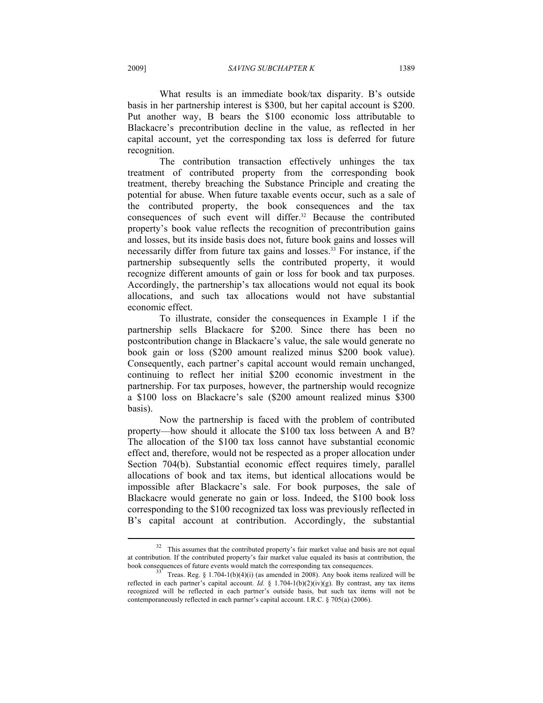What results is an immediate book/tax disparity. B's outside basis in her partnership interest is \$300, but her capital account is \$200. Put another way, B bears the \$100 economic loss attributable to Blackacre's precontribution decline in the value, as reflected in her capital account, yet the corresponding tax loss is deferred for future recognition.

The contribution transaction effectively unhinges the tax treatment of contributed property from the corresponding book treatment, thereby breaching the Substance Principle and creating the potential for abuse. When future taxable events occur, such as a sale of the contributed property, the book consequences and the tax consequences of such event will differ.<sup>32</sup> Because the contributed property's book value reflects the recognition of precontribution gains and losses, but its inside basis does not, future book gains and losses will necessarily differ from future tax gains and losses.<sup>33</sup> For instance, if the partnership subsequently sells the contributed property, it would recognize different amounts of gain or loss for book and tax purposes. Accordingly, the partnership's tax allocations would not equal its book allocations, and such tax allocations would not have substantial economic effect.

To illustrate, consider the consequences in Example 1 if the partnership sells Blackacre for \$200. Since there has been no postcontribution change in Blackacre's value, the sale would generate no book gain or loss (\$200 amount realized minus \$200 book value). Consequently, each partner's capital account would remain unchanged, continuing to reflect her initial \$200 economic investment in the partnership. For tax purposes, however, the partnership would recognize a \$100 loss on Blackacre's sale (\$200 amount realized minus \$300 basis).

Now the partnership is faced with the problem of contributed property—how should it allocate the \$100 tax loss between A and B? The allocation of the \$100 tax loss cannot have substantial economic effect and, therefore, would not be respected as a proper allocation under Section 704(b). Substantial economic effect requires timely, parallel allocations of book and tax items, but identical allocations would be impossible after Blackacre's sale. For book purposes, the sale of Blackacre would generate no gain or loss. Indeed, the \$100 book loss corresponding to the \$100 recognized tax loss was previously reflected in B's capital account at contribution. Accordingly, the substantial

<sup>&</sup>lt;sup>32</sup> This assumes that the contributed property's fair market value and basis are not equal at contribution. If the contributed property's fair market value equaled its basis at contribution, the

 $b^3$  Treas. Reg. § 1.704-1(b)(4)(i) (as amended in 2008). Any book items realized will be reflected in each partner's capital account. *Id.* § 1.704-1(b)(2)(iv)(g). By contrast, any tax items recognized will be reflected in each partner's outside basis, but such tax items will not be contemporaneously reflected in each partner's capital account. I.R.C. § 705(a) (2006).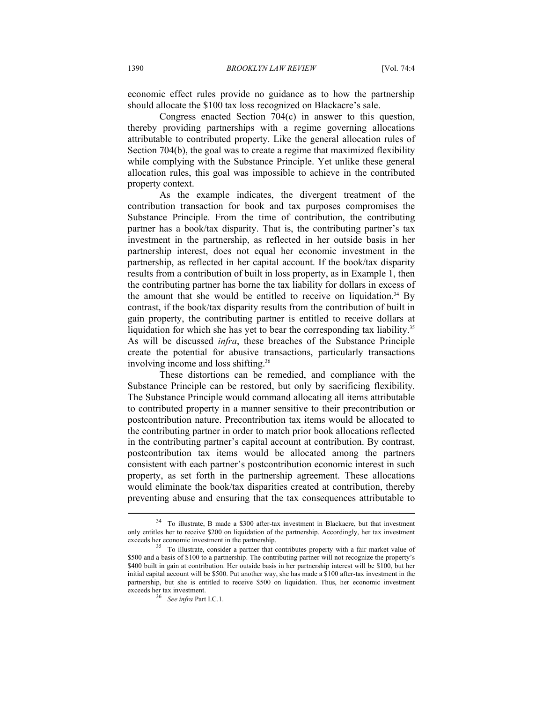economic effect rules provide no guidance as to how the partnership should allocate the \$100 tax loss recognized on Blackacre's sale.

Congress enacted Section 704(c) in answer to this question, thereby providing partnerships with a regime governing allocations attributable to contributed property. Like the general allocation rules of Section 704(b), the goal was to create a regime that maximized flexibility while complying with the Substance Principle. Yet unlike these general allocation rules, this goal was impossible to achieve in the contributed property context.

As the example indicates, the divergent treatment of the contribution transaction for book and tax purposes compromises the Substance Principle. From the time of contribution, the contributing partner has a book/tax disparity. That is, the contributing partner's tax investment in the partnership, as reflected in her outside basis in her partnership interest, does not equal her economic investment in the partnership, as reflected in her capital account. If the book/tax disparity results from a contribution of built in loss property, as in Example 1, then the contributing partner has borne the tax liability for dollars in excess of the amount that she would be entitled to receive on liquidation.<sup>34</sup> By contrast, if the book/tax disparity results from the contribution of built in gain property, the contributing partner is entitled to receive dollars at liquidation for which she has yet to bear the corresponding tax liability.<sup>35</sup> As will be discussed *infra*, these breaches of the Substance Principle create the potential for abusive transactions, particularly transactions involving income and loss shifting.36

These distortions can be remedied, and compliance with the Substance Principle can be restored, but only by sacrificing flexibility. The Substance Principle would command allocating all items attributable to contributed property in a manner sensitive to their precontribution or postcontribution nature. Precontribution tax items would be allocated to the contributing partner in order to match prior book allocations reflected in the contributing partner's capital account at contribution. By contrast, postcontribution tax items would be allocated among the partners consistent with each partner's postcontribution economic interest in such property, as set forth in the partnership agreement. These allocations would eliminate the book/tax disparities created at contribution, thereby preventing abuse and ensuring that the tax consequences attributable to

<sup>34</sup> To illustrate, B made a \$300 after-tax investment in Blackacre, but that investment only entitles her to receive \$200 on liquidation of the partnership. Accordingly, her tax investment exceeds her economic investment in the partnership.<br><sup>35</sup> To illustrate, consider a partner that contributes property with a fair market value of

<sup>\$500</sup> and a basis of \$100 to a partnership. The contributing partner will not recognize the property's \$400 built in gain at contribution. Her outside basis in her partnership interest will be \$100, but her initial capital account will be \$500. Put another way, she has made a \$100 after-tax investment in the partnership, but she is entitled to receive \$500 on liquidation. Thus, her economic investment

<sup>&</sup>lt;sup>36</sup> See *infra* Part I.C.1.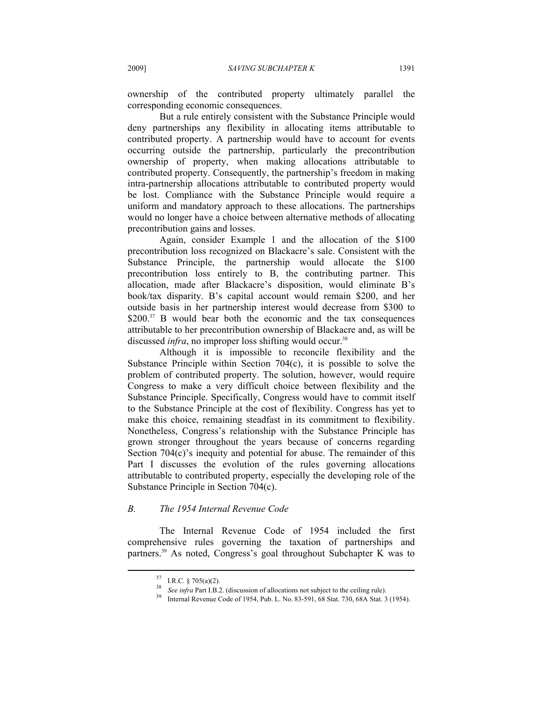ownership of the contributed property ultimately parallel the corresponding economic consequences.

But a rule entirely consistent with the Substance Principle would deny partnerships any flexibility in allocating items attributable to contributed property. A partnership would have to account for events occurring outside the partnership, particularly the precontribution ownership of property, when making allocations attributable to contributed property. Consequently, the partnership's freedom in making intra-partnership allocations attributable to contributed property would be lost. Compliance with the Substance Principle would require a uniform and mandatory approach to these allocations. The partnerships would no longer have a choice between alternative methods of allocating precontribution gains and losses.

Again, consider Example 1 and the allocation of the \$100 precontribution loss recognized on Blackacre's sale. Consistent with the Substance Principle, the partnership would allocate the \$100 precontribution loss entirely to B, the contributing partner. This allocation, made after Blackacre's disposition, would eliminate B's book/tax disparity. B's capital account would remain \$200, and her outside basis in her partnership interest would decrease from \$300 to \$200.<sup>37</sup> B would bear both the economic and the tax consequences attributable to her precontribution ownership of Blackacre and, as will be discussed *infra*, no improper loss shifting would occur.<sup>38</sup>

Although it is impossible to reconcile flexibility and the Substance Principle within Section 704(c), it is possible to solve the problem of contributed property. The solution, however, would require Congress to make a very difficult choice between flexibility and the Substance Principle. Specifically, Congress would have to commit itself to the Substance Principle at the cost of flexibility. Congress has yet to make this choice, remaining steadfast in its commitment to flexibility. Nonetheless, Congress's relationship with the Substance Principle has grown stronger throughout the years because of concerns regarding Section 704(c)'s inequity and potential for abuse. The remainder of this Part I discusses the evolution of the rules governing allocations attributable to contributed property, especially the developing role of the Substance Principle in Section 704(c).

#### *B. The 1954 Internal Revenue Code*

The Internal Revenue Code of 1954 included the first comprehensive rules governing the taxation of partnerships and partners.39 As noted, Congress's goal throughout Subchapter K was to

<sup>&</sup>lt;sup>37</sup> I.R.C. § 705(a)(2).<br><sup>38</sup> *See infra Part I.B.2.* (discussion of allocations not subject to the ceiling rule).

<sup>&</sup>lt;sup>39</sup> Internal Revenue Code of 1954, Pub. L. No. 83-591, 68 Stat. 730, 68A Stat. 3 (1954).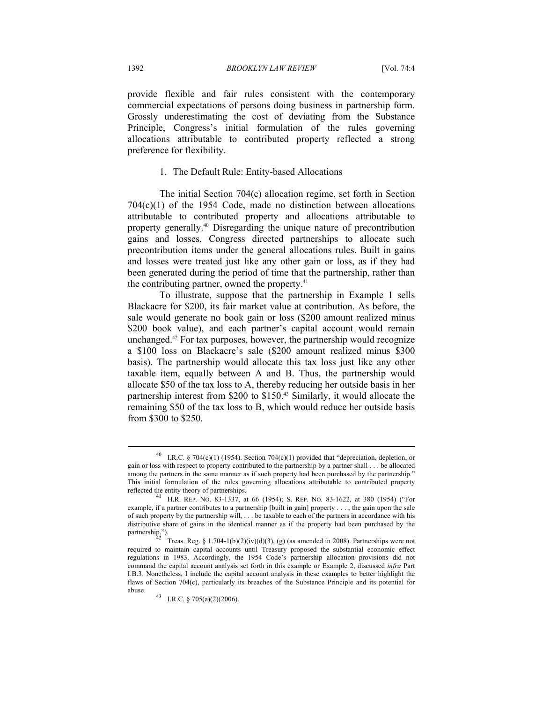provide flexible and fair rules consistent with the contemporary commercial expectations of persons doing business in partnership form. Grossly underestimating the cost of deviating from the Substance Principle, Congress's initial formulation of the rules governing allocations attributable to contributed property reflected a strong preference for flexibility.

#### 1. The Default Rule: Entity-based Allocations

The initial Section 704(c) allocation regime, set forth in Section 704(c)(1) of the 1954 Code, made no distinction between allocations attributable to contributed property and allocations attributable to property generally.40 Disregarding the unique nature of precontribution gains and losses, Congress directed partnerships to allocate such precontribution items under the general allocations rules. Built in gains and losses were treated just like any other gain or loss, as if they had been generated during the period of time that the partnership, rather than the contributing partner, owned the property. $41$ 

To illustrate, suppose that the partnership in Example 1 sells Blackacre for \$200, its fair market value at contribution. As before, the sale would generate no book gain or loss (\$200 amount realized minus \$200 book value), and each partner's capital account would remain unchanged.42 For tax purposes, however, the partnership would recognize a \$100 loss on Blackacre's sale (\$200 amount realized minus \$300 basis). The partnership would allocate this tax loss just like any other taxable item, equally between A and B. Thus, the partnership would allocate \$50 of the tax loss to A, thereby reducing her outside basis in her partnership interest from \$200 to \$150.<sup>43</sup> Similarly, it would allocate the remaining \$50 of the tax loss to B, which would reduce her outside basis from \$300 to \$250.

I.R.C. § 704 $(c)(1)$  (1954). Section 704 $(c)(1)$  provided that "depreciation, depletion, or gain or loss with respect to property contributed to the partnership by a partner shall . . . be allocated among the partners in the same manner as if such property had been purchased by the partnership." This initial formulation of the rules governing allocations attributable to contributed property reflected the entity theory of partnerships. 41 H.R. REP. NO. 83-1337, at 66 (1954); S. REP. NO. 83-1622, at 380 (1954) ("For

example, if a partner contributes to a partnership [built in gain] property . . . , the gain upon the sale of such property by the partnership will, . . . be taxable to each of the partners in accordance with his distributive share of gains in the identical manner as if the property had been purchased by the partnership.").

Treas. Reg. §  $1.704-1(b)(2)(iv)(d)(3)$ , (g) (as amended in 2008). Partnerships were not required to maintain capital accounts until Treasury proposed the substantial economic effect regulations in 1983. Accordingly, the 1954 Code's partnership allocation provisions did not command the capital account analysis set forth in this example or Example 2, discussed *infra* Part I.B.3*.* Nonetheless, I include the capital account analysis in these examples to better highlight the flaws of Section 704(c), particularly its breaches of the Substance Principle and its potential for

abuse.  $43$  I.R.C. § 705(a)(2)(2006).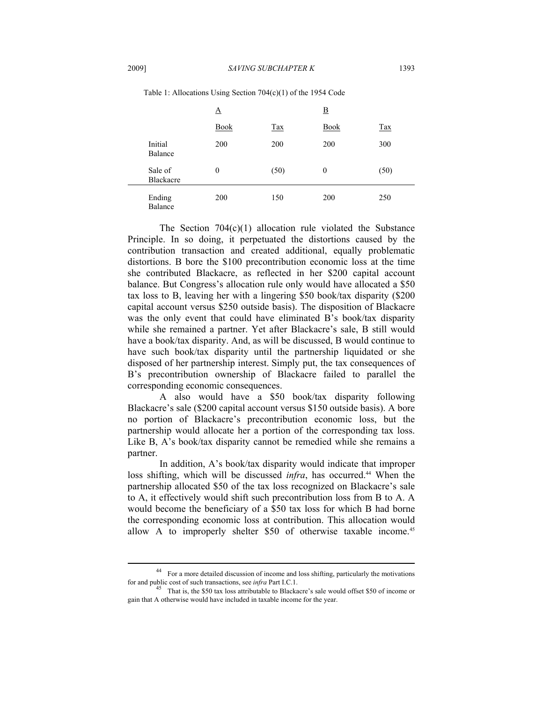|                      | ᅀ              |            | $\overline{\mathbf{B}}$ |            |
|----------------------|----------------|------------|-------------------------|------------|
|                      | <b>Book</b>    | <b>Tax</b> | <b>Book</b>             | <b>Tax</b> |
| Initial<br>Balance   | 200            | 200        | 200                     | 300        |
| Sale of<br>Blackacre | $\overline{0}$ | (50)       | $\mathbf{0}$            | (50)       |
| Ending<br>Balance    | 200            | 150        | 200                     | 250        |

Table 1: Allocations Using Section 704(c)(1) of the 1954 Code

The Section  $704(c)(1)$  allocation rule violated the Substance Principle. In so doing, it perpetuated the distortions caused by the contribution transaction and created additional, equally problematic distortions. B bore the \$100 precontribution economic loss at the time she contributed Blackacre, as reflected in her \$200 capital account balance. But Congress's allocation rule only would have allocated a \$50 tax loss to B, leaving her with a lingering \$50 book/tax disparity (\$200 capital account versus \$250 outside basis). The disposition of Blackacre was the only event that could have eliminated B's book/tax disparity while she remained a partner. Yet after Blackacre's sale, B still would have a book/tax disparity. And, as will be discussed, B would continue to have such book/tax disparity until the partnership liquidated or she disposed of her partnership interest. Simply put, the tax consequences of B's precontribution ownership of Blackacre failed to parallel the corresponding economic consequences.

A also would have a \$50 book/tax disparity following Blackacre's sale (\$200 capital account versus \$150 outside basis). A bore no portion of Blackacre's precontribution economic loss, but the partnership would allocate her a portion of the corresponding tax loss. Like B, A's book/tax disparity cannot be remedied while she remains a partner.

In addition, A's book/tax disparity would indicate that improper loss shifting, which will be discussed *infra*, has occurred.<sup>44</sup> When the partnership allocated \$50 of the tax loss recognized on Blackacre's sale to A, it effectively would shift such precontribution loss from B to A. A would become the beneficiary of a \$50 tax loss for which B had borne the corresponding economic loss at contribution. This allocation would allow A to improperly shelter \$50 of otherwise taxable income.<sup>45</sup>

<sup>&</sup>lt;sup>44</sup> For a more detailed discussion of income and loss shifting, particularly the motivations for and public cost of such transactions, see *infra* Part I.C.1.

That is, the \$50 tax loss attributable to Blackacre's sale would offset \$50 of income or gain that A otherwise would have included in taxable income for the year.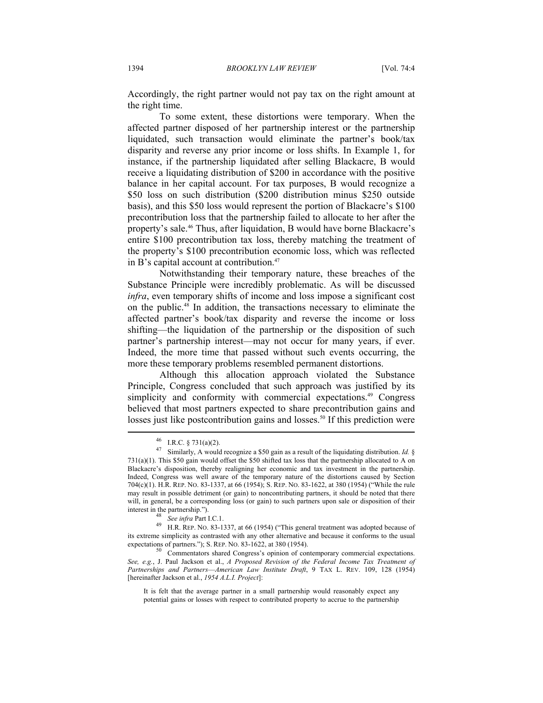Accordingly, the right partner would not pay tax on the right amount at the right time.

To some extent, these distortions were temporary. When the affected partner disposed of her partnership interest or the partnership liquidated, such transaction would eliminate the partner's book/tax disparity and reverse any prior income or loss shifts. In Example 1, for instance, if the partnership liquidated after selling Blackacre, B would receive a liquidating distribution of \$200 in accordance with the positive balance in her capital account. For tax purposes, B would recognize a \$50 loss on such distribution (\$200 distribution minus \$250 outside basis), and this \$50 loss would represent the portion of Blackacre's \$100 precontribution loss that the partnership failed to allocate to her after the property's sale.46 Thus, after liquidation, B would have borne Blackacre's entire \$100 precontribution tax loss, thereby matching the treatment of the property's \$100 precontribution economic loss, which was reflected in B's capital account at contribution.47

Notwithstanding their temporary nature, these breaches of the Substance Principle were incredibly problematic. As will be discussed *infra*, even temporary shifts of income and loss impose a significant cost on the public.48 In addition, the transactions necessary to eliminate the affected partner's book/tax disparity and reverse the income or loss shifting—the liquidation of the partnership or the disposition of such partner's partnership interest—may not occur for many years, if ever. Indeed, the more time that passed without such events occurring, the more these temporary problems resembled permanent distortions.

Although this allocation approach violated the Substance Principle, Congress concluded that such approach was justified by its simplicity and conformity with commercial expectations.<sup>49</sup> Congress believed that most partners expected to share precontribution gains and losses just like postcontribution gains and losses.<sup>50</sup> If this prediction were

 $^{46}$  I.R.C. § 731(a)(2).

Similarly, A would recognize a \$50 gain as a result of the liquidating distribution. *Id.* § 731(a)(1). This \$50 gain would offset the \$50 shifted tax loss that the partnership allocated to A on Blackacre's disposition, thereby realigning her economic and tax investment in the partnership. Indeed, Congress was well aware of the temporary nature of the distortions caused by Section 704(c)(1). H.R. REP. NO. 83-1337, at 66 (1954); S. REP. NO. 83-1622, at 380 (1954) ("While the rule may result in possible detriment (or gain) to noncontributing partners, it should be noted that there will, in general, be a corresponding loss (or gain) to such partners upon sale or disposition of their

interest in the partnership.").<br><sup>48</sup> *See infra* Part I.C.1.<br><sup>49</sup> H.R. REP. NO. 83-1337, at 66 (1954) ("This general treatment was adopted because of its extreme simplicity as contrasted with any other alternative and because it conforms to the usual expectations of partners."); S. REP. NO. 83-1622, at 380 (1954).<br><sup>50</sup> Commentators shared Congress's opinion of contemporary commercial expectations.

*See, e.g.*, J. Paul Jackson et al., *A Proposed Revision of the Federal Income Tax Treatment of Partnerships and Partners*—*American Law Institute Draft*, 9 TAX L. REV. 109, 128 (1954) [hereinafter Jackson et al., *1954 A.L.I. Project*]:

It is felt that the average partner in a small partnership would reasonably expect any potential gains or losses with respect to contributed property to accrue to the partnership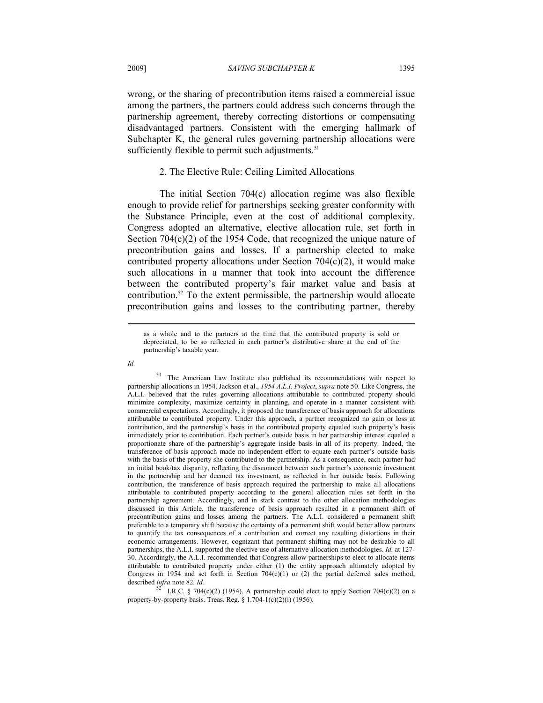wrong, or the sharing of precontribution items raised a commercial issue among the partners, the partners could address such concerns through the partnership agreement, thereby correcting distortions or compensating disadvantaged partners. Consistent with the emerging hallmark of Subchapter K, the general rules governing partnership allocations were sufficiently flexible to permit such adjustments.<sup>51</sup>

# 2. The Elective Rule: Ceiling Limited Allocations

The initial Section 704(c) allocation regime was also flexible enough to provide relief for partnerships seeking greater conformity with the Substance Principle, even at the cost of additional complexity. Congress adopted an alternative, elective allocation rule, set forth in Section 704(c)(2) of the 1954 Code, that recognized the unique nature of precontribution gains and losses. If a partnership elected to make contributed property allocations under Section 704(c)(2), it would make such allocations in a manner that took into account the difference between the contributed property's fair market value and basis at contribution.52 To the extent permissible, the partnership would allocate precontribution gains and losses to the contributing partner, thereby

*Id.*

as a whole and to the partners at the time that the contributed property is sold or depreciated, to be so reflected in each partner's distributive share at the end of the partnership's taxable year.

<sup>&</sup>lt;sup>51</sup> The American Law Institute also published its recommendations with respect to partnership allocations in 1954. Jackson et al., *1954 A.L.I. Project*, *supra* note 50. Like Congress, the A.L.I. believed that the rules governing allocations attributable to contributed property should minimize complexity, maximize certainty in planning, and operate in a manner consistent with commercial expectations. Accordingly, it proposed the transference of basis approach for allocations attributable to contributed property. Under this approach, a partner recognized no gain or loss at contribution, and the partnership's basis in the contributed property equaled such property's basis immediately prior to contribution. Each partner's outside basis in her partnership interest equaled a proportionate share of the partnership's aggregate inside basis in all of its property. Indeed, the transference of basis approach made no independent effort to equate each partner's outside basis with the basis of the property she contributed to the partnership. As a consequence, each partner had an initial book/tax disparity, reflecting the disconnect between such partner's economic investment in the partnership and her deemed tax investment, as reflected in her outside basis. Following contribution, the transference of basis approach required the partnership to make all allocations attributable to contributed property according to the general allocation rules set forth in the partnership agreement. Accordingly, and in stark contrast to the other allocation methodologies discussed in this Article, the transference of basis approach resulted in a permanent shift of precontribution gains and losses among the partners. The A.L.I. considered a permanent shift preferable to a temporary shift because the certainty of a permanent shift would better allow partners to quantify the tax consequences of a contribution and correct any resulting distortions in their economic arrangements. However, cognizant that permanent shifting may not be desirable to all partnerships, the A.L.I. supported the elective use of alternative allocation methodologies. *Id.* at 127- 30. Accordingly, the A.L.I. recommended that Congress allow partnerships to elect to allocate items attributable to contributed property under either (1) the entity approach ultimately adopted by Congress in 1954 and set forth in Section 704(c)(1) or (2) the partial deferred sales method,

described *infra* note 82. *Id.* 52 I.*R.C.* § 704(c)(2) (1954). A partnership could elect to apply Section 704(c)(2) on a property-by-property basis. Treas. Reg. § 1.704-1(c)(2)(i) (1956).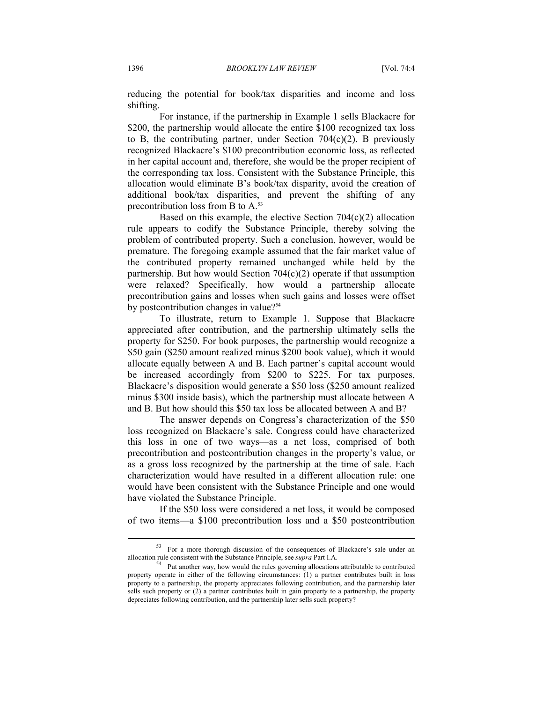reducing the potential for book/tax disparities and income and loss shifting.

For instance, if the partnership in Example 1 sells Blackacre for \$200, the partnership would allocate the entire \$100 recognized tax loss to B, the contributing partner, under Section  $704(c)(2)$ . B previously recognized Blackacre's \$100 precontribution economic loss, as reflected in her capital account and, therefore, she would be the proper recipient of the corresponding tax loss. Consistent with the Substance Principle, this allocation would eliminate B's book/tax disparity, avoid the creation of additional book/tax disparities, and prevent the shifting of any precontribution loss from B to A.<sup>53</sup>

Based on this example, the elective Section 704(c)(2) allocation rule appears to codify the Substance Principle, thereby solving the problem of contributed property. Such a conclusion, however, would be premature. The foregoing example assumed that the fair market value of the contributed property remained unchanged while held by the partnership. But how would Section  $704(c)(2)$  operate if that assumption were relaxed? Specifically, how would a partnership allocate precontribution gains and losses when such gains and losses were offset by postcontribution changes in value?<sup>54</sup>

To illustrate, return to Example 1. Suppose that Blackacre appreciated after contribution, and the partnership ultimately sells the property for \$250. For book purposes, the partnership would recognize a \$50 gain (\$250 amount realized minus \$200 book value), which it would allocate equally between A and B. Each partner's capital account would be increased accordingly from \$200 to \$225. For tax purposes, Blackacre's disposition would generate a \$50 loss (\$250 amount realized minus \$300 inside basis), which the partnership must allocate between A and B. But how should this \$50 tax loss be allocated between A and B?

The answer depends on Congress's characterization of the \$50 loss recognized on Blackacre's sale. Congress could have characterized this loss in one of two ways—as a net loss, comprised of both precontribution and postcontribution changes in the property's value, or as a gross loss recognized by the partnership at the time of sale. Each characterization would have resulted in a different allocation rule: one would have been consistent with the Substance Principle and one would have violated the Substance Principle.

If the \$50 loss were considered a net loss, it would be composed of two items—a \$100 precontribution loss and a \$50 postcontribution

<sup>53</sup> For a more thorough discussion of the consequences of Blackacre's sale under an allocation rule consistent with the Substance Principle, see *supra* Part I.A.<br><sup>54</sup> Put another way, how would the rules governing allocations attributable to contributed

property operate in either of the following circumstances: (1) a partner contributes built in loss property to a partnership, the property appreciates following contribution, and the partnership later sells such property or (2) a partner contributes built in gain property to a partnership, the property depreciates following contribution, and the partnership later sells such property?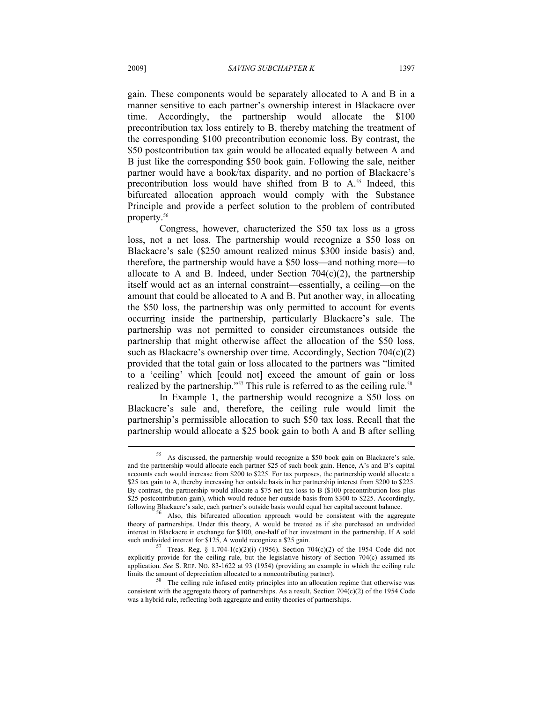gain. These components would be separately allocated to A and B in a manner sensitive to each partner's ownership interest in Blackacre over time. Accordingly, the partnership would allocate the \$100 precontribution tax loss entirely to B, thereby matching the treatment of the corresponding \$100 precontribution economic loss. By contrast, the \$50 postcontribution tax gain would be allocated equally between A and B just like the corresponding \$50 book gain. Following the sale, neither partner would have a book/tax disparity, and no portion of Blackacre's precontribution loss would have shifted from B to  $A$ <sup>55</sup> Indeed, this bifurcated allocation approach would comply with the Substance Principle and provide a perfect solution to the problem of contributed property.56

Congress, however, characterized the \$50 tax loss as a gross loss, not a net loss. The partnership would recognize a \$50 loss on Blackacre's sale (\$250 amount realized minus \$300 inside basis) and, therefore, the partnership would have a \$50 loss—and nothing more—to allocate to A and B. Indeed, under Section  $704(c)(2)$ , the partnership itself would act as an internal constraint—essentially, a ceiling—on the amount that could be allocated to A and B. Put another way, in allocating the \$50 loss, the partnership was only permitted to account for events occurring inside the partnership, particularly Blackacre's sale. The partnership was not permitted to consider circumstances outside the partnership that might otherwise affect the allocation of the \$50 loss, such as Blackacre's ownership over time. Accordingly, Section 704(c)(2) provided that the total gain or loss allocated to the partners was "limited to a 'ceiling' which [could not] exceed the amount of gain or loss realized by the partnership."<sup>57</sup> This rule is referred to as the ceiling rule.<sup>58</sup>

In Example 1, the partnership would recognize a \$50 loss on Blackacre's sale and, therefore, the ceiling rule would limit the partnership's permissible allocation to such \$50 tax loss. Recall that the partnership would allocate a \$25 book gain to both A and B after selling

<sup>55</sup> As discussed, the partnership would recognize a \$50 book gain on Blackacre's sale, and the partnership would allocate each partner \$25 of such book gain. Hence, A's and B's capital accounts each would increase from \$200 to \$225. For tax purposes, the partnership would allocate a \$25 tax gain to A, thereby increasing her outside basis in her partnership interest from \$200 to \$225. By contrast, the partnership would allocate a \$75 net tax loss to B (\$100 precontribution loss plus \$25 postcontribution gain), which would reduce her outside basis from \$300 to \$225. Accordingly, following Blackacre's sale, each partner's outside basis would equal her capital account balance. 56 Also, this bifurcated allocation approach would be consistent with the aggregate

theory of partnerships. Under this theory, A would be treated as if she purchased an undivided interest in Blackacre in exchange for \$100, one-half of her investment in the partnership. If A sold such undivided interest for \$125, A would recognize a \$25 gain.<br>
<sup>57</sup> Treas. Reg. § 1.704-1(c)(2)(i) (1956). Section 704(c)(2) of the 1954 Code did not

explicitly provide for the ceiling rule, but the legislative history of Section 704(c) assumed its application. *See* S. REP. NO. 83-1622 at 93 (1954) (providing an example in which the ceiling rule limits the amount of depreciation allocated to a noncontributing partner).<br><sup>58</sup> The ceiling rule infused entity principles into an allocation regime that otherwise was

consistent with the aggregate theory of partnerships. As a result, Section  $704(c)(2)$  of the 1954 Code was a hybrid rule, reflecting both aggregate and entity theories of partnerships.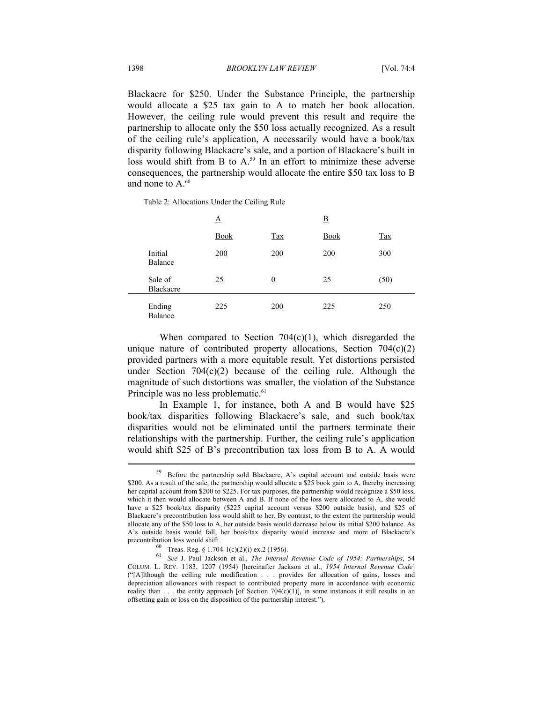Blackacre for \$250. Under the Substance Principle, the partnership would allocate a \$25 tax gain to A to match her book allocation. However, the ceiling rule would prevent this result and require the partnership to allocate only the \$50 loss actually recognized. As a result of the ceiling rule's application, A necessarily would have a book/tax disparity following Blackacre's sale, and a portion of Blackacre's built in loss would shift from B to  $A<sub>0</sub>$ <sup>59</sup> In an effort to minimize these adverse consequences, the partnership would allocate the entire \$50 tax loss to B and none to  $A<sup>60</sup>$ 

Table 2: Allocations Under the Ceiling Rule

|                      | Δ           |            | $\overline{\mathbf{B}}$ |            |
|----------------------|-------------|------------|-------------------------|------------|
|                      | <b>Book</b> | <b>Tax</b> | <b>Book</b>             | <b>Tax</b> |
| Initial<br>Balance   | 200         | 200        | 200                     | 300        |
| Sale of<br>Blackacre | 25          | $\theta$   | 25                      | (50)       |
| Ending<br>Balance    | 225         | 200        | 225                     | 250        |

When compared to Section  $704(c)(1)$ , which disregarded the unique nature of contributed property allocations, Section  $704(c)(2)$ provided partners with a more equitable result. Yet distortions persisted under Section  $704(c)(2)$  because of the ceiling rule. Although the magnitude of such distortions was smaller, the violation of the Substance Principle was no less problematic.<sup>61</sup>

In Example 1, for instance, both A and B would have \$25 book/tax disparities following Blackacre's sale, and such book/tax disparities would not be eliminated until the partners terminate their relationships with the partnership. Further, the ceiling rule's application would shift \$25 of B's precontribution tax loss from B to A. A would

<sup>59</sup> Before the partnership sold Blackacre, A's capital account and outside basis were \$200. As a result of the sale, the partnership would allocate a \$25 book gain to A, thereby increasing her capital account from \$200 to \$225. For tax purposes, the partnership would recognize a \$50 loss, which it then would allocate between A and B. If none of the loss were allocated to A, she would have a \$25 book/tax disparity (\$225 capital account versus \$200 outside basis), and \$25 of Blackacre's precontribution loss would shift to her. By contrast, to the extent the partnership would allocate any of the \$50 loss to A, her outside basis would decrease below its initial \$200 balance. As A's outside basis would fall, her book/tax disparity would increase and more of Blackacre's precontribution loss would shift.<br>
<sup>60</sup> Treas. Reg. § 1.704-1(c)(2)(i) ex.2 (1956).

<sup>61</sup> *See* J. Paul Jackson et al., *The Internal Revenue Code of 1954: Partnerships*, 54 COLUM. L. REV. 1183, 1207 (1954) [hereinafter Jackson et al., *1954 Internal Revenue Code*] ("[A]lthough the ceiling rule modification . . . provides for allocation of gains, losses and depreciation allowances with respect to contributed property more in accordance with economic reality than  $\dots$  the entity approach [of Section 704 $(c)(1)$ ], in some instances it still results in an offsetting gain or loss on the disposition of the partnership interest.").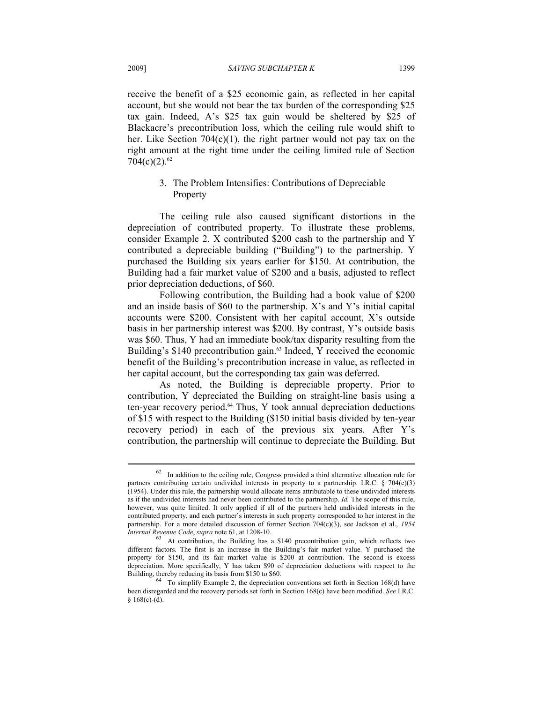receive the benefit of a \$25 economic gain, as reflected in her capital account, but she would not bear the tax burden of the corresponding \$25 tax gain. Indeed, A's \$25 tax gain would be sheltered by \$25 of Blackacre's precontribution loss, which the ceiling rule would shift to her. Like Section 704(c)(1), the right partner would not pay tax on the right amount at the right time under the ceiling limited rule of Section  $704(c)(2).<sup>62</sup>$ 

# 3. The Problem Intensifies: Contributions of Depreciable Property

The ceiling rule also caused significant distortions in the depreciation of contributed property. To illustrate these problems, consider Example 2. X contributed \$200 cash to the partnership and Y contributed a depreciable building ("Building") to the partnership. Y purchased the Building six years earlier for \$150. At contribution, the Building had a fair market value of \$200 and a basis, adjusted to reflect prior depreciation deductions, of \$60.

Following contribution, the Building had a book value of \$200 and an inside basis of \$60 to the partnership. X's and Y's initial capital accounts were \$200. Consistent with her capital account, X's outside basis in her partnership interest was \$200. By contrast, Y's outside basis was \$60. Thus, Y had an immediate book/tax disparity resulting from the Building's \$140 precontribution gain.<sup>63</sup> Indeed, Y received the economic benefit of the Building's precontribution increase in value, as reflected in her capital account, but the corresponding tax gain was deferred.

As noted, the Building is depreciable property. Prior to contribution, Y depreciated the Building on straight-line basis using a ten-year recovery period.64 Thus, Y took annual depreciation deductions of \$15 with respect to the Building (\$150 initial basis divided by ten-year recovery period) in each of the previous six years. After Y's contribution, the partnership will continue to depreciate the Building. But

 $62$  In addition to the ceiling rule, Congress provided a third alternative allocation rule for partners contributing certain undivided interests in property to a partnership. I.R.C. § 704(c)(3) (1954). Under this rule, the partnership would allocate items attributable to these undivided interests as if the undivided interests had never been contributed to the partnership. *Id.* The scope of this rule, however, was quite limited. It only applied if all of the partners held undivided interests in the contributed property, and each partner's interests in such property corresponded to her interest in the partnership. For a more detailed discussion of former Section 704(c)(3), see Jackson et al., *1954* 

*Internal Revenue Code, supra* note 61, at 1208-10.<br><sup>63</sup> At contribution, the Building has a \$140 precontribution gain, which reflects two different factors. The first is an increase in the Building's fair market value. Y purchased the property for \$150, and its fair market value is \$200 at contribution. The second is excess depreciation. More specifically, Y has taken \$90 of depreciation deductions with respect to the

Building, thereby reducing its basis from \$150 to \$60.<br><sup>64</sup> To simplify Example 2, the depreciation conventions set forth in Section 168(d) have been disregarded and the recovery periods set forth in Section 168(c) have been modified. *See* I.R.C.  $§ 168(c)-(d).$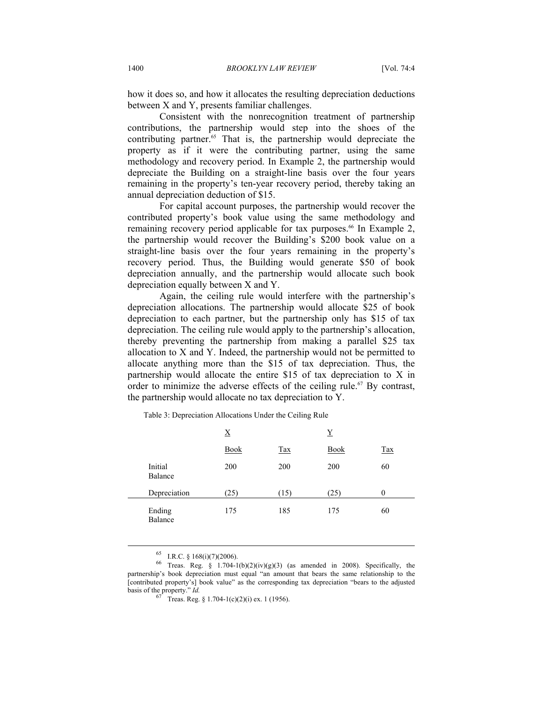how it does so, and how it allocates the resulting depreciation deductions between X and Y, presents familiar challenges.

Consistent with the nonrecognition treatment of partnership contributions, the partnership would step into the shoes of the contributing partner.65 That is, the partnership would depreciate the property as if it were the contributing partner, using the same methodology and recovery period. In Example 2, the partnership would depreciate the Building on a straight-line basis over the four years remaining in the property's ten-year recovery period, thereby taking an annual depreciation deduction of \$15.

For capital account purposes, the partnership would recover the contributed property's book value using the same methodology and remaining recovery period applicable for tax purposes.<sup>66</sup> In Example 2, the partnership would recover the Building's \$200 book value on a straight-line basis over the four years remaining in the property's recovery period. Thus, the Building would generate \$50 of book depreciation annually, and the partnership would allocate such book depreciation equally between X and Y.

Again, the ceiling rule would interfere with the partnership's depreciation allocations. The partnership would allocate \$25 of book depreciation to each partner, but the partnership only has \$15 of tax depreciation. The ceiling rule would apply to the partnership's allocation, thereby preventing the partnership from making a parallel \$25 tax allocation to X and Y. Indeed, the partnership would not be permitted to allocate anything more than the \$15 of tax depreciation. Thus, the partnership would allocate the entire \$15 of tax depreciation to X in order to minimize the adverse effects of the ceiling rule.<sup>67</sup> By contrast, the partnership would allocate no tax depreciation to Y.

|                    | $\underline{\textbf{X}}$ |            |             | Y          |  |
|--------------------|--------------------------|------------|-------------|------------|--|
|                    | <b>Book</b>              | <b>Tax</b> | <b>Book</b> | <b>Tax</b> |  |
| Initial<br>Balance | 200                      | 200        | 200         | 60         |  |
| Depreciation       | (25)                     | (15)       | (25)        | 0          |  |
| Ending<br>Balance  | 175                      | 185        | 175         | 60         |  |

Table 3: Depreciation Allocations Under the Ceiling Rule

 $^{65}$  I.R.C. § 168(i)(7)(2006).

<sup>&</sup>lt;sup>66</sup> Treas. Reg. § 1.704-1(b)(2)(iv)(g)(3) (as amended in 2008). Specifically, the partnership's book depreciation must equal "an amount that bears the same relationship to the [contributed property's] book value" as the corresponding tax depreciation "bears to the adjusted basis of the property."  $Id$ .

Treas. Reg. § 1.704-1(c)(2)(i) ex. 1 (1956).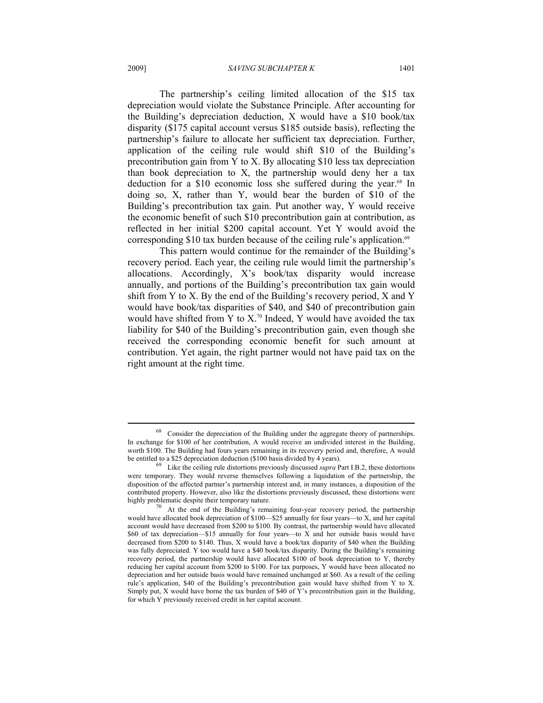The partnership's ceiling limited allocation of the \$15 tax depreciation would violate the Substance Principle. After accounting for the Building's depreciation deduction, X would have a \$10 book/tax disparity (\$175 capital account versus \$185 outside basis), reflecting the partnership's failure to allocate her sufficient tax depreciation. Further, application of the ceiling rule would shift \$10 of the Building's precontribution gain from Y to X. By allocating \$10 less tax depreciation than book depreciation to X, the partnership would deny her a tax deduction for a \$10 economic loss she suffered during the year.<sup>68</sup> In doing so, X, rather than Y, would bear the burden of \$10 of the Building's precontribution tax gain. Put another way, Y would receive the economic benefit of such \$10 precontribution gain at contribution, as reflected in her initial \$200 capital account. Yet Y would avoid the corresponding \$10 tax burden because of the ceiling rule's application. $69$ 

This pattern would continue for the remainder of the Building's recovery period. Each year, the ceiling rule would limit the partnership's allocations. Accordingly, X's book/tax disparity would increase annually, and portions of the Building's precontribution tax gain would shift from Y to X. By the end of the Building's recovery period, X and Y would have book/tax disparities of \$40, and \$40 of precontribution gain would have shifted from Y to  $X$ .<sup>70</sup> Indeed, Y would have avoided the tax liability for \$40 of the Building's precontribution gain, even though she received the corresponding economic benefit for such amount at contribution. Yet again, the right partner would not have paid tax on the right amount at the right time.

Consider the depreciation of the Building under the aggregate theory of partnerships. In exchange for \$100 of her contribution, A would receive an undivided interest in the Building, worth \$100. The Building had fours years remaining in its recovery period and, therefore, A would be entitled to a \$25 depreciation deduction (\$100 basis divided by 4 years). 69 Like the ceiling rule distortions previously discussed *supra* Part I.B.2, these distortions

were temporary. They would reverse themselves following a liquidation of the partnership, the disposition of the affected partner's partnership interest and, in many instances, a disposition of the contributed property. However, also like the distortions previously discussed, these distortions were

At the end of the Building's remaining four-year recovery period, the partnership would have allocated book depreciation of \$100—\$25 annually for four years—to X, and her capital account would have decreased from \$200 to \$100. By contrast, the partnership would have allocated \$60 of tax depreciation—\$15 annually for four years—to X and her outside basis would have decreased from \$200 to \$140. Thus,  $\overline{X}$  would have a book/tax disparity of \$40 when the Building was fully depreciated. Y too would have a \$40 book/tax disparity. During the Building's remaining recovery period, the partnership would have allocated \$100 of book depreciation to Y, thereby reducing her capital account from \$200 to \$100. For tax purposes, Y would have been allocated no depreciation and her outside basis would have remained unchanged at \$60. As a result of the ceiling rule's application, \$40 of the Building's precontribution gain would have shifted from Y to X. Simply put, X would have borne the tax burden of \$40 of Y's precontribution gain in the Building, for which Y previously received credit in her capital account.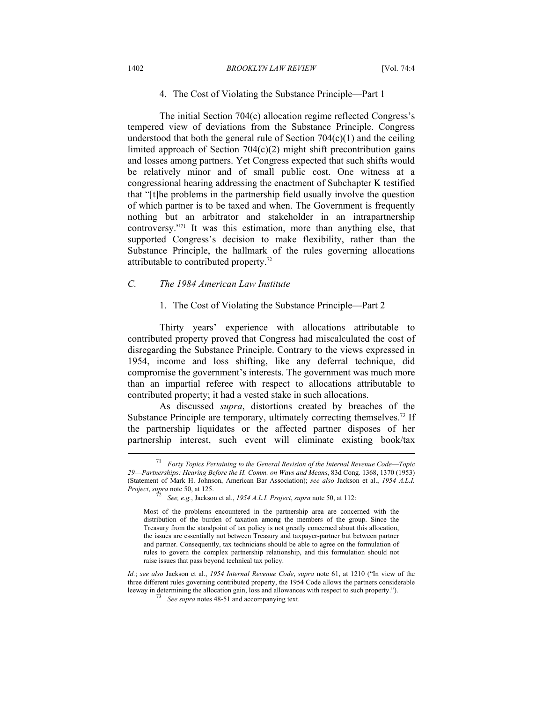#### 1402 *BROOKLYN LAW REVIEW* [Vol. 74:4

#### 4. The Cost of Violating the Substance Principle—Part 1

The initial Section 704(c) allocation regime reflected Congress's tempered view of deviations from the Substance Principle. Congress understood that both the general rule of Section  $704(c)(1)$  and the ceiling limited approach of Section  $704(c)(2)$  might shift precontribution gains and losses among partners. Yet Congress expected that such shifts would be relatively minor and of small public cost. One witness at a congressional hearing addressing the enactment of Subchapter K testified that "[t]he problems in the partnership field usually involve the question of which partner is to be taxed and when. The Government is frequently nothing but an arbitrator and stakeholder in an intrapartnership controversy."71 It was this estimation, more than anything else, that supported Congress's decision to make flexibility, rather than the Substance Principle, the hallmark of the rules governing allocations attributable to contributed property.72

#### *C. The 1984 American Law Institute*

#### 1. The Cost of Violating the Substance Principle—Part 2

Thirty years' experience with allocations attributable to contributed property proved that Congress had miscalculated the cost of disregarding the Substance Principle. Contrary to the views expressed in 1954, income and loss shifting, like any deferral technique, did compromise the government's interests. The government was much more than an impartial referee with respect to allocations attributable to contributed property; it had a vested stake in such allocations.

As discussed *supra*, distortions created by breaches of the Substance Principle are temporary, ultimately correcting themselves.<sup>73</sup> If the partnership liquidates or the affected partner disposes of her partnership interest, such event will eliminate existing book/tax  $\overline{a}$ 

<sup>71</sup> *Forty Topics Pertaining to the General Revision of the Internal Revenue Code*—*Topic 29*—*Partnerships: Hearing Before the H. Comm. on Ways and Means*, 83d Cong. 1368, 1370 (1953) (Statement of Mark H. Johnson, American Bar Association); *see also* Jackson et al., *1954 A.L.I. Project*, *supra* note 50, at 125.<br>*See, e.g.*, Jackson et al., *1954 A.L.I. Project*, *supra* note 50, at 112:

Most of the problems encountered in the partnership area are concerned with the distribution of the burden of taxation among the members of the group. Since the Treasury from the standpoint of tax policy is not greatly concerned about this allocation, the issues are essentially not between Treasury and taxpayer-partner but between partner and partner. Consequently, tax technicians should be able to agree on the formulation of rules to govern the complex partnership relationship, and this formulation should not raise issues that pass beyond technical tax policy.

*Id.*; *see also* Jackson et al., *1954 Internal Revenue Code*, *supra* note 61, at 1210 ("In view of the three different rules governing contributed property, the 1954 Code allows the partners considerable leeway in determining the allocation gain, loss and allowances with respect to such property."). 73 *See supra* notes 48-51 and accompanying text.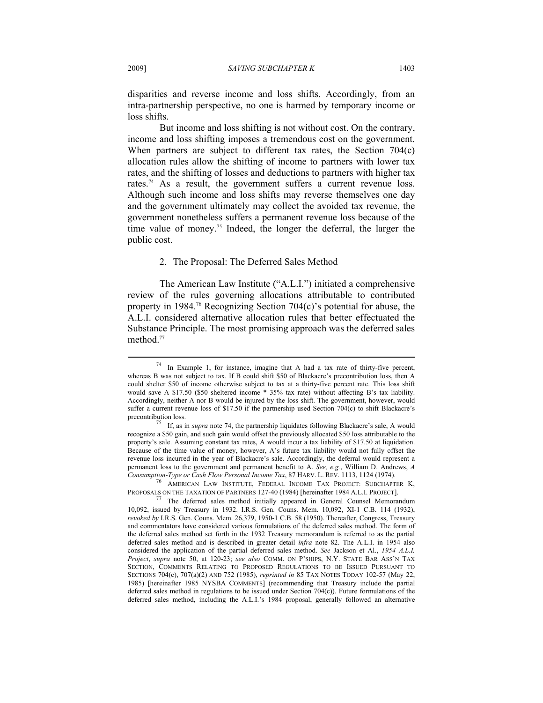disparities and reverse income and loss shifts. Accordingly, from an intra-partnership perspective, no one is harmed by temporary income or loss shifts.

But income and loss shifting is not without cost. On the contrary, income and loss shifting imposes a tremendous cost on the government. When partners are subject to different tax rates, the Section 704(c) allocation rules allow the shifting of income to partners with lower tax rates, and the shifting of losses and deductions to partners with higher tax rates.<sup>74</sup> As a result, the government suffers a current revenue loss. Although such income and loss shifts may reverse themselves one day and the government ultimately may collect the avoided tax revenue, the government nonetheless suffers a permanent revenue loss because of the time value of money.75 Indeed, the longer the deferral, the larger the public cost.

#### 2. The Proposal: The Deferred Sales Method

The American Law Institute ("A.L.I.") initiated a comprehensive review of the rules governing allocations attributable to contributed property in 1984.<sup>76</sup> Recognizing Section 704 $(c)$ 's potential for abuse, the A.L.I. considered alternative allocation rules that better effectuated the Substance Principle. The most promising approach was the deferred sales method.<sup>77</sup>

<sup>74</sup> In Example 1, for instance, imagine that A had a tax rate of thirty-five percent, whereas B was not subject to tax. If B could shift \$50 of Blackacre's precontribution loss, then A could shelter \$50 of income otherwise subject to tax at a thirty-five percent rate. This loss shift would save A \$17.50 (\$50 sheltered income \* 35% tax rate) without affecting B's tax liability. Accordingly, neither A nor B would be injured by the loss shift. The government, however, would suffer a current revenue loss of \$17.50 if the partnership used Section 704(c) to shift Blackacre's

precontribution loss. 75 If, as in *supra* note 74, the partnership liquidates following Blackacre's sale, A would recognize a \$50 gain, and such gain would offset the previously allocated \$50 loss attributable to the property's sale. Assuming constant tax rates, A would incur a tax liability of \$17.50 at liquidation. Because of the time value of money, however, A's future tax liability would not fully offset the revenue loss incurred in the year of Blackacre's sale. Accordingly, the deferral would represent a permanent loss to the government and permanent benefit to A. *See, e.g.*, William D. Andrews, *A Consumption-Type or Cash Flow Personal Income Tax*, 87 HARV. L. REV. 1113, 1124 (1974). 76 AMERICAN LAW INSTITUTE, FEDERAL INCOME TAX PROJECT: SUBCHAPTER K,

PROPOSALS ON THE TAXATION OF PARTNERS 127-40 (1984) [hereinafter 1984 A.L.I. PROJECT].<br><sup>77</sup> The deferred sales method initially appeared in General Counsel Memorandum

<sup>10,092,</sup> issued by Treasury in 1932. I.R.S. Gen. Couns. Mem. 10,092, XI-1 C.B. 114 (1932), *revoked by* I.R.S. Gen. Couns. Mem. 26,379, 1950-1 C.B. 58 (1950). Thereafter, Congress, Treasury and commentators have considered various formulations of the deferred sales method. The form of the deferred sales method set forth in the 1932 Treasury memorandum is referred to as the partial deferred sales method and is described in greater detail *infra* note 82. The A.L.I. in 1954 also considered the application of the partial deferred sales method. *See* Jackson et Al., *1954 A.L.I. Project*, *supra* note 50, at 120-23; *see also* COMM. ON P'SHIPS, N.Y. STATE BAR ASS'N TAX SECTION, COMMENTS RELATING TO PROPOSED REGULATIONS TO BE ISSUED PURSUANT TO SECTIONS 704(c), 707(a)(2) AND 752 (1985), *reprinted in* 85 TAX NOTES TODAY 102-57 (May 22, 1985) [hereinafter 1985 NYSBA COMMENTS] (recommending that Treasury include the partial deferred sales method in regulations to be issued under Section 704(c)). Future formulations of the deferred sales method, including the A.L.I.'s 1984 proposal, generally followed an alternative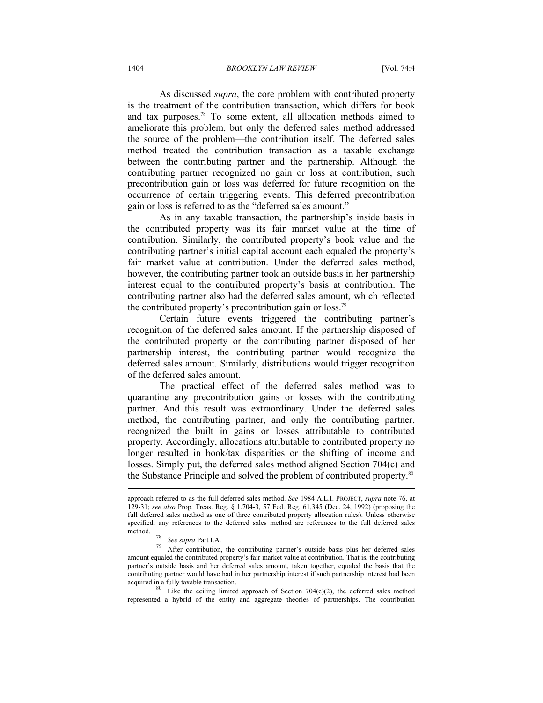#### 1404 *BROOKLYN LAW REVIEW* [Vol. 74:4

As discussed *supra*, the core problem with contributed property is the treatment of the contribution transaction, which differs for book and tax purposes.78 To some extent, all allocation methods aimed to ameliorate this problem, but only the deferred sales method addressed the source of the problem—the contribution itself. The deferred sales method treated the contribution transaction as a taxable exchange between the contributing partner and the partnership. Although the contributing partner recognized no gain or loss at contribution, such precontribution gain or loss was deferred for future recognition on the occurrence of certain triggering events. This deferred precontribution gain or loss is referred to as the "deferred sales amount."

As in any taxable transaction, the partnership's inside basis in the contributed property was its fair market value at the time of contribution. Similarly, the contributed property's book value and the contributing partner's initial capital account each equaled the property's fair market value at contribution. Under the deferred sales method, however, the contributing partner took an outside basis in her partnership interest equal to the contributed property's basis at contribution. The contributing partner also had the deferred sales amount, which reflected the contributed property's precontribution gain or loss.79

Certain future events triggered the contributing partner's recognition of the deferred sales amount. If the partnership disposed of the contributed property or the contributing partner disposed of her partnership interest, the contributing partner would recognize the deferred sales amount. Similarly, distributions would trigger recognition of the deferred sales amount.

The practical effect of the deferred sales method was to quarantine any precontribution gains or losses with the contributing partner. And this result was extraordinary. Under the deferred sales method, the contributing partner, and only the contributing partner, recognized the built in gains or losses attributable to contributed property. Accordingly, allocations attributable to contributed property no longer resulted in book/tax disparities or the shifting of income and losses. Simply put, the deferred sales method aligned Section 704(c) and the Substance Principle and solved the problem of contributed property.80

represented a hybrid of the entity and aggregate theories of partnerships. The contribution

approach referred to as the full deferred sales method. *See* 1984 A.L.I. PROJECT, *supra* note 76, at 129-31; *see also* Prop. Treas. Reg. § 1.704-3, 57 Fed. Reg. 61,345 (Dec. 24, 1992) (proposing the full deferred sales method as one of three contributed property allocation rules). Unless otherwise specified, any references to the deferred sales method are references to the full deferred sales

<sup>&</sup>lt;sup>78</sup> See supra Part I.A.<br><sup>79</sup> After contribution, the contributing partner's outside basis plus her deferred sales amount equaled the contributed property's fair market value at contribution. That is, the contributing partner's outside basis and her deferred sales amount, taken together, equaled the basis that the contributing partner would have had in her partnership interest if such partnership interest had been acquired in a fully taxable transaction.<br><sup>80</sup> Like the ceiling limited approach of Section 704(c)(2), the deferred sales method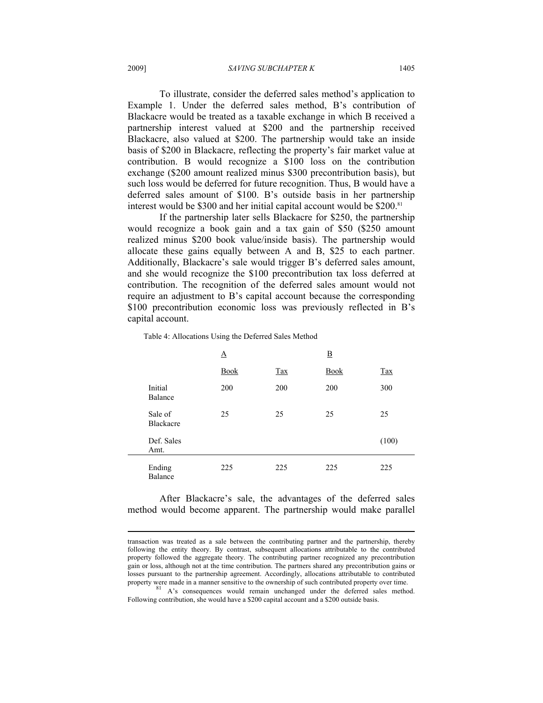To illustrate, consider the deferred sales method's application to Example 1. Under the deferred sales method, B's contribution of Blackacre would be treated as a taxable exchange in which B received a partnership interest valued at \$200 and the partnership received Blackacre, also valued at \$200. The partnership would take an inside basis of \$200 in Blackacre, reflecting the property's fair market value at contribution. B would recognize a \$100 loss on the contribution exchange (\$200 amount realized minus \$300 precontribution basis), but such loss would be deferred for future recognition. Thus, B would have a deferred sales amount of \$100. B's outside basis in her partnership interest would be \$300 and her initial capital account would be \$200.<sup>81</sup>

If the partnership later sells Blackacre for \$250, the partnership would recognize a book gain and a tax gain of \$50 (\$250 amount realized minus \$200 book value/inside basis). The partnership would allocate these gains equally between A and B, \$25 to each partner. Additionally, Blackacre's sale would trigger B's deferred sales amount, and she would recognize the \$100 precontribution tax loss deferred at contribution. The recognition of the deferred sales amount would not require an adjustment to B's capital account because the corresponding \$100 precontribution economic loss was previously reflected in B's capital account.

|                             | $\Delta$    |                               | $\overline{\mathbf{B}}$ |            |
|-----------------------------|-------------|-------------------------------|-------------------------|------------|
|                             | <b>Book</b> | $\frac{\text{Tax}}{\text{c}}$ | <b>Book</b>             | <b>Tax</b> |
| Initial<br>Balance          | 200         | 200                           | 200                     | 300        |
| Sale of<br><b>Blackacre</b> | 25          | 25                            | 25                      | 25         |
| Def. Sales<br>Amt.          |             |                               |                         | (100)      |
| Ending<br>Balance           | 225         | 225                           | 225                     | 225        |

Table 4: Allocations Using the Deferred Sales Method

After Blackacre's sale, the advantages of the deferred sales method would become apparent. The partnership would make parallel

transaction was treated as a sale between the contributing partner and the partnership, thereby following the entity theory. By contrast, subsequent allocations attributable to the contributed property followed the aggregate theory. The contributing partner recognized any precontribution gain or loss, although not at the time contribution. The partners shared any precontribution gains or losses pursuant to the partnership agreement. Accordingly, allocations attributable to contributed property were made in a manner sensitive to the ownership of such contributed property over time.

A's consequences would remain unchanged under the deferred sales method. Following contribution, she would have a \$200 capital account and a \$200 outside basis.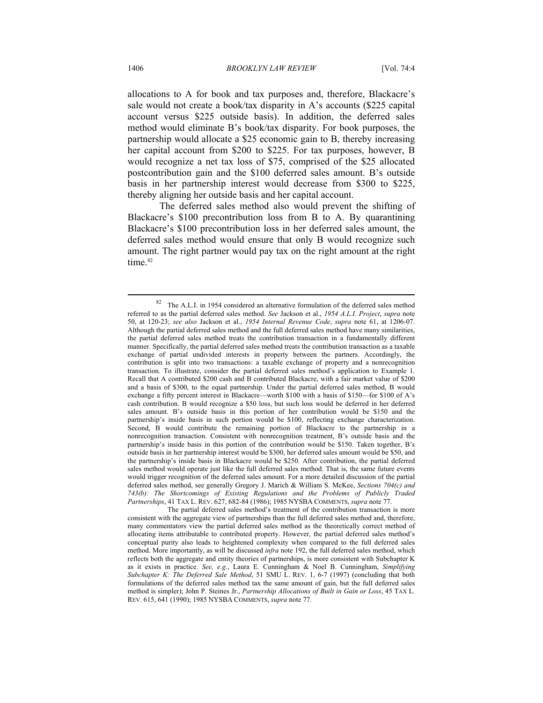allocations to A for book and tax purposes and, therefore, Blackacre's sale would not create a book/tax disparity in A's accounts (\$225 capital account versus \$225 outside basis). In addition, the deferred sales method would eliminate B's book/tax disparity. For book purposes, the partnership would allocate a \$25 economic gain to B, thereby increasing her capital account from \$200 to \$225. For tax purposes, however, B would recognize a net tax loss of \$75, comprised of the \$25 allocated postcontribution gain and the \$100 deferred sales amount. B's outside basis in her partnership interest would decrease from \$300 to \$225, thereby aligning her outside basis and her capital account.

The deferred sales method also would prevent the shifting of Blackacre's \$100 precontribution loss from B to A. By quarantining Blackacre's \$100 precontribution loss in her deferred sales amount, the deferred sales method would ensure that only B would recognize such amount. The right partner would pay tax on the right amount at the right time.<sup>82</sup>

<sup>82</sup> The A.L.I. in 1954 considered an alternative formulation of the deferred sales method referred to as the partial deferred sales method. *See* Jackson et al., *1954 A.L.I. Project*, *supra* note 50, at 120-23; *see also* Jackson et al., *1954 Internal Revenue Code*, *supra* note 61, at 1206-07. Although the partial deferred sales method and the full deferred sales method have many similarities, the partial deferred sales method treats the contribution transaction in a fundamentally different manner. Specifically, the partial deferred sales method treats the contribution transaction as a taxable exchange of partial undivided interests in property between the partners. Accordingly, the contribution is split into two transactions: a taxable exchange of property and a nonrecognition transaction. To illustrate, consider the partial deferred sales method's application to Example 1. Recall that A contributed \$200 cash and B contributed Blackacre, with a fair market value of \$200 and a basis of \$300, to the equal partnership. Under the partial deferred sales method, B would exchange a fifty percent interest in Blackacre—worth \$100 with a basis of \$150—for \$100 of A's cash contribution. B would recognize a \$50 loss, but such loss would be deferred in her deferred sales amount. B's outside basis in this portion of her contribution would be \$150 and the partnership's inside basis in such portion would be \$100, reflecting exchange characterization. Second, B would contribute the remaining portion of Blackacre to the partnership in a nonrecognition transaction. Consistent with nonrecognition treatment, B's outside basis and the partnership's inside basis in this portion of the contribution would be \$150. Taken together, B's outside basis in her partnership interest would be \$300, her deferred sales amount would be \$50, and the partnership's inside basis in Blackacre would be \$250. After contribution, the partial deferred sales method would operate just like the full deferred sales method. That is, the same future events would trigger recognition of the deferred sales amount. For a more detailed discussion of the partial deferred sales method, see generally Gregory J. Marich & William S. McKee, *Sections 704(c) and 743(b): The Shortcomings of Existing Regulations and the Problems of Publicly Traded Partnerships*, 41 TAX L. REV. 627, 682-84 (1986); 1985 NYSBA COMMENTS, *supra* note 77.

The partial deferred sales method's treatment of the contribution transaction is more consistent with the aggregate view of partnerships than the full deferred sales method and, therefore, many commentators view the partial deferred sales method as the theoretically correct method of allocating items attributable to contributed property. However, the partial deferred sales method's conceptual purity also leads to heightened complexity when compared to the full deferred sales method. More importantly, as will be discussed *infra* note 192, the full deferred sales method, which reflects both the aggregate and entity theories of partnerships, is more consistent with Subchapter K as it exists in practice. *See, e.g.*, Laura E. Cunningham & Noel B. Cunningham, *Simplifying Subchapter K: The Deferred Sale Method*, 51 SMU L. REV. 1, 6-7 (1997) (concluding that both formulations of the deferred sales method tax the same amount of gain, but the full deferred sales method is simpler); John P. Steines Jr., *Partnership Allocations of Built in Gain or Loss*, 45 TAX L. REV. 615, 641 (1990); 1985 NYSBA COMMENTS, *supra* note 77*.*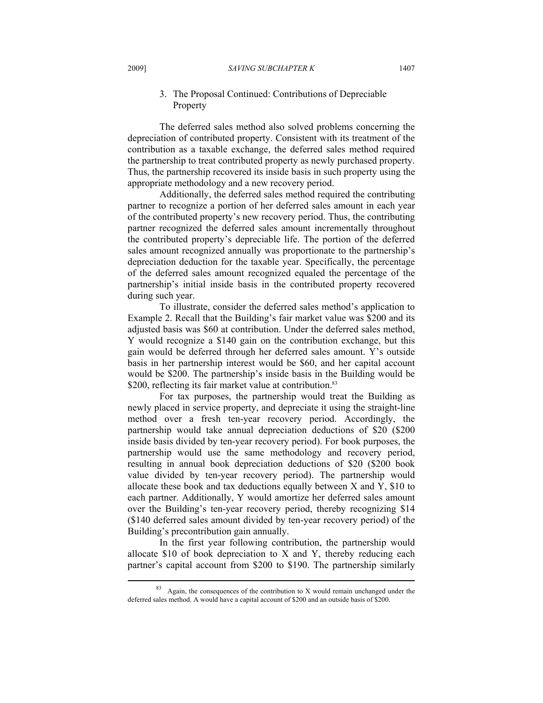# 3. The Proposal Continued: Contributions of Depreciable Property

The deferred sales method also solved problems concerning the depreciation of contributed property. Consistent with its treatment of the contribution as a taxable exchange, the deferred sales method required the partnership to treat contributed property as newly purchased property. Thus, the partnership recovered its inside basis in such property using the appropriate methodology and a new recovery period.

Additionally, the deferred sales method required the contributing partner to recognize a portion of her deferred sales amount in each year of the contributed property's new recovery period. Thus, the contributing partner recognized the deferred sales amount incrementally throughout the contributed property's depreciable life. The portion of the deferred sales amount recognized annually was proportionate to the partnership's depreciation deduction for the taxable year. Specifically, the percentage of the deferred sales amount recognized equaled the percentage of the partnership's initial inside basis in the contributed property recovered during such year.

To illustrate, consider the deferred sales method's application to Example 2. Recall that the Building's fair market value was \$200 and its adjusted basis was \$60 at contribution. Under the deferred sales method, Y would recognize a \$140 gain on the contribution exchange, but this gain would be deferred through her deferred sales amount. Y's outside basis in her partnership interest would be \$60, and her capital account would be \$200. The partnership's inside basis in the Building would be \$200, reflecting its fair market value at contribution.<sup>83</sup>

For tax purposes, the partnership would treat the Building as newly placed in service property, and depreciate it using the straight-line method over a fresh ten-year recovery period. Accordingly, the partnership would take annual depreciation deductions of \$20 (\$200 inside basis divided by ten-year recovery period). For book purposes, the partnership would use the same methodology and recovery period, resulting in annual book depreciation deductions of \$20 (\$200 book value divided by ten-year recovery period). The partnership would allocate these book and tax deductions equally between X and Y, \$10 to each partner. Additionally, Y would amortize her deferred sales amount over the Building's ten-year recovery period, thereby recognizing \$14 (\$140 deferred sales amount divided by ten-year recovery period) of the Building's precontribution gain annually.

In the first year following contribution, the partnership would allocate \$10 of book depreciation to X and Y, thereby reducing each partner's capital account from \$200 to \$190. The partnership similarly

<sup>83</sup> Again, the consequences of the contribution to X would remain unchanged under the deferred sales method. A would have a capital account of \$200 and an outside basis of \$200.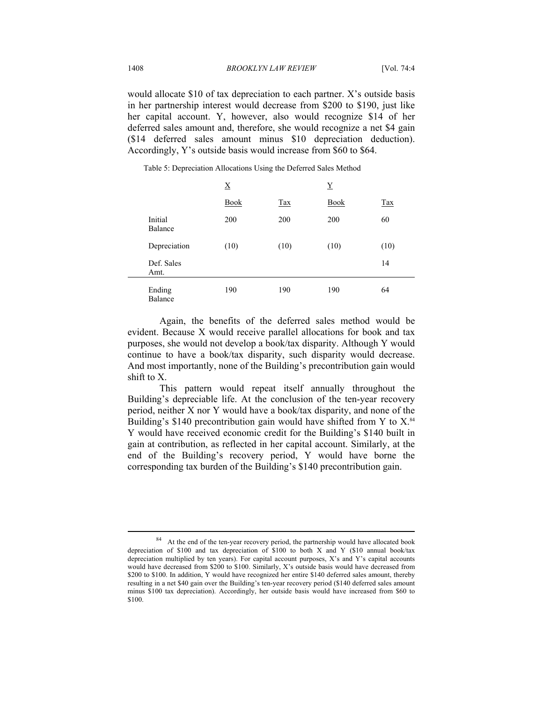would allocate \$10 of tax depreciation to each partner. X's outside basis in her partnership interest would decrease from \$200 to \$190, just like her capital account. Y, however, also would recognize \$14 of her deferred sales amount and, therefore, she would recognize a net \$4 gain (\$14 deferred sales amount minus \$10 depreciation deduction). Accordingly, Y's outside basis would increase from \$60 to \$64.

|                          | X           |      | $\mathbf Y$ |      |
|--------------------------|-------------|------|-------------|------|
|                          | <b>Book</b> | Tax  | <b>Book</b> | Tax  |
| Initial<br>Balance       | 200         | 200  | 200         | 60   |
| Depreciation             | (10)        | (10) | (10)        | (10) |
| Def. Sales<br>Amt.       |             |      |             | 14   |
| Ending<br><b>Balance</b> | 190         | 190  | 190         | 64   |

Table 5: Depreciation Allocations Using the Deferred Sales Method

Again, the benefits of the deferred sales method would be evident. Because X would receive parallel allocations for book and tax purposes, she would not develop a book/tax disparity. Although Y would continue to have a book/tax disparity, such disparity would decrease. And most importantly, none of the Building's precontribution gain would shift to X.

This pattern would repeat itself annually throughout the Building's depreciable life. At the conclusion of the ten-year recovery period, neither X nor Y would have a book/tax disparity, and none of the Building's \$140 precontribution gain would have shifted from Y to  $X$ .<sup>84</sup> Y would have received economic credit for the Building's \$140 built in gain at contribution, as reflected in her capital account. Similarly, at the end of the Building's recovery period, Y would have borne the corresponding tax burden of the Building's \$140 precontribution gain.

<sup>84</sup> At the end of the ten-year recovery period, the partnership would have allocated book depreciation of \$100 and tax depreciation of \$100 to both X and Y (\$10 annual book/tax depreciation multiplied by ten years). For capital account purposes, X's and Y's capital accounts would have decreased from \$200 to \$100. Similarly, X's outside basis would have decreased from \$200 to \$100. In addition, Y would have recognized her entire \$140 deferred sales amount, thereby resulting in a net \$40 gain over the Building's ten-year recovery period (\$140 deferred sales amount minus \$100 tax depreciation). Accordingly, her outside basis would have increased from \$60 to \$100.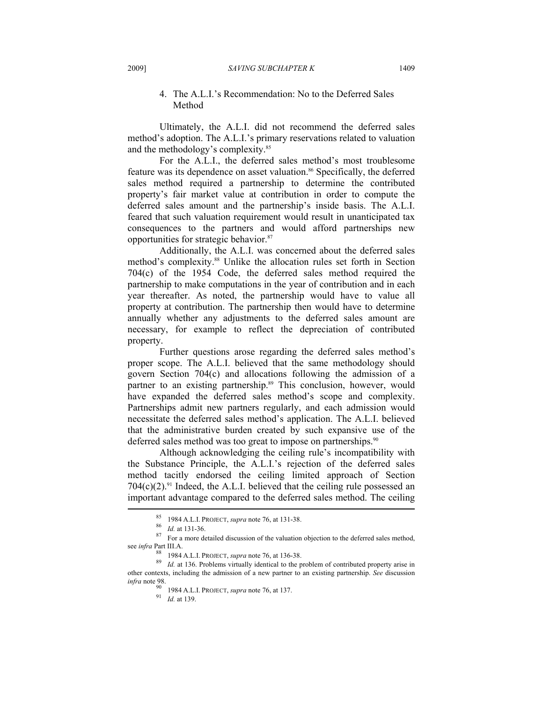# 4. The A.L.I.'s Recommendation: No to the Deferred Sales Method

Ultimately, the A.L.I. did not recommend the deferred sales method's adoption. The A.L.I.'s primary reservations related to valuation and the methodology's complexity.<sup>85</sup>

For the A.L.I., the deferred sales method's most troublesome feature was its dependence on asset valuation.<sup>86</sup> Specifically, the deferred sales method required a partnership to determine the contributed property's fair market value at contribution in order to compute the deferred sales amount and the partnership's inside basis. The A.L.I. feared that such valuation requirement would result in unanticipated tax consequences to the partners and would afford partnerships new opportunities for strategic behavior.87

Additionally, the A.L.I. was concerned about the deferred sales method's complexity.<sup>88</sup> Unlike the allocation rules set forth in Section 704(c) of the 1954 Code, the deferred sales method required the partnership to make computations in the year of contribution and in each year thereafter. As noted, the partnership would have to value all property at contribution. The partnership then would have to determine annually whether any adjustments to the deferred sales amount are necessary, for example to reflect the depreciation of contributed property.

Further questions arose regarding the deferred sales method's proper scope. The A.L.I. believed that the same methodology should govern Section 704(c) and allocations following the admission of a partner to an existing partnership.<sup>89</sup> This conclusion, however, would have expanded the deferred sales method's scope and complexity. Partnerships admit new partners regularly, and each admission would necessitate the deferred sales method's application. The A.L.I. believed that the administrative burden created by such expansive use of the deferred sales method was too great to impose on partnerships.<sup>90</sup>

Although acknowledging the ceiling rule's incompatibility with the Substance Principle, the A.L.I.'s rejection of the deferred sales method tacitly endorsed the ceiling limited approach of Section  $704(c)(2)^{91}$  Indeed, the A.L.I. believed that the ceiling rule possessed an important advantage compared to the deferred sales method. The ceiling

<sup>85</sup> <sup>1984</sup> A.L.I. PROJECT, *supra* note 76, at 131-38. 86 *Id.* at 131-36. 87 For a more detailed discussion of the valuation objection to the deferred sales method, see *infra* Part III.A.

<sup>88</sup> <sup>1984</sup> A.L.I. PROJECT, *supra* note 76, at 136-38. 89 *Id.* at 136. Problems virtually identical to the problem of contributed property arise in other contexts, including the admission of a new partner to an existing partnership. *See* discussion

*infra* note 98. 90 <sup>1984</sup> A.L.I. PROJECT, *supra* note 76, at 137. 91 *Id.* at 139.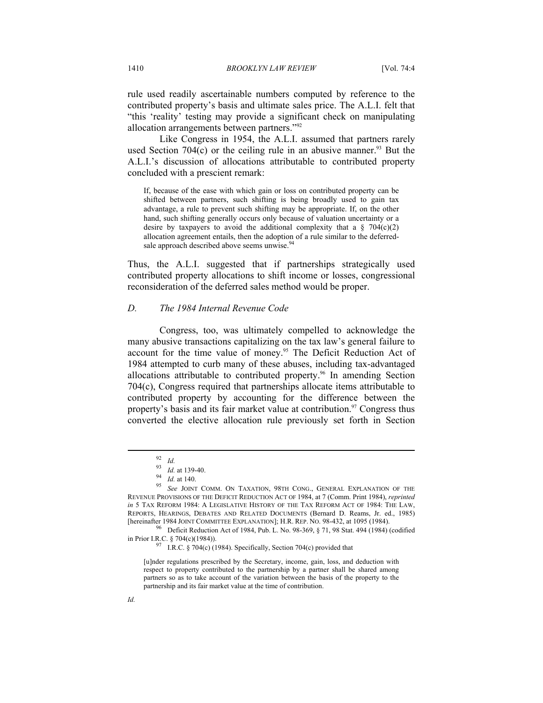rule used readily ascertainable numbers computed by reference to the contributed property's basis and ultimate sales price. The A.L.I. felt that "this 'reality' testing may provide a significant check on manipulating allocation arrangements between partners."92

Like Congress in 1954, the A.L.I. assumed that partners rarely used Section 704 $(c)$  or the ceiling rule in an abusive manner.<sup>93</sup> But the A.L.I.'s discussion of allocations attributable to contributed property concluded with a prescient remark:

If, because of the ease with which gain or loss on contributed property can be shifted between partners, such shifting is being broadly used to gain tax advantage, a rule to prevent such shifting may be appropriate. If, on the other hand, such shifting generally occurs only because of valuation uncertainty or a desire by taxpayers to avoid the additional complexity that a  $\S$  704(c)(2) allocation agreement entails, then the adoption of a rule similar to the deferredsale approach described above seems unwise.<sup>94</sup>

Thus, the A.L.I. suggested that if partnerships strategically used contributed property allocations to shift income or losses, congressional reconsideration of the deferred sales method would be proper.

# *D. The 1984 Internal Revenue Code*

Congress, too, was ultimately compelled to acknowledge the many abusive transactions capitalizing on the tax law's general failure to account for the time value of money.<sup>95</sup> The Deficit Reduction Act of 1984 attempted to curb many of these abuses, including tax-advantaged allocations attributable to contributed property.<sup>96</sup> In amending Section 704(c), Congress required that partnerships allocate items attributable to contributed property by accounting for the difference between the property's basis and its fair market value at contribution.<sup>97</sup> Congress thus converted the elective allocation rule previously set forth in Section

in Prior I.R.C. § 704(c)(1984)).<br>I.R.C. § 704(c) (1984). Specifically, Section 704(c) provided that

[u]nder regulations prescribed by the Secretary, income, gain, loss, and deduction with respect to property contributed to the partnership by a partner shall be shared among partners so as to take account of the variation between the basis of the property to the partnership and its fair market value at the time of contribution.

<sup>92</sup> *Id.* 93 *Id.* at 139-40. 94 *Id.* at 140. 95 *See* JOINT COMM. ON TAXATION, 98TH CONG., GENERAL EXPLANATION OF THE REVENUE PROVISIONS OF THE DEFICIT REDUCTION ACT OF 1984, at 7 (Comm. Print 1984), *reprinted in* 5 TAX REFORM 1984: A LEGISLATIVE HISTORY OF THE TAX REFORM ACT OF 1984: THE LAW, REPORTS, HEARINGS, DEBATES AND RELATED DOCUMENTS (Bernard D. Reams, Jr. ed., 1985) [hereinafter 1984 JOINT COMMITTEE EXPLANATION]; H.R. REP. NO. 98-432, at 1095 (1984).<br><sup>96</sup> Deficit Reduction Act of 1984, Pub. L. No. 98-369, § 71, 98 Stat. 494 (1984) (codified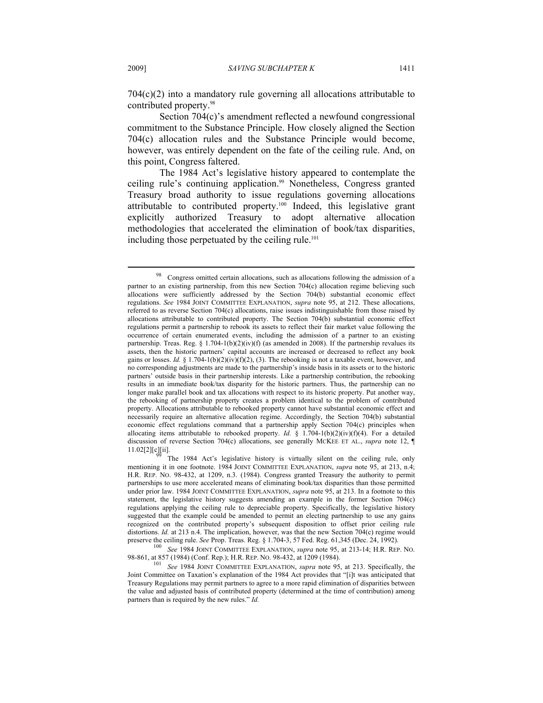$704(c)(2)$  into a mandatory rule governing all allocations attributable to contributed property.98

Section 704(c)'s amendment reflected a newfound congressional commitment to the Substance Principle. How closely aligned the Section 704(c) allocation rules and the Substance Principle would become, however, was entirely dependent on the fate of the ceiling rule. And, on this point, Congress faltered.

The 1984 Act's legislative history appeared to contemplate the ceiling rule's continuing application.<sup>99</sup> Nonetheless, Congress granted Treasury broad authority to issue regulations governing allocations attributable to contributed property.100 Indeed, this legislative grant explicitly authorized Treasury to adopt alternative allocation methodologies that accelerated the elimination of book/tax disparities, including those perpetuated by the ceiling rule.<sup>101</sup>

98-861, at 857 (1984) (Conf. Rep.); H.R. REP. NO. 98-432, at 1209 (1984). 101 *See* 1984 JOINT COMMITTEE EXPLANATION, *supra* note 95, at 213. Specifically, the

<sup>&</sup>lt;sup>98</sup> Congress omitted certain allocations, such as allocations following the admission of a partner to an existing partnership, from this new Section 704(c) allocation regime believing such allocations were sufficiently addressed by the Section 704(b) substantial economic effect regulations. *See* 1984 JOINT COMMITTEE EXPLANATION, *supra* note 95, at 212. These allocations, referred to as reverse Section 704(c) allocations, raise issues indistinguishable from those raised by allocations attributable to contributed property. The Section 704(b) substantial economic effect regulations permit a partnership to rebook its assets to reflect their fair market value following the occurrence of certain enumerated events, including the admission of a partner to an existing partnership. Treas. Reg. §  $1.704-1(b)(2)(iv)(f)$  (as amended in 2008). If the partnership revalues its assets, then the historic partners' capital accounts are increased or decreased to reflect any book gains or losses. *Id.* § 1.704-1(b)(2)(iv)(f)(2), (3). The rebooking is not a taxable event, however, and no corresponding adjustments are made to the partnership's inside basis in its assets or to the historic partners' outside basis in their partnership interests. Like a partnership contribution, the rebooking results in an immediate book/tax disparity for the historic partners. Thus, the partnership can no longer make parallel book and tax allocations with respect to its historic property. Put another way, the rebooking of partnership property creates a problem identical to the problem of contributed property. Allocations attributable to rebooked property cannot have substantial economic effect and necessarily require an alternative allocation regime. Accordingly, the Section 704(b) substantial economic effect regulations command that a partnership apply Section 704(c) principles when allocating items attributable to rebooked property. *Id.* § 1.704-1(b)(2)(iv)(f)(4). For a detailed discussion of reverse Section 704(c) allocations, see generally MCKEE ET AL., *supra* note 12, ¶ 11.02[2][c][ii].

The 1984 Act's legislative history is virtually silent on the ceiling rule, only mentioning it in one footnote. 1984 JOINT COMMITTEE EXPLANATION, *supra* note 95, at 213, n.4; H.R. REP. NO. 98-432, at 1209, n.3. (1984). Congress granted Treasury the authority to permit partnerships to use more accelerated means of eliminating book/tax disparities than those permitted under prior law. 1984 JOINT COMMITTEE EXPLANATION, *supra* note 95, at 213. In a footnote to this statement, the legislative history suggests amending an example in the former Section 704(c) regulations applying the ceiling rule to depreciable property. Specifically, the legislative history suggested that the example could be amended to permit an electing partnership to use any gains recognized on the contributed property's subsequent disposition to offset prior ceiling rule distortions. *Id.* at 213 n.4. The implication, however, was that the new Section 704(c) regime would preserve the ceiling rule. *See* Prop. Treas. Reg. § 1.704-3, 57 Fed. Reg. 61,345 (Dec. 24, 1992). 100 *See* <sup>1984</sup> JOINT COMMITTEE EXPLANATION, *supra* note 95, at 213-14; H.R. REP. NO.

Joint Committee on Taxation's explanation of the 1984 Act provides that "[i]t was anticipated that Treasury Regulations may permit partners to agree to a more rapid elimination of disparities between the value and adjusted basis of contributed property (determined at the time of contribution) among partners than is required by the new rules." *Id.*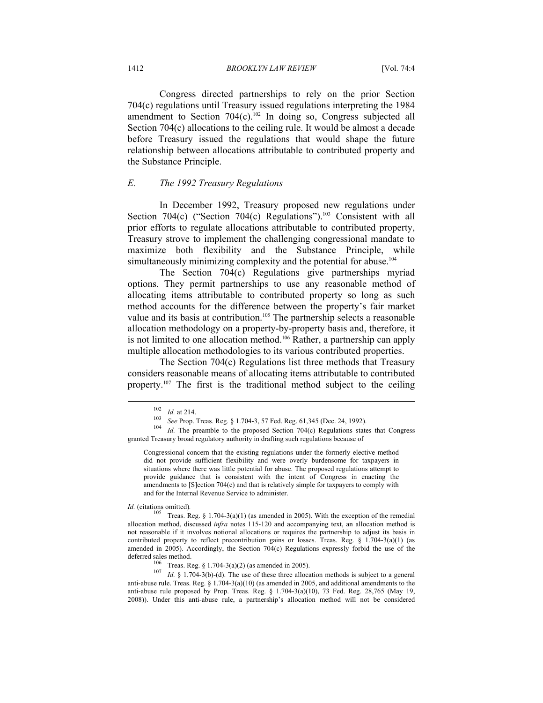Congress directed partnerships to rely on the prior Section 704(c) regulations until Treasury issued regulations interpreting the 1984 amendment to Section  $704(c)$ .<sup>102</sup> In doing so, Congress subjected all Section 704(c) allocations to the ceiling rule. It would be almost a decade before Treasury issued the regulations that would shape the future relationship between allocations attributable to contributed property and the Substance Principle.

#### *E. The 1992 Treasury Regulations*

In December 1992, Treasury proposed new regulations under Section  $704(c)$  ("Section  $704(c)$  Regulations").<sup>103</sup> Consistent with all prior efforts to regulate allocations attributable to contributed property, Treasury strove to implement the challenging congressional mandate to maximize both flexibility and the Substance Principle, while simultaneously minimizing complexity and the potential for abuse.<sup>104</sup>

The Section 704(c) Regulations give partnerships myriad options. They permit partnerships to use any reasonable method of allocating items attributable to contributed property so long as such method accounts for the difference between the property's fair market value and its basis at contribution.<sup>105</sup> The partnership selects a reasonable allocation methodology on a property-by-property basis and, therefore, it is not limited to one allocation method.<sup>106</sup> Rather, a partnership can apply multiple allocation methodologies to its various contributed properties.

The Section 704(c) Regulations list three methods that Treasury considers reasonable means of allocating items attributable to contributed property.<sup>107</sup> The first is the traditional method subject to the ceiling

<sup>102</sup> *Id.* at 214. 103 *See* Prop. Treas. Reg. § 1.704-3, 57 Fed. Reg. 61,345 (Dec. 24, 1992). 104 *Id.* The preamble to the proposed Section 704(c) Regulations states that Congress granted Treasury broad regulatory authority in drafting such regulations because of

Congressional concern that the existing regulations under the formerly elective method did not provide sufficient flexibility and were overly burdensome for taxpayers in situations where there was little potential for abuse. The proposed regulations attempt to provide guidance that is consistent with the intent of Congress in enacting the amendments to [S]ection 704(c) and that is relatively simple for taxpayers to comply with and for the Internal Revenue Service to administer.

*Id.* (citations omitted).<br><sup>105</sup> Treas. Reg. § 1.704-3(a)(1) (as amended in 2005). With the exception of the remedial allocation method, discussed *infra* notes 115-120 and accompanying text, an allocation method is not reasonable if it involves notional allocations or requires the partnership to adjust its basis in contributed property to reflect precontribution gains or losses. Treas. Reg.  $\S$  1.704-3(a)(1) (as amended in 2005). Accordingly, the Section 704(c) Regulations expressly forbid the use of the deferred sales method.<br><sup>106</sup> Treas. Reg. § 1.704-3(a)(2) (as amended in 2005).<br><sup>107</sup> *Id.* § 1.704-3(b)-(d). The use of these three allocation methods is subject to a general

anti-abuse rule. Treas. Reg.  $\S 1.704-3(a)(10)$  (as amended in 2005, and additional amendments to the anti-abuse rule proposed by Prop. Treas. Reg.  $\S$  1.704-3(a)(10), 73 Fed. Reg. 28,765 (May 19, 2008)). Under this anti-abuse rule, a partnership's allocation method will not be considered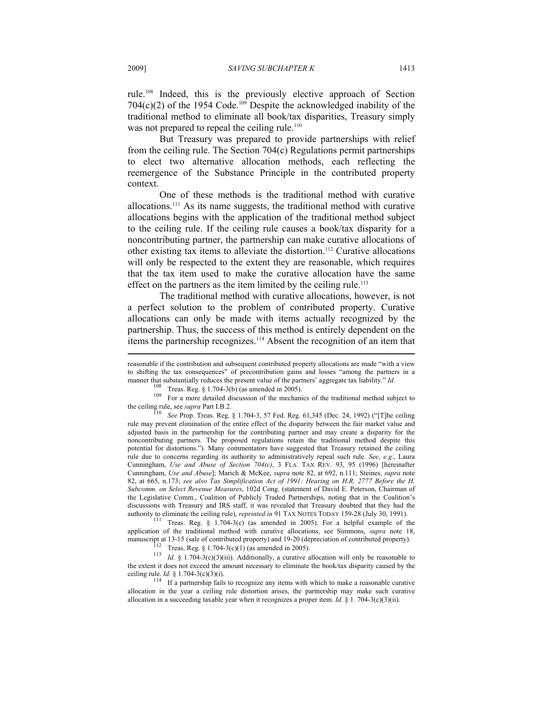rule.108 Indeed, this is the previously elective approach of Section  $704(c)(2)$  of the 1954 Code.<sup>109</sup> Despite the acknowledged inability of the traditional method to eliminate all book/tax disparities, Treasury simply was not prepared to repeal the ceiling rule.<sup>110</sup>

But Treasury was prepared to provide partnerships with relief from the ceiling rule. The Section 704(c) Regulations permit partnerships to elect two alternative allocation methods, each reflecting the reemergence of the Substance Principle in the contributed property context.

One of these methods is the traditional method with curative allocations.111 As its name suggests, the traditional method with curative allocations begins with the application of the traditional method subject to the ceiling rule. If the ceiling rule causes a book/tax disparity for a noncontributing partner, the partnership can make curative allocations of other existing tax items to alleviate the distortion.112 Curative allocations will only be respected to the extent they are reasonable, which requires that the tax item used to make the curative allocation have the same effect on the partners as the item limited by the ceiling rule.<sup>113</sup>

The traditional method with curative allocations, however, is not a perfect solution to the problem of contributed property. Curative allocations can only be made with items actually recognized by the partnership. Thus, the success of this method is entirely dependent on the items the partnership recognizes.<sup>114</sup> Absent the recognition of an item that

<sup>111</sup> Treas. Reg. § 1.704-3(c) (as amended in 2005). For a helpful example of the application of the traditional method with curative allocations, see Simmons, *supra* note 18, manuscript at 13-15 (sale of contributed property) and 19-20 (depreciation of contributed property).<br>
<sup>112</sup> Treas. Reg. § 1.704-3(c)(1) (as amended in 2005).<br>
<sup>113</sup> *Id.* § 1.704-3(c)(3)(iii). Additionally, a curative all

the extent it does not exceed the amount necessary to eliminate the book/tax disparity caused by the ceiling rule. *Id.* § 1.704-3(c)(3)(i).<br><sup>114</sup> If a partnership fails to recognize any items with which to make a reasonable curative

allocation in the year a ceiling rule distortion arises, the partnership may make such curative allocation in a succeeding taxable year when it recognizes a proper item. *Id.* § 1. 704-3(c)(3)(ii).

reasonable if the contribution and subsequent contributed property allocations are made "with a view to shifting the tax consequences" of precontribution gains and losses "among the partners in a manner that substantially reduces the present value of the partners' aggregate tax liability."  $Id$ .

<sup>&</sup>lt;sup>108</sup> Treas. Reg. § 1.704-3(b) (as amended in 2005).<br><sup>109</sup> For a more detailed discussion of the mechanics of the traditional method subject to the ceiling rule, see *supra* Part I.B.2.<br><sup>110</sup> See Prop. Treas. Reg. § 1.704-3, 57 Fed. Reg. 61,345 (Dec. 24, 1992) ("[T]he ceiling

rule may prevent elimination of the entire effect of the disparity between the fair market value and adjusted basis in the partnership for the contributing partner and may create a disparity for the noncontributing partners. The proposed regulations retain the traditional method despite this potential for distortions."). Many commentators have suggested that Treasury retained the ceiling rule due to concerns regarding its authority to administratively repeal such rule. *See, e.g.*, Laura Cunningham, *Use and Abuse of Section 704(c)*, 3 FLA. TAX REV. 93, 95 (1996) [hereinafter Cunningham, *Use and Abuse*]; Marich & McKee, *supra* note 82, at 692, n.111; Steines, *supra* note 82, at 665, n.173; *see also Tax Simplification Act of 1991: Hearing on H.R. 2777 Before the H. Subcomm. on Select Revenue Measures*, 102d Cong. (statement of David E. Peterson, Chairman of the Legislative Comm., Coalition of Publicly Traded Partnerships, noting that in the Coalition's discussions with Treasury and IRS staff, it was revealed that Treasury doubted that they had the authority to eliminate the ceiling rule), *reprinted in* 91 TAX NOTES TODAY 159-28 (July 30, 1991).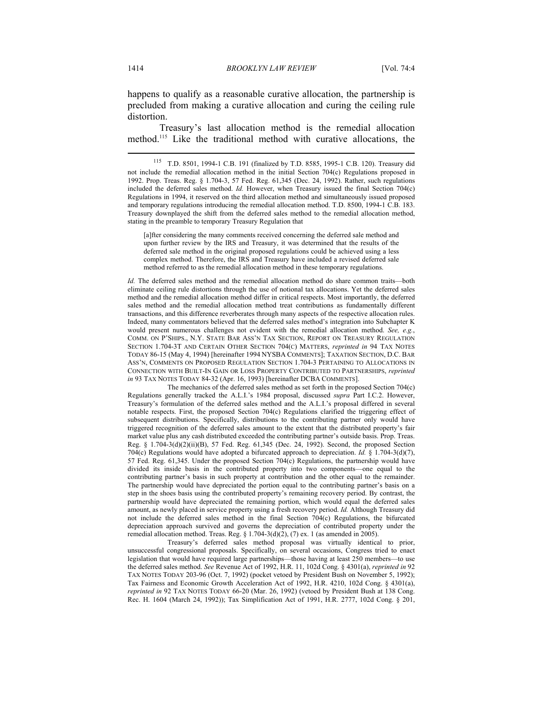happens to qualify as a reasonable curative allocation, the partnership is precluded from making a curative allocation and curing the ceiling rule distortion.

Treasury's last allocation method is the remedial allocation method.115 Like the traditional method with curative allocations, the

[a]fter considering the many comments received concerning the deferred sale method and upon further review by the IRS and Treasury, it was determined that the results of the deferred sale method in the original proposed regulations could be achieved using a less complex method. Therefore, the IRS and Treasury have included a revised deferred sale method referred to as the remedial allocation method in these temporary regulations.

*Id.* The deferred sales method and the remedial allocation method do share common traits—both eliminate ceiling rule distortions through the use of notional tax allocations. Yet the deferred sales method and the remedial allocation method differ in critical respects. Most importantly, the deferred sales method and the remedial allocation method treat contributions as fundamentally different transactions, and this difference reverberates through many aspects of the respective allocation rules. Indeed, many commentators believed that the deferred sales method's integration into Subchapter K would present numerous challenges not evident with the remedial allocation method. *See, e.g.*, COMM. ON P'SHIPS., N.Y. STATE BAR ASS'N TAX SECTION, REPORT ON TREASURY REGULATION SECTION 1.704-3T AND CERTAIN OTHER SECTION 704(C) MATTERS, *reprinted in* 94 TAX NOTES TODAY 86-15 (May 4, 1994) [hereinafter 1994 NYSBA COMMENTS]; TAXATION SECTION, D.C. BAR ASS'N, COMMENTS ON PROPOSED REGULATION SECTION 1.704-3 PERTAINING TO ALLOCATIONS IN CONNECTION WITH BUILT-IN GAIN OR LOSS PROPERTY CONTRIBUTED TO PARTNERSHIPS, *reprinted in* 93 TAX NOTES TODAY 84-32 (Apr. 16, 1993) [hereinafter DCBA COMMENTS].

 The mechanics of the deferred sales method as set forth in the proposed Section 704(c) Regulations generally tracked the A.L.I.'s 1984 proposal, discussed *supra* Part I.C.2. However, Treasury's formulation of the deferred sales method and the A.L.I.'s proposal differed in several notable respects. First, the proposed Section 704(c) Regulations clarified the triggering effect of subsequent distributions. Specifically, distributions to the contributing partner only would have triggered recognition of the deferred sales amount to the extent that the distributed property's fair market value plus any cash distributed exceeded the contributing partner's outside basis. Prop. Treas. Reg. § 1.704-3(d)(2)(ii)(B), 57 Fed. Reg. 61,345 (Dec. 24, 1992). Second, the proposed Section 704(c) Regulations would have adopted a bifurcated approach to depreciation. *Id.* § 1.704-3(d)(7), 57 Fed. Reg. 61,345. Under the proposed Section 704(c) Regulations, the partnership would have divided its inside basis in the contributed property into two components—one equal to the contributing partner's basis in such property at contribution and the other equal to the remainder. The partnership would have depreciated the portion equal to the contributing partner's basis on a step in the shoes basis using the contributed property's remaining recovery period. By contrast, the partnership would have depreciated the remaining portion, which would equal the deferred sales amount, as newly placed in service property using a fresh recovery period. *Id.* Although Treasury did not include the deferred sales method in the final Section 704(c) Regulations, the bifurcated depreciation approach survived and governs the depreciation of contributed property under the remedial allocation method. Treas. Reg.  $\S 1.704-3(d)(2)$ , (7) ex. 1 (as amended in 2005).

 Treasury's deferred sales method proposal was virtually identical to prior, unsuccessful congressional proposals. Specifically, on several occasions, Congress tried to enact legislation that would have required large partnerships—those having at least 250 members—to use the deferred sales method. *See* Revenue Act of 1992, H.R. 11, 102d Cong. § 4301(a), *reprinted in* 92 TAX NOTES TODAY 203-96 (Oct. 7, 1992) (pocket vetoed by President Bush on November 5, 1992); Tax Fairness and Economic Growth Acceleration Act of 1992, H.R. 4210, 102d Cong. § 4301(a), *reprinted in* 92 TAX NOTES TODAY 66-20 (Mar. 26, 1992) (vetoed by President Bush at 138 Cong. Rec. H. 1604 (March 24, 1992)); Tax Simplification Act of 1991, H.R. 2777, 102d Cong. § 201,

<sup>115</sup> T.D. 8501, 1994-1 C.B. 191 (finalized by T.D. 8585, 1995-1 C.B. 120). Treasury did not include the remedial allocation method in the initial Section 704(c) Regulations proposed in 1992. Prop. Treas. Reg. § 1.704-3, 57 Fed. Reg. 61,345 (Dec. 24, 1992). Rather, such regulations included the deferred sales method. *Id.* However, when Treasury issued the final Section 704(c) Regulations in 1994, it reserved on the third allocation method and simultaneously issued proposed and temporary regulations introducing the remedial allocation method. T.D. 8500, 1994-1 C.B. 183. Treasury downplayed the shift from the deferred sales method to the remedial allocation method, stating in the preamble to temporary Treasury Regulation that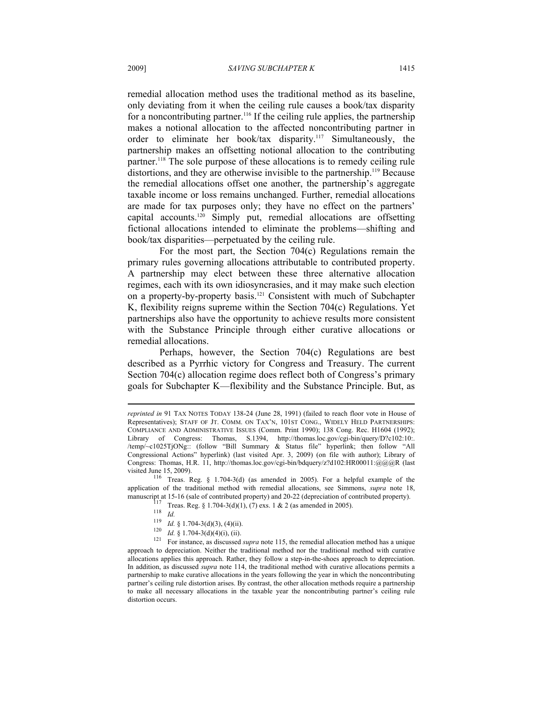remedial allocation method uses the traditional method as its baseline, only deviating from it when the ceiling rule causes a book/tax disparity for a noncontributing partner.116 If the ceiling rule applies, the partnership makes a notional allocation to the affected noncontributing partner in order to eliminate her book/tax disparity.117 Simultaneously, the partnership makes an offsetting notional allocation to the contributing partner.118 The sole purpose of these allocations is to remedy ceiling rule distortions, and they are otherwise invisible to the partnership.<sup>119</sup> Because the remedial allocations offset one another, the partnership's aggregate taxable income or loss remains unchanged. Further, remedial allocations are made for tax purposes only; they have no effect on the partners' capital accounts.120 Simply put, remedial allocations are offsetting fictional allocations intended to eliminate the problems—shifting and book/tax disparities—perpetuated by the ceiling rule.

For the most part, the Section 704(c) Regulations remain the primary rules governing allocations attributable to contributed property. A partnership may elect between these three alternative allocation regimes, each with its own idiosyncrasies, and it may make such election on a property-by-property basis.121 Consistent with much of Subchapter K, flexibility reigns supreme within the Section 704(c) Regulations. Yet partnerships also have the opportunity to achieve results more consistent with the Substance Principle through either curative allocations or remedial allocations.

Perhaps, however, the Section 704(c) Regulations are best described as a Pyrrhic victory for Congress and Treasury. The current Section 704(c) allocation regime does reflect both of Congress's primary goals for Subchapter K—flexibility and the Substance Principle. But, as

*reprinted in* 91 TAX NOTES TODAY 138-24 (June 28, 1991) (failed to reach floor vote in House of Representatives); STAFF OF JT. COMM. ON TAX'N, 101ST CONG., WIDELY HELD PARTNERSHIPS: COMPLIANCE AND ADMINISTRATIVE ISSUES (Comm. Print 1990); 138 Cong. Rec. H1604 (1992); Library of Congress: Thomas, S.1394, http://thomas.loc.gov/cgi-bin/query/D?c102:10:. /temp/~c1025TjONg:: (follow "Bill Summary & Status file" hyperlink; then follow "All Congressional Actions" hyperlink) (last visited Apr. 3, 2009) (on file with author); Library of Congress: Thomas, H.R. 11, http://thomas.loc.gov/cgi-bin/bdquery/z?d102:HR00011:@@@R (last

visited June 15, 2009).<br><sup>116</sup> Treas. Reg. § 1.704-3(d) (as amended in 2005). For a helpful example of the application of the traditional method with remedial allocations, see Simmons, *supra* note 18, manuscript at 15-16 (sale of contributed property) and 20-22 (depreciation of contributed property).

<sup>&</sup>lt;sup>117</sup> Treas. Reg. § 1.704-3(d)(1), (7) exs. 1 & 2 (as amended in 2005).<br>
<sup>118</sup> *Id.*<br> *Id.* § 1.704-3(d)(3), (4)(ii).<br>
<sup>120</sup> *Id.* § 1.704-3(d)(4)(i), (ii).<br>
For instance, as discussed *supra* note 115, the remedial alloc approach to depreciation. Neither the traditional method nor the traditional method with curative allocations applies this approach. Rather, they follow a step-in-the-shoes approach to depreciation. In addition, as discussed *supra* note 114, the traditional method with curative allocations permits a partnership to make curative allocations in the years following the year in which the noncontributing partner's ceiling rule distortion arises. By contrast, the other allocation methods require a partnership to make all necessary allocations in the taxable year the noncontributing partner's ceiling rule distortion occurs.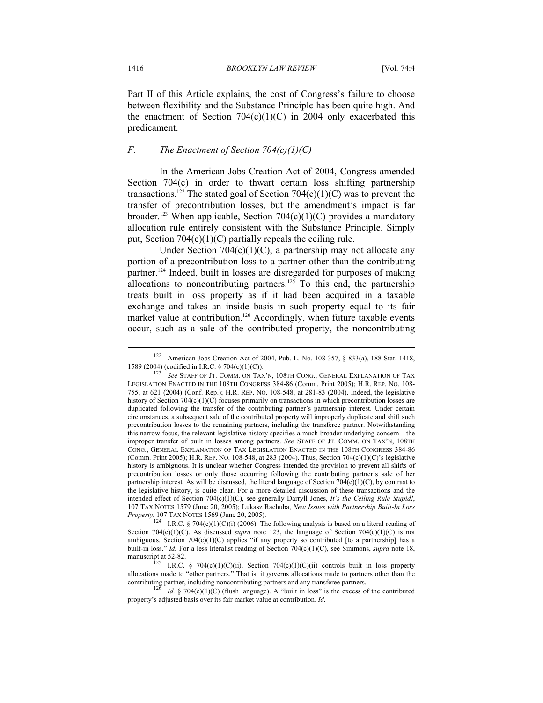Part II of this Article explains, the cost of Congress's failure to choose between flexibility and the Substance Principle has been quite high. And the enactment of Section  $704(c)(1)(C)$  in 2004 only exacerbated this predicament.

## *F. The Enactment of Section 704(c)(1)(C)*

In the American Jobs Creation Act of 2004, Congress amended Section 704(c) in order to thwart certain loss shifting partnership transactions.<sup>122</sup> The stated goal of Section 704(c)(1)(C) was to prevent the transfer of precontribution losses, but the amendment's impact is far broader.<sup>123</sup> When applicable, Section 704(c)(1)(C) provides a mandatory allocation rule entirely consistent with the Substance Principle. Simply put, Section  $704(c)(1)(C)$  partially repeals the ceiling rule.

Under Section  $704(c)(1)(C)$ , a partnership may not allocate any portion of a precontribution loss to a partner other than the contributing partner.124 Indeed, built in losses are disregarded for purposes of making allocations to noncontributing partners.<sup>125</sup> To this end, the partnership treats built in loss property as if it had been acquired in a taxable exchange and takes an inside basis in such property equal to its fair market value at contribution.<sup>126</sup> Accordingly, when future taxable events occur, such as a sale of the contributed property, the noncontributing

<sup>&</sup>lt;sup>122</sup> American Jobs Creation Act of 2004, Pub. L. No. 108-357, § 833(a), 188 Stat. 1418, 1589 (2004) (codified in I.R.C. § 704(c)(1)(C)).

See STAFF OF JT. COMM. ON TAX'N, 108TH CONG., GENERAL EXPLANATION OF TAX LEGISLATION ENACTED IN THE 108TH CONGRESS 384-86 (Comm. Print 2005); H.R. REP. NO. 108- 755, at 621 (2004) (Conf. Rep.); H.R. REP. NO. 108-548, at 281-83 (2004). Indeed, the legislative history of Section 704(c)(1)(C) focuses primarily on transactions in which precontribution losses are duplicated following the transfer of the contributing partner's partnership interest. Under certain circumstances, a subsequent sale of the contributed property will improperly duplicate and shift such precontribution losses to the remaining partners, including the transferee partner. Notwithstanding this narrow focus, the relevant legislative history specifies a much broader underlying concern—the improper transfer of built in losses among partners. *See* STAFF OF JT. COMM. ON TAX'N, 108TH CONG., GENERAL EXPLANATION OF TAX LEGISLATION ENACTED IN THE 108TH CONGRESS 384-86 (Comm. Print 2005); H.R. REP. No. 108-548, at 283 (2004). Thus, Section 704 $(c)(1)(C)$ 's legislative history is ambiguous. It is unclear whether Congress intended the provision to prevent all shifts of precontribution losses or only those occurring following the contributing partner's sale of her partnership interest. As will be discussed, the literal language of Section  $704(c)(1)(C)$ , by contrast to the legislative history, is quite clear. For a more detailed discussion of these transactions and the intended effect of Section 704(c)(1)(C), see generally Darryll Jones, *It's the Ceiling Rule Stupid!*, 107 TAX NOTES 1579 (June 20, 2005); Lukasz Rachuba, *New Issues with Partnership Built-In Loss Property*, 107 TAX NOTES 1569 (June 20, 2005).<br><sup>124</sup> I.R.C. § 704(c)(1)(C)(i) (2006). The following analysis is based on a literal reading of

Section 704(c)(1)(C). As discussed *supra* note 123, the language of Section 704(c)(1)(C) is not ambiguous. Section  $704(c)(1)(C)$  applies "if any property so contributed [to a partnership] has a built-in loss." *Id.* For a less literalist reading of Section 704(c)(1)(C), see Simmons, *supra* note 18,

manuscript at 52-82.<br>
I.R.C. § 704(c)(1)(C)(ii). Section 704(c)(1)(C)(ii) controls built in loss property<br>  $\therefore$ allocations made to "other partners." That is, it governs allocations made to partners other than the contributing partners, including noncontributing partners and any transferee partners.<br><sup>126</sup> *Id.* § 704(c)(1)(C) (flush language). A "built in loss" is the excess of the contributed

property's adjusted basis over its fair market value at contribution. *Id.*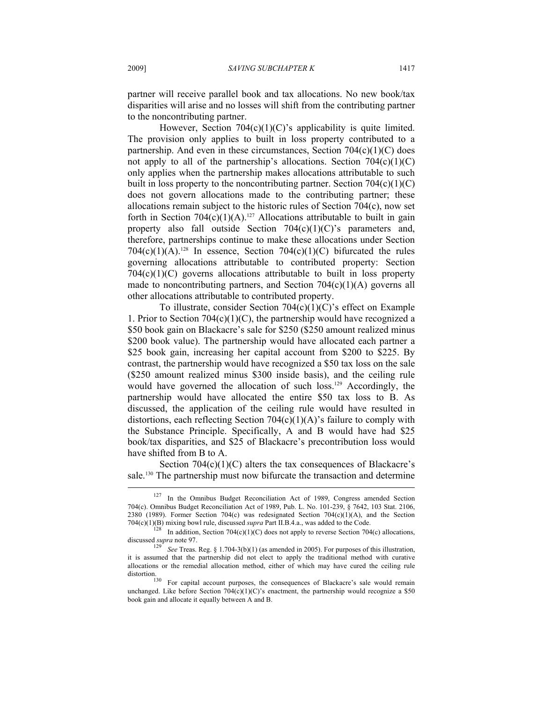partner will receive parallel book and tax allocations. No new book/tax disparities will arise and no losses will shift from the contributing partner to the noncontributing partner.

However, Section  $704(c)(1)(C)$ 's applicability is quite limited. The provision only applies to built in loss property contributed to a partnership. And even in these circumstances, Section  $704(c)(1)(C)$  does not apply to all of the partnership's allocations. Section  $704(c)(1)(C)$ only applies when the partnership makes allocations attributable to such built in loss property to the noncontributing partner. Section  $704(c)(1)(C)$ does not govern allocations made to the contributing partner; these allocations remain subject to the historic rules of Section 704(c), now set forth in Section 704(c)(1)(A).<sup>127</sup> Allocations attributable to built in gain property also fall outside Section 704(c)(1)(C)'s parameters and, therefore, partnerships continue to make these allocations under Section 704(c)(1)(A).<sup>128</sup> In essence, Section 704(c)(1)(C) bifurcated the rules governing allocations attributable to contributed property: Section  $704(c)(1)(C)$  governs allocations attributable to built in loss property made to noncontributing partners, and Section  $704(c)(1)(A)$  governs all other allocations attributable to contributed property.

To illustrate, consider Section 704(c)(1)(C)'s effect on Example 1. Prior to Section 704(c)(1)(C), the partnership would have recognized a \$50 book gain on Blackacre's sale for \$250 (\$250 amount realized minus \$200 book value). The partnership would have allocated each partner a \$25 book gain, increasing her capital account from \$200 to \$225. By contrast, the partnership would have recognized a \$50 tax loss on the sale (\$250 amount realized minus \$300 inside basis), and the ceiling rule would have governed the allocation of such loss.<sup>129</sup> Accordingly, the partnership would have allocated the entire \$50 tax loss to B. As discussed, the application of the ceiling rule would have resulted in distortions, each reflecting Section  $704(c)(1)(A)$ 's failure to comply with the Substance Principle. Specifically, A and B would have had \$25 book/tax disparities, and \$25 of Blackacre's precontribution loss would have shifted from B to A.

Section  $704(c)(1)(C)$  alters the tax consequences of Blackacre's sale.<sup>130</sup> The partnership must now bifurcate the transaction and determine

<sup>127</sup> In the Omnibus Budget Reconciliation Act of 1989, Congress amended Section 704(c). Omnibus Budget Reconciliation Act of 1989, Pub. L. No. 101-239, § 7642, 103 Stat. 2106, 2380 (1989). Former Section 704(c) was redesignated Section 704(c)(1)(A), and the Section 704(c)(1)(B) mixing bowl rule, discussed *supra* Part II.B.4.a., was added to the Code.

In addition, Section 704(c)(1)(C) does not apply to reverse Section 704(c) allocations, discussed *supra* note 97. 129 *See* Treas. Reg. § 1.704-3(b)(1) (as amended in 2005). For purposes of this illustration,

it is assumed that the partnership did not elect to apply the traditional method with curative allocations or the remedial allocation method, either of which may have cured the ceiling rule distortion.<br><sup>130</sup> For capital account purposes, the consequences of Blackacre's sale would remain

unchanged. Like before Section  $704(c)(1)(C)$ 's enactment, the partnership would recognize a \$50 book gain and allocate it equally between A and B.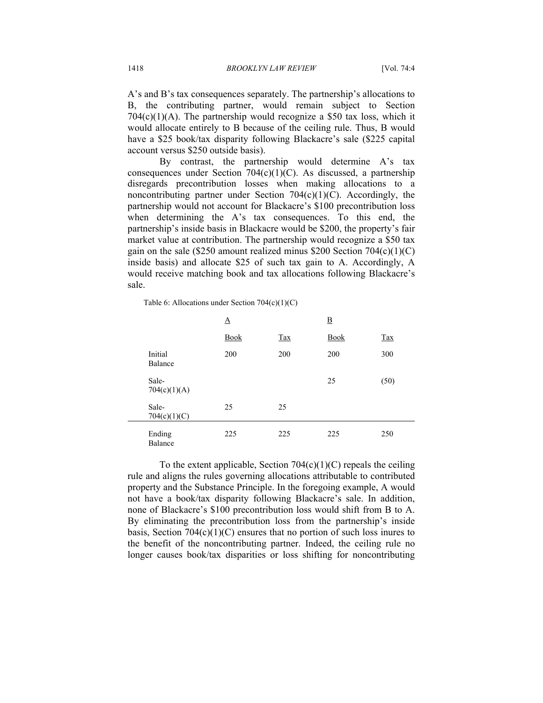A's and B's tax consequences separately. The partnership's allocations to B, the contributing partner, would remain subject to Section  $704(c)(1)(A)$ . The partnership would recognize a \$50 tax loss, which it would allocate entirely to B because of the ceiling rule. Thus, B would have a \$25 book/tax disparity following Blackacre's sale (\$225 capital account versus \$250 outside basis).

By contrast, the partnership would determine A's tax consequences under Section  $704(c)(1)(C)$ . As discussed, a partnership disregards precontribution losses when making allocations to a noncontributing partner under Section  $704(c)(1)(C)$ . Accordingly, the partnership would not account for Blackacre's \$100 precontribution loss when determining the A's tax consequences. To this end, the partnership's inside basis in Blackacre would be \$200, the property's fair market value at contribution. The partnership would recognize a \$50 tax gain on the sale (\$250 amount realized minus \$200 Section  $704(c)(1)(C)$ ) inside basis) and allocate \$25 of such tax gain to A. Accordingly, A would receive matching book and tax allocations following Blackacre's sale.

Table 6: Allocations under Section 704(c)(1)(C)

|                       | $\underline{A}$ |            | $\underline{\mathbf{B}}$ |            |
|-----------------------|-----------------|------------|--------------------------|------------|
|                       | <b>Book</b>     | <b>Tax</b> | <b>Book</b>              | <b>Tax</b> |
| Initial<br>Balance    | 200             | 200        | 200                      | 300        |
| Sale-<br>704(c)(1)(A) |                 |            | 25                       | (50)       |
| Sale-<br>704(c)(1)(C) | 25              | 25         |                          |            |
| Ending<br>Balance     | 225             | 225        | 225                      | 250        |

To the extent applicable, Section  $704(c)(1)(C)$  repeals the ceiling rule and aligns the rules governing allocations attributable to contributed property and the Substance Principle. In the foregoing example, A would not have a book/tax disparity following Blackacre's sale. In addition, none of Blackacre's \$100 precontribution loss would shift from B to A. By eliminating the precontribution loss from the partnership's inside basis, Section  $704(c)(1)(C)$  ensures that no portion of such loss inures to the benefit of the noncontributing partner. Indeed, the ceiling rule no longer causes book/tax disparities or loss shifting for noncontributing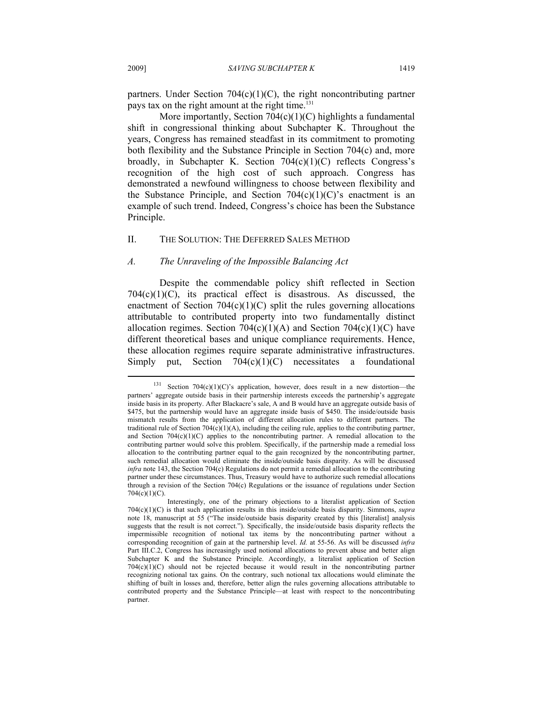partners. Under Section  $704(c)(1)(C)$ , the right noncontributing partner pays tax on the right amount at the right time.<sup>131</sup>

More importantly, Section  $704(c)(1)(C)$  highlights a fundamental shift in congressional thinking about Subchapter K. Throughout the years, Congress has remained steadfast in its commitment to promoting both flexibility and the Substance Principle in Section 704(c) and, more broadly, in Subchapter K. Section 704(c)(1)(C) reflects Congress's recognition of the high cost of such approach. Congress has demonstrated a newfound willingness to choose between flexibility and the Substance Principle, and Section  $704(c)(1)(C)$ 's enactment is an example of such trend. Indeed, Congress's choice has been the Substance Principle.

#### II. THE SOLUTION: THE DEFERRED SALES METHOD

#### *A. The Unraveling of the Impossible Balancing Act*

Despite the commendable policy shift reflected in Section  $704(c)(1)(C)$ , its practical effect is disastrous. As discussed, the enactment of Section  $704(c)(1)(C)$  split the rules governing allocations attributable to contributed property into two fundamentally distinct allocation regimes. Section  $704(c)(1)(A)$  and Section  $704(c)(1)(C)$  have different theoretical bases and unique compliance requirements. Hence, these allocation regimes require separate administrative infrastructures. Simply put, Section  $704(c)(1)(C)$  necessitates a foundational  $\overline{a}$ 

<sup>&</sup>lt;sup>131</sup> Section 704(c)(1)(C)'s application, however, does result in a new distortion—the partners' aggregate outside basis in their partnership interests exceeds the partnership's aggregate inside basis in its property. After Blackacre's sale, A and B would have an aggregate outside basis of \$475, but the partnership would have an aggregate inside basis of \$450. The inside/outside basis mismatch results from the application of different allocation rules to different partners. The traditional rule of Section 704(c)(1)(A), including the ceiling rule, applies to the contributing partner, and Section  $704(c)(1)(C)$  applies to the noncontributing partner. A remedial allocation to the contributing partner would solve this problem. Specifically, if the partnership made a remedial loss allocation to the contributing partner equal to the gain recognized by the noncontributing partner, such remedial allocation would eliminate the inside/outside basis disparity. As will be discussed *infra* note 143, the Section 704(c) Regulations do not permit a remedial allocation to the contributing partner under these circumstances. Thus, Treasury would have to authorize such remedial allocations through a revision of the Section 704(c) Regulations or the issuance of regulations under Section 704(c)(1)(C).

Interestingly, one of the primary objections to a literalist application of Section 704(c)(1)(C) is that such application results in this inside/outside basis disparity. Simmons, *supra* note 18, manuscript at 55 ("The inside/outside basis disparity created by this [literalist] analysis suggests that the result is not correct."). Specifically, the inside/outside basis disparity reflects the impermissible recognition of notional tax items by the noncontributing partner without a corresponding recognition of gain at the partnership level. *Id.* at 55-56. As will be discussed *infra* Part III.C.2, Congress has increasingly used notional allocations to prevent abuse and better align Subchapter K and the Substance Principle. Accordingly, a literalist application of Section 704(c)(1)(C) should not be rejected because it would result in the noncontributing partner recognizing notional tax gains. On the contrary, such notional tax allocations would eliminate the shifting of built in losses and, therefore, better align the rules governing allocations attributable to contributed property and the Substance Principle—at least with respect to the noncontributing partner.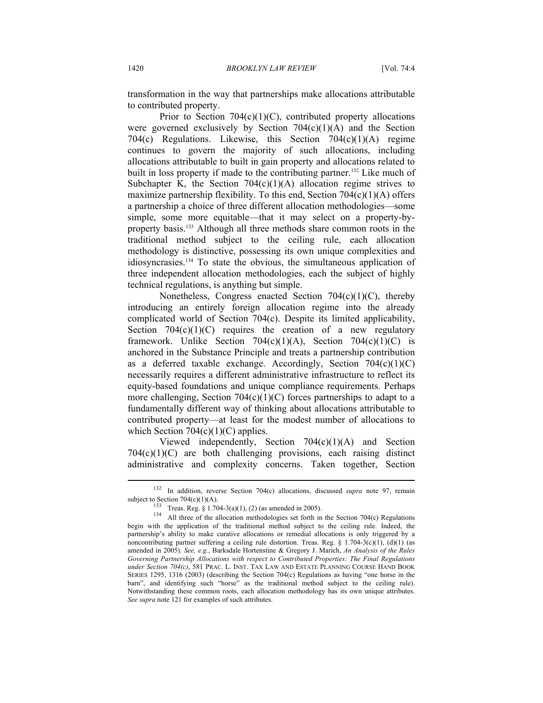transformation in the way that partnerships make allocations attributable to contributed property.

Prior to Section  $704(c)(1)(C)$ , contributed property allocations were governed exclusively by Section  $704(c)(1)(A)$  and the Section 704(c) Regulations. Likewise, this Section 704(c)(1)(A) regime continues to govern the majority of such allocations, including allocations attributable to built in gain property and allocations related to built in loss property if made to the contributing partner.<sup>132</sup> Like much of Subchapter K, the Section  $704(c)(1)(A)$  allocation regime strives to maximize partnership flexibility. To this end, Section  $704(c)(1)(A)$  offers a partnership a choice of three different allocation methodologies—some simple, some more equitable—that it may select on a property-byproperty basis.133 Although all three methods share common roots in the traditional method subject to the ceiling rule, each allocation methodology is distinctive, possessing its own unique complexities and idiosyncrasies.134 To state the obvious, the simultaneous application of three independent allocation methodologies, each the subject of highly technical regulations, is anything but simple.

Nonetheless, Congress enacted Section 704(c)(1)(C), thereby introducing an entirely foreign allocation regime into the already complicated world of Section 704(c). Despite its limited applicability, Section  $704(c)(1)(C)$  requires the creation of a new regulatory framework. Unlike Section  $704(c)(1)(A)$ , Section  $704(c)(1)(C)$  is anchored in the Substance Principle and treats a partnership contribution as a deferred taxable exchange. Accordingly, Section  $704(c)(1)(C)$ necessarily requires a different administrative infrastructure to reflect its equity-based foundations and unique compliance requirements. Perhaps more challenging, Section  $704(c)(1)(C)$  forces partnerships to adapt to a fundamentally different way of thinking about allocations attributable to contributed property—at least for the modest number of allocations to which Section  $704(c)(1)(C)$  applies.

Viewed independently, Section 704(c)(1)(A) and Section  $704(c)(1)(C)$  are both challenging provisions, each raising distinct administrative and complexity concerns. Taken together, Section

<sup>132</sup> In addition, reverse Section 704(c) allocations, discussed *supra* note 97, remain

subject to Section 704(c)(1)(A).<br><sup>133</sup> Treas. Reg. § 1.704-3(a)(1), (2) (as amended in 2005).<br><sup>134</sup> All three of the allocation methodologies set forth in the Section 704(c) Regulations begin with the application of the traditional method subject to the ceiling rule. Indeed, the partnership's ability to make curative allocations or remedial allocations is only triggered by a noncontributing partner suffering a ceiling rule distortion. Treas. Reg. § 1.704-3(c)(1), (d)(1) (as amended in 2005). *See, e.g.*, Barksdale Hortenstine & Gregory J. Marich, *An Analysis of the Rules Governing Partnership Allocations with respect to Contributed Properties: The Final Regulations under Section 704(c)*, 581 PRAC. L. INST. TAX LAW AND ESTATE PLANNING COURSE HAND BOOK SERIES 1295, 1316 (2003) (describing the Section 704(c) Regulations as having "one horse in the barn", and identifying such "horse" as the traditional method subject to the ceiling rule). Notwithstanding these common roots, each allocation methodology has its own unique attributes. *See supra* note 121 for examples of such attributes.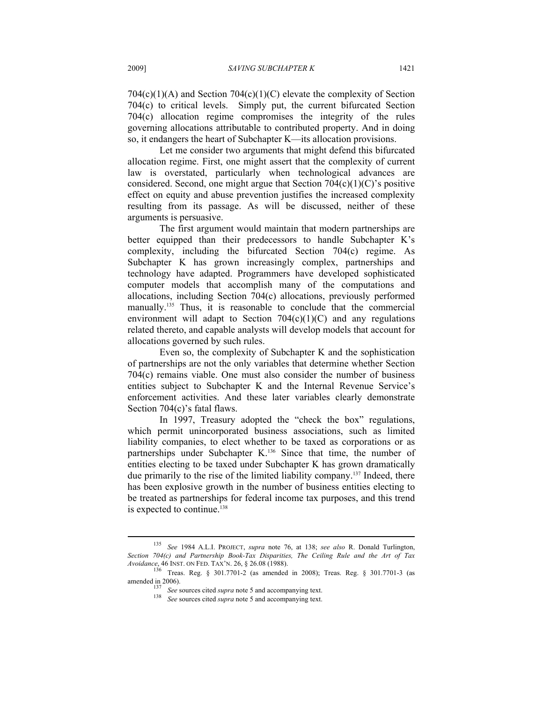$704(c)(1)(A)$  and Section  $704(c)(1)(C)$  elevate the complexity of Section 704(c) to critical levels. Simply put, the current bifurcated Section 704(c) allocation regime compromises the integrity of the rules governing allocations attributable to contributed property. And in doing so, it endangers the heart of Subchapter K—its allocation provisions.

Let me consider two arguments that might defend this bifurcated allocation regime. First, one might assert that the complexity of current law is overstated, particularly when technological advances are considered. Second, one might argue that Section  $704(c)(1)(C)$ 's positive effect on equity and abuse prevention justifies the increased complexity resulting from its passage. As will be discussed, neither of these arguments is persuasive.

The first argument would maintain that modern partnerships are better equipped than their predecessors to handle Subchapter K's complexity, including the bifurcated Section 704(c) regime. As Subchapter K has grown increasingly complex, partnerships and technology have adapted. Programmers have developed sophisticated computer models that accomplish many of the computations and allocations, including Section 704(c) allocations, previously performed manually.<sup>135</sup> Thus, it is reasonable to conclude that the commercial environment will adapt to Section  $704(c)(1)(C)$  and any regulations related thereto, and capable analysts will develop models that account for allocations governed by such rules.

Even so, the complexity of Subchapter K and the sophistication of partnerships are not the only variables that determine whether Section 704(c) remains viable. One must also consider the number of business entities subject to Subchapter K and the Internal Revenue Service's enforcement activities. And these later variables clearly demonstrate Section 704(c)'s fatal flaws.

In 1997, Treasury adopted the "check the box" regulations, which permit unincorporated business associations, such as limited liability companies, to elect whether to be taxed as corporations or as partnerships under Subchapter K.<sup>136</sup> Since that time, the number of entities electing to be taxed under Subchapter K has grown dramatically due primarily to the rise of the limited liability company.137 Indeed, there has been explosive growth in the number of business entities electing to be treated as partnerships for federal income tax purposes, and this trend is expected to continue.<sup>138</sup>

<sup>135</sup> *See* 1984 A.L.I. PROJECT, *supra* note 76, at 138; *see also* R. Donald Turlington, *Section 704(c) and Partnership Book-Tax Disparities, The Ceiling Rule and the Art of Tax Avoidance, 46 INST. ON FED. TAX'N. 26, § 26.08 (1988).* 

<sup>&</sup>lt;sup>136</sup> Treas. Reg. § 301.7701-2 (as amended in 2008); Treas. Reg. § 301.7701-3 (as amended in 2006).<br><sup>137</sup> See sources cited *supra* note 5 and accompanying text.<br><sup>138</sup> See sources cited *supra* note 5 and accompanying text.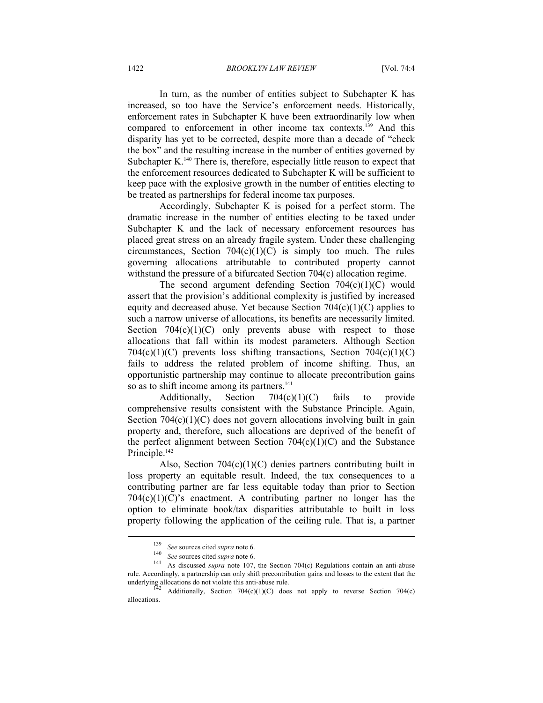In turn, as the number of entities subject to Subchapter K has increased, so too have the Service's enforcement needs. Historically, enforcement rates in Subchapter K have been extraordinarily low when compared to enforcement in other income tax contexts.139 And this disparity has yet to be corrected, despite more than a decade of "check the box" and the resulting increase in the number of entities governed by Subchapter K<sup>140</sup> There is, therefore, especially little reason to expect that the enforcement resources dedicated to Subchapter K will be sufficient to keep pace with the explosive growth in the number of entities electing to be treated as partnerships for federal income tax purposes.

Accordingly, Subchapter K is poised for a perfect storm. The dramatic increase in the number of entities electing to be taxed under Subchapter K and the lack of necessary enforcement resources has placed great stress on an already fragile system. Under these challenging circumstances, Section  $704(c)(1)(C)$  is simply too much. The rules governing allocations attributable to contributed property cannot withstand the pressure of a bifurcated Section 704(c) allocation regime.

The second argument defending Section  $704(c)(1)(C)$  would assert that the provision's additional complexity is justified by increased equity and decreased abuse. Yet because Section  $704(c)(1)(C)$  applies to such a narrow universe of allocations, its benefits are necessarily limited. Section  $704(c)(1)(C)$  only prevents abuse with respect to those allocations that fall within its modest parameters. Although Section  $704(c)(1)(C)$  prevents loss shifting transactions, Section  $704(c)(1)(C)$ fails to address the related problem of income shifting. Thus, an opportunistic partnership may continue to allocate precontribution gains so as to shift income among its partners.<sup>141</sup>

Additionally, Section 704(c)(1)(C) fails to provide comprehensive results consistent with the Substance Principle. Again, Section  $704(c)(1)(C)$  does not govern allocations involving built in gain property and, therefore, such allocations are deprived of the benefit of the perfect alignment between Section  $704(c)(1)(C)$  and the Substance Principle.<sup>142</sup>

Also, Section 704(c)(1)(C) denies partners contributing built in loss property an equitable result. Indeed, the tax consequences to a contributing partner are far less equitable today than prior to Section  $704(c)(1)(C)$ 's enactment. A contributing partner no longer has the option to eliminate book/tax disparities attributable to built in loss property following the application of the ceiling rule. That is, a partner

<sup>139</sup> *See* sources cited *supra* note 6. 140 *See* sources cited *supra* note 6. 141 As discussed *supra* note 107, the Section 704(c) Regulations contain an anti-abuse rule. Accordingly, a partnership can only shift precontribution gains and losses to the extent that the underlying allocations do not violate this anti-abuse rule.

Additionally, Section  $704(c)(1)(C)$  does not apply to reverse Section 704(c) allocations.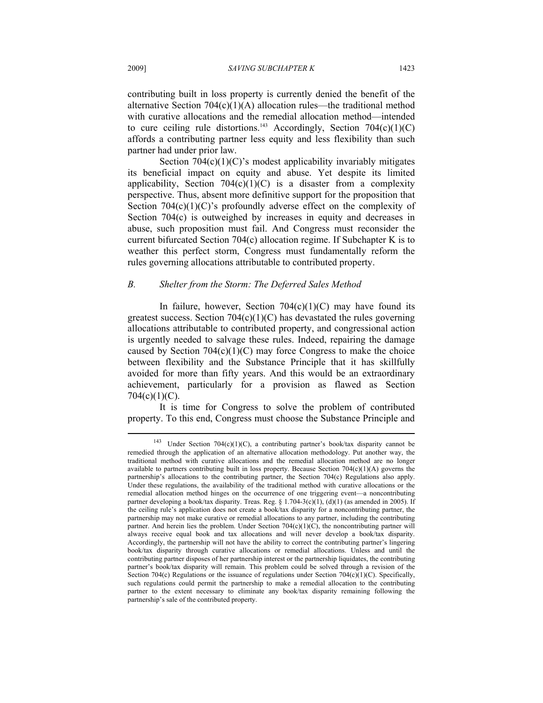contributing built in loss property is currently denied the benefit of the alternative Section  $704(c)(1)(A)$  allocation rules—the traditional method with curative allocations and the remedial allocation method—intended to cure ceiling rule distortions.<sup>143</sup> Accordingly, Section  $704(c)(1)(C)$ affords a contributing partner less equity and less flexibility than such partner had under prior law.

Section  $704(c)(1)(C)$ 's modest applicability invariably mitigates its beneficial impact on equity and abuse. Yet despite its limited applicability, Section  $704(c)(1)(C)$  is a disaster from a complexity perspective. Thus, absent more definitive support for the proposition that Section  $704(c)(1)(C)$ 's profoundly adverse effect on the complexity of Section 704(c) is outweighed by increases in equity and decreases in abuse, such proposition must fail. And Congress must reconsider the current bifurcated Section 704(c) allocation regime. If Subchapter K is to weather this perfect storm, Congress must fundamentally reform the rules governing allocations attributable to contributed property.

#### *B. Shelter from the Storm: The Deferred Sales Method*

In failure, however, Section  $704(c)(1)(C)$  may have found its greatest success. Section  $704(c)(1)(C)$  has devastated the rules governing allocations attributable to contributed property, and congressional action is urgently needed to salvage these rules. Indeed, repairing the damage caused by Section  $704(c)(1)(C)$  may force Congress to make the choice between flexibility and the Substance Principle that it has skillfully avoided for more than fifty years. And this would be an extraordinary achievement, particularly for a provision as flawed as Section  $704(c)(1)(C)$ .

It is time for Congress to solve the problem of contributed property. To this end, Congress must choose the Substance Principle and

<sup>143</sup> Under Section 704(c)(1)(C), a contributing partner's book/tax disparity cannot be remedied through the application of an alternative allocation methodology. Put another way, the traditional method with curative allocations and the remedial allocation method are no longer available to partners contributing built in loss property. Because Section  $704(c)(1)(A)$  governs the partnership's allocations to the contributing partner, the Section 704(c) Regulations also apply. Under these regulations, the availability of the traditional method with curative allocations or the remedial allocation method hinges on the occurrence of one triggering event—a noncontributing partner developing a book/tax disparity. Treas. Reg. § 1.704-3(c)(1), (d)(1) (as amended in 2005). If the ceiling rule's application does not create a book/tax disparity for a noncontributing partner, the partnership may not make curative or remedial allocations to any partner, including the contributing partner. And herein lies the problem. Under Section  $704(c)(1)(C)$ , the noncontributing partner will always receive equal book and tax allocations and will never develop a book/tax disparity. Accordingly, the partnership will not have the ability to correct the contributing partner's lingering book/tax disparity through curative allocations or remedial allocations. Unless and until the contributing partner disposes of her partnership interest or the partnership liquidates, the contributing partner's book/tax disparity will remain. This problem could be solved through a revision of the Section 704(c) Regulations or the issuance of regulations under Section 704(c)(1)(C). Specifically, such regulations could permit the partnership to make a remedial allocation to the contributing partner to the extent necessary to eliminate any book/tax disparity remaining following the partnership's sale of the contributed property.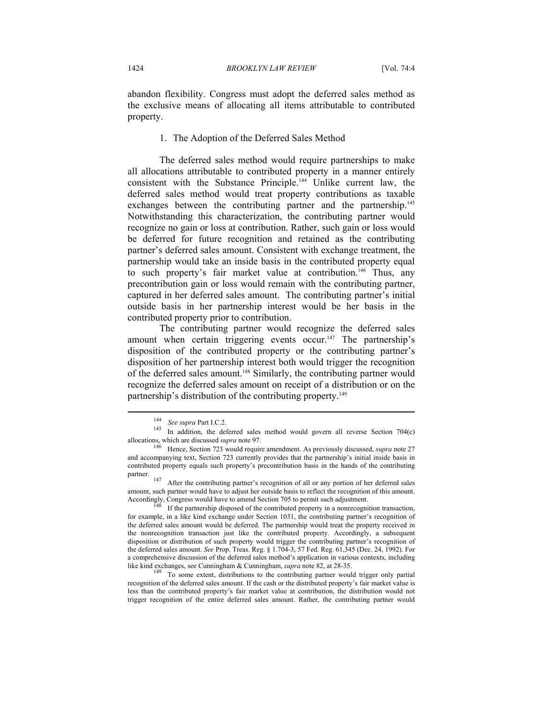abandon flexibility. Congress must adopt the deferred sales method as the exclusive means of allocating all items attributable to contributed property.

#### 1. The Adoption of the Deferred Sales Method

The deferred sales method would require partnerships to make all allocations attributable to contributed property in a manner entirely consistent with the Substance Principle.144 Unlike current law, the deferred sales method would treat property contributions as taxable exchanges between the contributing partner and the partnership.<sup>145</sup> Notwithstanding this characterization, the contributing partner would recognize no gain or loss at contribution. Rather, such gain or loss would be deferred for future recognition and retained as the contributing partner's deferred sales amount. Consistent with exchange treatment, the partnership would take an inside basis in the contributed property equal to such property's fair market value at contribution.<sup>146</sup> Thus, any precontribution gain or loss would remain with the contributing partner, captured in her deferred sales amount. The contributing partner's initial outside basis in her partnership interest would be her basis in the contributed property prior to contribution.

The contributing partner would recognize the deferred sales amount when certain triggering events occur.<sup>147</sup> The partnership's disposition of the contributed property or the contributing partner's disposition of her partnership interest both would trigger the recognition of the deferred sales amount.148 Similarly, the contributing partner would recognize the deferred sales amount on receipt of a distribution or on the partnership's distribution of the contributing property.<sup>149</sup>

<sup>&</sup>lt;sup>144</sup> See *supra* Part I.C.2.<br><sup>145</sup> In addition, the deferred sales method would govern all reverse Section 704(c) allocations, which are discussed *supra* note 97.

<sup>&</sup>lt;sup>146</sup> Hence, Section 723 would require amendment. As previously discussed, *supra* note 27 and accompanying text, Section 723 currently provides that the partnership's initial inside basis in contributed property equals such property's precontribution basis in the hands of the contributing partner.<br><sup>147</sup> After the contributing partner's recognition of all or any portion of her deferred sales

amount, such partner would have to adjust her outside basis to reflect the recognition of this amount. Accordingly, Congress would have to amend Section 705 to permit such adjustment.<br><sup>148</sup> If the partnership disposed of the contributed property in a nonrecognition transaction,

for example, in a like kind exchange under Section 1031, the contributing partner's recognition of the deferred sales amount would be deferred. The partnership would treat the property received in the nonrecognition transaction just like the contributed property. Accordingly, a subsequent disposition or distribution of such property would trigger the contributing partner's recognition of the deferred sales amount. *See* Prop. Treas. Reg. § 1.704-3, 57 Fed. Reg. 61,345 (Dec. 24, 1992). For a comprehensive discussion of the deferred sales method's application in various contexts, including like kind exchanges, see Cunningham & Cunningham, *supra* note 82, at 28-35.<br><sup>149</sup> To some extent, distributions to the contributing partner would trigger only partial

recognition of the deferred sales amount. If the cash or the distributed property's fair market value is less than the contributed property's fair market value at contribution, the distribution would not trigger recognition of the entire deferred sales amount. Rather, the contributing partner would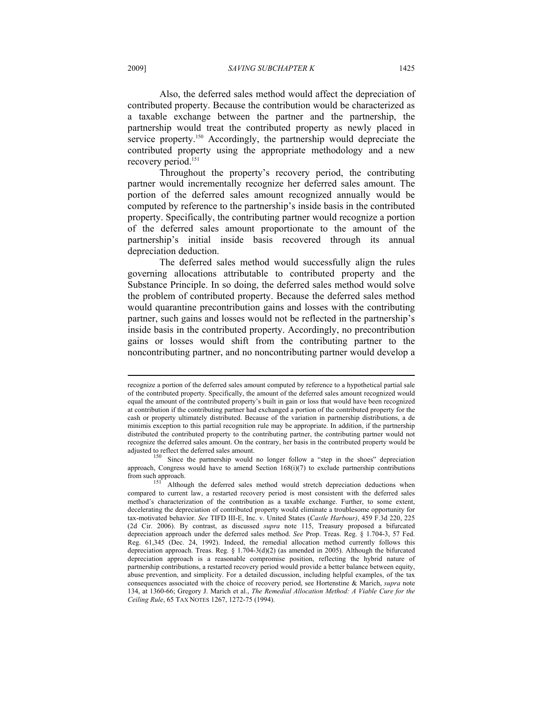2009] *SAVING SUBCHAPTER K* 1425

Also, the deferred sales method would affect the depreciation of contributed property. Because the contribution would be characterized as a taxable exchange between the partner and the partnership, the partnership would treat the contributed property as newly placed in service property.<sup>150</sup> Accordingly, the partnership would depreciate the contributed property using the appropriate methodology and a new recovery period.<sup>151</sup>

Throughout the property's recovery period, the contributing partner would incrementally recognize her deferred sales amount. The portion of the deferred sales amount recognized annually would be computed by reference to the partnership's inside basis in the contributed property. Specifically, the contributing partner would recognize a portion of the deferred sales amount proportionate to the amount of the partnership's initial inside basis recovered through its annual depreciation deduction.

The deferred sales method would successfully align the rules governing allocations attributable to contributed property and the Substance Principle. In so doing, the deferred sales method would solve the problem of contributed property. Because the deferred sales method would quarantine precontribution gains and losses with the contributing partner, such gains and losses would not be reflected in the partnership's inside basis in the contributed property. Accordingly, no precontribution gains or losses would shift from the contributing partner to the noncontributing partner, and no noncontributing partner would develop a

recognize a portion of the deferred sales amount computed by reference to a hypothetical partial sale of the contributed property. Specifically, the amount of the deferred sales amount recognized would equal the amount of the contributed property's built in gain or loss that would have been recognized at contribution if the contributing partner had exchanged a portion of the contributed property for the cash or property ultimately distributed. Because of the variation in partnership distributions, a de minimis exception to this partial recognition rule may be appropriate. In addition, if the partnership distributed the contributed property to the contributing partner, the contributing partner would not recognize the deferred sales amount. On the contrary, her basis in the contributed property would be

 $150$  Since the partnership would no longer follow a "step in the shoes" depreciation approach, Congress would have to amend Section  $168(i)(7)$  to exclude partnership contributions from such approach.

Although the deferred sales method would stretch depreciation deductions when compared to current law, a restarted recovery period is most consistent with the deferred sales method's characterization of the contribution as a taxable exchange. Further, to some extent, decelerating the depreciation of contributed property would eliminate a troublesome opportunity for tax-motivated behavior. *See* TIFD III-E, Inc. v. United States (*Castle Harbour)*, 459 F.3d 220, 225 (2d Cir. 2006). By contrast, as discussed *supra* note 115, Treasury proposed a bifurcated depreciation approach under the deferred sales method. *See* Prop. Treas. Reg. § 1.704-3, 57 Fed. Reg. 61,345 (Dec. 24, 1992). Indeed, the remedial allocation method currently follows this depreciation approach. Treas. Reg.  $\S$  1.704-3(d)(2) (as amended in 2005). Although the bifurcated depreciation approach is a reasonable compromise position, reflecting the hybrid nature of partnership contributions, a restarted recovery period would provide a better balance between equity, abuse prevention, and simplicity. For a detailed discussion, including helpful examples, of the tax consequences associated with the choice of recovery period, see Hortenstine & Marich, *supra* note 134, at 1360-66; Gregory J. Marich et al., *The Remedial Allocation Method: A Viable Cure for the Ceiling Rule*, 65 TAX NOTES 1267, 1272-75 (1994).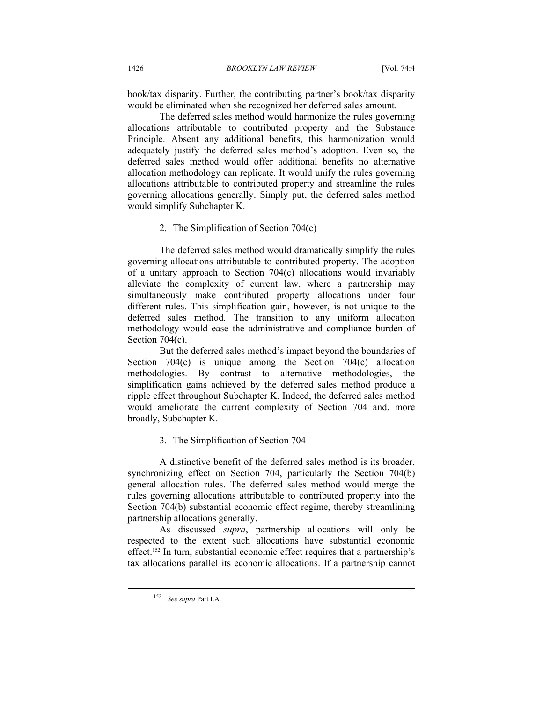book/tax disparity. Further, the contributing partner's book/tax disparity would be eliminated when she recognized her deferred sales amount.

The deferred sales method would harmonize the rules governing allocations attributable to contributed property and the Substance Principle. Absent any additional benefits, this harmonization would adequately justify the deferred sales method's adoption. Even so, the deferred sales method would offer additional benefits no alternative allocation methodology can replicate. It would unify the rules governing allocations attributable to contributed property and streamline the rules governing allocations generally. Simply put, the deferred sales method would simplify Subchapter K.

#### 2. The Simplification of Section 704(c)

The deferred sales method would dramatically simplify the rules governing allocations attributable to contributed property. The adoption of a unitary approach to Section 704(c) allocations would invariably alleviate the complexity of current law, where a partnership may simultaneously make contributed property allocations under four different rules. This simplification gain, however, is not unique to the deferred sales method. The transition to any uniform allocation methodology would ease the administrative and compliance burden of Section 704(c).

But the deferred sales method's impact beyond the boundaries of Section 704(c) is unique among the Section 704(c) allocation methodologies. By contrast to alternative methodologies, the simplification gains achieved by the deferred sales method produce a ripple effect throughout Subchapter K. Indeed, the deferred sales method would ameliorate the current complexity of Section 704 and, more broadly, Subchapter K.

3. The Simplification of Section 704

A distinctive benefit of the deferred sales method is its broader, synchronizing effect on Section 704, particularly the Section 704(b) general allocation rules. The deferred sales method would merge the rules governing allocations attributable to contributed property into the Section 704(b) substantial economic effect regime, thereby streamlining partnership allocations generally.

As discussed *supra*, partnership allocations will only be respected to the extent such allocations have substantial economic effect.152 In turn, substantial economic effect requires that a partnership's tax allocations parallel its economic allocations. If a partnership cannot

<sup>152</sup> *See supra* Part I.A.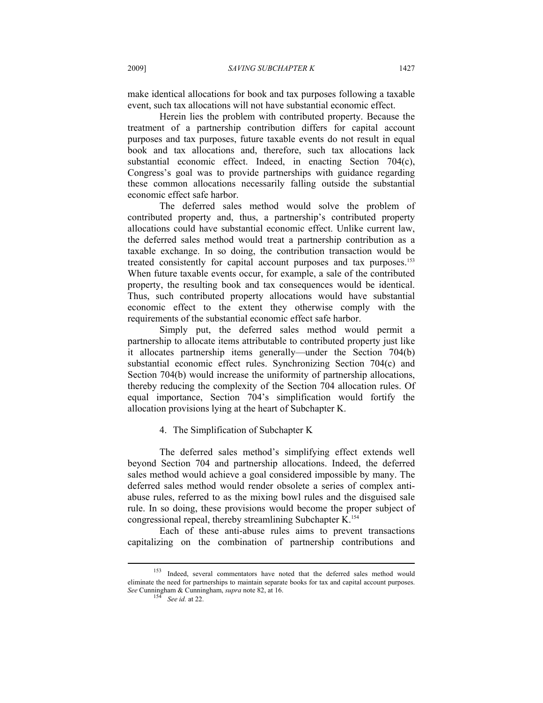make identical allocations for book and tax purposes following a taxable event, such tax allocations will not have substantial economic effect.

Herein lies the problem with contributed property. Because the treatment of a partnership contribution differs for capital account purposes and tax purposes, future taxable events do not result in equal book and tax allocations and, therefore, such tax allocations lack substantial economic effect. Indeed, in enacting Section 704(c), Congress's goal was to provide partnerships with guidance regarding these common allocations necessarily falling outside the substantial economic effect safe harbor.

The deferred sales method would solve the problem of contributed property and, thus, a partnership's contributed property allocations could have substantial economic effect. Unlike current law, the deferred sales method would treat a partnership contribution as a taxable exchange. In so doing, the contribution transaction would be treated consistently for capital account purposes and tax purposes.153 When future taxable events occur, for example, a sale of the contributed property, the resulting book and tax consequences would be identical. Thus, such contributed property allocations would have substantial economic effect to the extent they otherwise comply with the requirements of the substantial economic effect safe harbor.

Simply put, the deferred sales method would permit a partnership to allocate items attributable to contributed property just like it allocates partnership items generally—under the Section 704(b) substantial economic effect rules. Synchronizing Section 704(c) and Section 704(b) would increase the uniformity of partnership allocations, thereby reducing the complexity of the Section 704 allocation rules. Of equal importance, Section 704's simplification would fortify the allocation provisions lying at the heart of Subchapter K.

# 4. The Simplification of Subchapter K

The deferred sales method's simplifying effect extends well beyond Section 704 and partnership allocations. Indeed, the deferred sales method would achieve a goal considered impossible by many. The deferred sales method would render obsolete a series of complex antiabuse rules, referred to as the mixing bowl rules and the disguised sale rule. In so doing, these provisions would become the proper subject of congressional repeal, thereby streamlining Subchapter K.154

Each of these anti-abuse rules aims to prevent transactions capitalizing on the combination of partnership contributions and

<sup>153</sup> Indeed, several commentators have noted that the deferred sales method would eliminate the need for partnerships to maintain separate books for tax and capital account purposes. *See* Cunningham & Cunningham, *supra* note 82, at 16. 154 *See id.* at 22.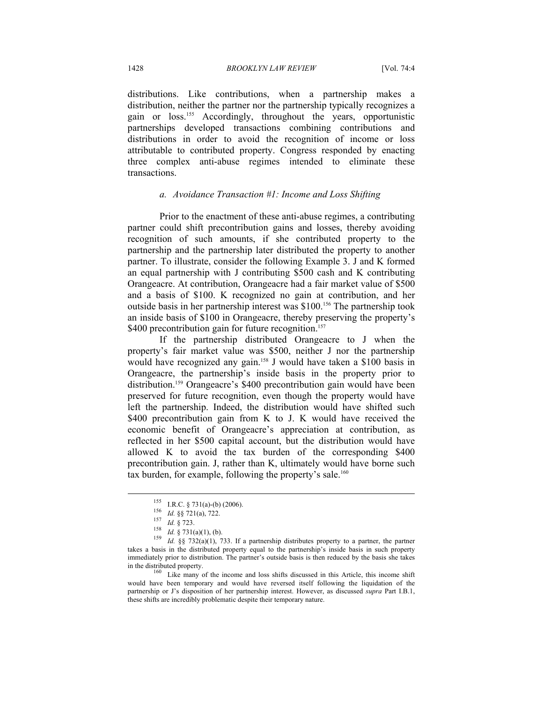distributions. Like contributions, when a partnership makes a distribution, neither the partner nor the partnership typically recognizes a gain or loss.155 Accordingly, throughout the years, opportunistic partnerships developed transactions combining contributions and distributions in order to avoid the recognition of income or loss attributable to contributed property. Congress responded by enacting three complex anti-abuse regimes intended to eliminate these transactions.

#### *a. Avoidance Transaction #1: Income and Loss Shifting*

Prior to the enactment of these anti-abuse regimes, a contributing partner could shift precontribution gains and losses, thereby avoiding recognition of such amounts, if she contributed property to the partnership and the partnership later distributed the property to another partner. To illustrate, consider the following Example 3. J and K formed an equal partnership with J contributing \$500 cash and K contributing Orangeacre. At contribution, Orangeacre had a fair market value of \$500 and a basis of \$100. K recognized no gain at contribution, and her outside basis in her partnership interest was \$100.156 The partnership took an inside basis of \$100 in Orangeacre, thereby preserving the property's \$400 precontribution gain for future recognition.<sup>157</sup>

If the partnership distributed Orangeacre to J when the property's fair market value was \$500, neither J nor the partnership would have recognized any gain.<sup>158</sup> J would have taken a \$100 basis in Orangeacre, the partnership's inside basis in the property prior to distribution.<sup>159</sup> Orangeacre's \$400 precontribution gain would have been preserved for future recognition, even though the property would have left the partnership. Indeed, the distribution would have shifted such \$400 precontribution gain from K to J. K would have received the economic benefit of Orangeacre's appreciation at contribution, as reflected in her \$500 capital account, but the distribution would have allowed K to avoid the tax burden of the corresponding \$400 precontribution gain. J, rather than K, ultimately would have borne such tax burden, for example, following the property's sale.<sup>160</sup>

<sup>155</sup> I.R.C. § 731(a)-(b) (2006).<br>
156 *Id.* §§ 721(a), 722.<br>
157 *Id.* § 7323.<br>
159 *Id.* §§ 732(a)(1), 733. If a partnership distributes property to a partner, the partner takes a basis in the distributed property equal to the partnership's inside basis in such property immediately prior to distribution. The partner's outside basis is then reduced by the basis she takes in the distributed property. 160 Like many of the income and loss shifts discussed in this Article, this income shift

would have been temporary and would have reversed itself following the liquidation of the partnership or J's disposition of her partnership interest. However, as discussed *supra* Part I.B.1, these shifts are incredibly problematic despite their temporary nature.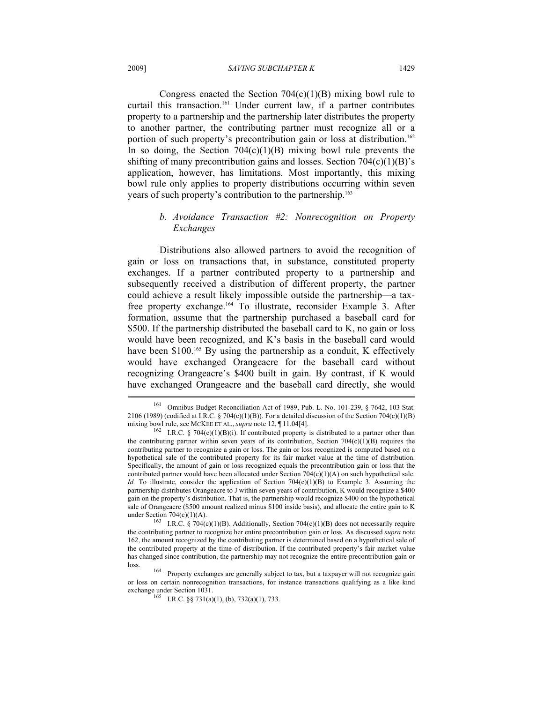Congress enacted the Section  $704(c)(1)(B)$  mixing bowl rule to curtail this transaction.161 Under current law, if a partner contributes property to a partnership and the partnership later distributes the property to another partner, the contributing partner must recognize all or a portion of such property's precontribution gain or loss at distribution.<sup>162</sup> In so doing, the Section  $704(c)(1)(B)$  mixing bowl rule prevents the shifting of many precontribution gains and losses. Section  $704(c)(1)(B)$ 's application, however, has limitations. Most importantly, this mixing bowl rule only applies to property distributions occurring within seven years of such property's contribution to the partnership.<sup>163</sup>

# *b. Avoidance Transaction #2: Nonrecognition on Property Exchanges*

Distributions also allowed partners to avoid the recognition of gain or loss on transactions that, in substance, constituted property exchanges. If a partner contributed property to a partnership and subsequently received a distribution of different property, the partner could achieve a result likely impossible outside the partnership—a taxfree property exchange.164 To illustrate, reconsider Example 3. After formation, assume that the partnership purchased a baseball card for \$500. If the partnership distributed the baseball card to K, no gain or loss would have been recognized, and K's basis in the baseball card would have been \$100.<sup>165</sup> By using the partnership as a conduit, K effectively would have exchanged Orangeacre for the baseball card without recognizing Orangeacre's \$400 built in gain. By contrast, if K would have exchanged Orangeacre and the baseball card directly, she would

<sup>161</sup> Omnibus Budget Reconciliation Act of 1989, Pub. L. No. 101-239, § 7642, 103 Stat. 2106 (1989) (codified at I.R.C. § 704(c)(1)(B)). For a detailed discussion of the Section 704(c)(1)(B) mixing bowl rule, see MCKEE ET AL., *supra* note 12,  $\P$ 11.04[4].

<sup>&</sup>lt;sup>162</sup> I.R.C. § 704(c)(1)(B)(i). If contributed property is distributed to a partner other than the contributing partner within seven years of its contribution, Section  $704(c)(1)(B)$  requires the contributing partner to recognize a gain or loss. The gain or loss recognized is computed based on a hypothetical sale of the contributed property for its fair market value at the time of distribution. Specifically, the amount of gain or loss recognized equals the precontribution gain or loss that the contributed partner would have been allocated under Section 704(c)(1)(A) on such hypothetical sale. *Id.* To illustrate, consider the application of Section  $704(c)(1)(B)$  to Example 3. Assuming the partnership distributes Orangeacre to J within seven years of contribution, K would recognize a \$400 gain on the property's distribution. That is, the partnership would recognize \$400 on the hypothetical sale of Orangeacre (\$500 amount realized minus \$100 inside basis), and allocate the entire gain to K under Section 704(c)(1)(A).<br>
163 I.R.C. § 704(c)(1)(B). Additionally, Section 704(c)(1)(B) does not necessarily require

the contributing partner to recognize her entire precontribution gain or loss. As discussed *supra* note 162, the amount recognized by the contributing partner is determined based on a hypothetical sale of the contributed property at the time of distribution. If the contributed property's fair market value has changed since contribution, the partnership may not recognize the entire precontribution gain or

loss. 164 Property exchanges are generally subject to tax, but a taxpayer will not recognize gain or loss on certain nonrecognition transactions, for instance transactions qualifying as a like kind

<sup>&</sup>lt;sup>165</sup> I.R.C. §§ 731(a)(1), (b), 732(a)(1), 733.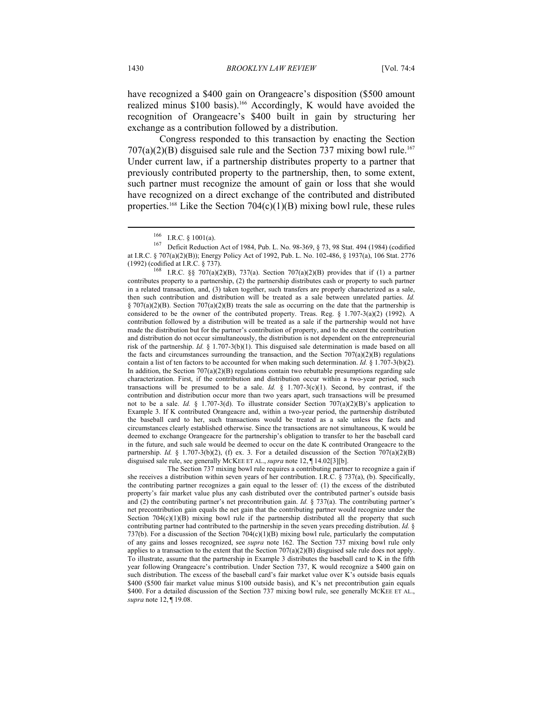have recognized a \$400 gain on Orangeacre's disposition (\$500 amount realized minus \$100 basis).<sup>166</sup> Accordingly, K would have avoided the recognition of Orangeacre's \$400 built in gain by structuring her exchange as a contribution followed by a distribution.

Congress responded to this transaction by enacting the Section  $707(a)(2)(B)$  disguised sale rule and the Section 737 mixing bowl rule.<sup>167</sup> Under current law, if a partnership distributes property to a partner that previously contributed property to the partnership, then, to some extent, such partner must recognize the amount of gain or loss that she would have recognized on a direct exchange of the contributed and distributed properties.<sup>168</sup> Like the Section  $704(c)(1)(B)$  mixing bowl rule, these rules

contributes property to a partnership, (2) the partnership distributes cash or property to such partner in a related transaction, and, (3) taken together, such transfers are properly characterized as a sale, then such contribution and distribution will be treated as a sale between unrelated parties. *Id.*  $\S 707(a)(2)(B)$ . Section 707(a)(2)(B) treats the sale as occurring on the date that the partnership is considered to be the owner of the contributed property. Treas. Reg.  $\S$  1.707-3(a)(2) (1992). A contribution followed by a distribution will be treated as a sale if the partnership would not have made the distribution but for the partner's contribution of property, and to the extent the contribution and distribution do not occur simultaneously, the distribution is not dependent on the entrepreneurial risk of the partnership. *Id.* § 1.707-3(b)(1). This disguised sale determination is made based on all the facts and circumstances surrounding the transaction, and the Section  $707(a)(2)(B)$  regulations contain a list of ten factors to be accounted for when making such determination. *Id.* § 1.707-3(b)(2). In addition, the Section  $707(a)(2)(B)$  regulations contain two rebuttable presumptions regarding sale characterization. First, if the contribution and distribution occur within a two-year period, such transactions will be presumed to be a sale. *Id.*  $\frac{8}{3}$  1.707-3(c)(1). Second, by contrast, if the contribution and distribution occur more than two years apart, such transactions will be presumed not to be a sale. *Id.* § 1.707-3(d). To illustrate consider Section 707(a)(2)(B)'s application to Example 3. If K contributed Orangeacre and, within a two-year period, the partnership distributed the baseball card to her, such transactions would be treated as a sale unless the facts and circumstances clearly established otherwise. Since the transactions are not simultaneous, K would be deemed to exchange Orangeacre for the partnership's obligation to transfer to her the baseball card in the future, and such sale would be deemed to occur on the date K contributed Orangeacre to the partnership. *Id.* § 1.707-3(b)(2), (f) ex. 3. For a detailed discussion of the Section  $707(a)(2)(B)$ disguised sale rule, see generally MCKEE ET AL., *supra* note 12, ¶ 14.02[3][b].

 The Section 737 mixing bowl rule requires a contributing partner to recognize a gain if she receives a distribution within seven years of her contribution. I.R.C. § 737(a), (b). Specifically, the contributing partner recognizes a gain equal to the lesser of: (1) the excess of the distributed property's fair market value plus any cash distributed over the contributed partner's outside basis and (2) the contributing partner's net precontribution gain. *Id.* § 737(a). The contributing partner's net precontribution gain equals the net gain that the contributing partner would recognize under the Section  $704(c)(1)(B)$  mixing bowl rule if the partnership distributed all the property that such contributing partner had contributed to the partnership in the seven years preceding distribution. *Id.* § 737(b). For a discussion of the Section  $704(c)(1)(B)$  mixing bowl rule, particularly the computation of any gains and losses recognized, see *supra* note 162. The Section 737 mixing bowl rule only applies to a transaction to the extent that the Section  $707(a)(2)(B)$  disguised sale rule does not apply. To illustrate, assume that the partnership in Example 3 distributes the baseball card to K in the fifth year following Orangeacre's contribution. Under Section 737, K would recognize a \$400 gain on such distribution. The excess of the baseball card's fair market value over K's outside basis equals \$400 (\$500 fair market value minus \$100 outside basis), and K's net precontribution gain equals \$400. For a detailed discussion of the Section 737 mixing bowl rule, see generally MCKEE ET AL., *supra* note 12, ¶ 19.08.

<sup>166</sup> I.R.C. § 1001(a).<br><sup>167</sup> Deficit Reduction Act of 1984, Pub. L. No. 98-369, § 73, 98 Stat. 494 (1984) (codified at I.R.C. § 707(a)(2)(B)); Energy Policy Act of 1992, Pub. L. No. 102-486, § 1937(a), 106 Stat. 2776 (1992) (codified at I.R.C. § 737).<br><sup>168</sup> I.R.C. §§ 707(a)(2)(B), 737(a). Section 707(a)(2)(B) provides that if (1) a partner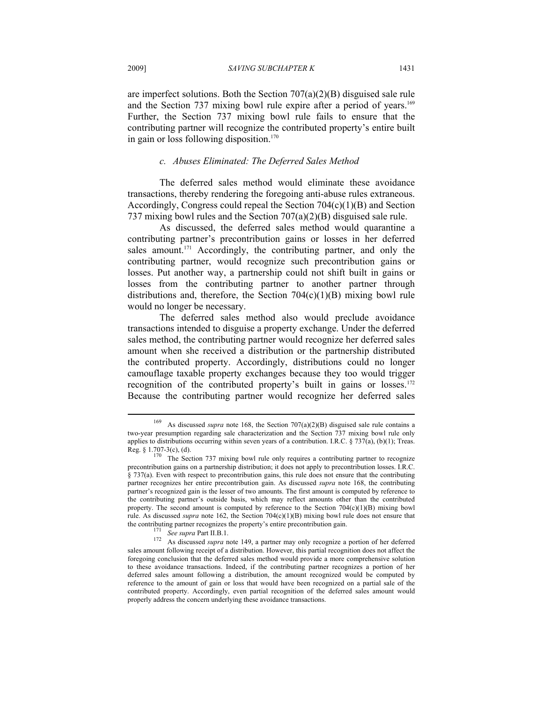are imperfect solutions. Both the Section  $707(a)(2)(B)$  disguised sale rule and the Section 737 mixing bowl rule expire after a period of years.<sup>169</sup> Further, the Section 737 mixing bowl rule fails to ensure that the contributing partner will recognize the contributed property's entire built in gain or loss following disposition.<sup>170</sup>

# *c. Abuses Eliminated: The Deferred Sales Method*

The deferred sales method would eliminate these avoidance transactions, thereby rendering the foregoing anti-abuse rules extraneous. Accordingly, Congress could repeal the Section  $704(c)(1)(B)$  and Section 737 mixing bowl rules and the Section 707(a)(2)(B) disguised sale rule.

As discussed, the deferred sales method would quarantine a contributing partner's precontribution gains or losses in her deferred sales amount.<sup>171</sup> Accordingly, the contributing partner, and only the contributing partner, would recognize such precontribution gains or losses. Put another way, a partnership could not shift built in gains or losses from the contributing partner to another partner through distributions and, therefore, the Section  $704(c)(1)(B)$  mixing bowl rule would no longer be necessary.

The deferred sales method also would preclude avoidance transactions intended to disguise a property exchange. Under the deferred sales method, the contributing partner would recognize her deferred sales amount when she received a distribution or the partnership distributed the contributed property. Accordingly, distributions could no longer camouflage taxable property exchanges because they too would trigger recognition of the contributed property's built in gains or losses.<sup>172</sup> Because the contributing partner would recognize her deferred sales

As discussed *supra* note 168, the Section 707(a)(2)(B) disguised sale rule contains a two-year presumption regarding sale characterization and the Section 737 mixing bowl rule only applies to distributions occurring within seven years of a contribution. I.R.C.  $\S$  737(a), (b)(1); Treas.

Reg. § 1.707-3(c), (d). 170 The Section 737 mixing bowl rule only requires a contributing partner to recognize precontribution gains on a partnership distribution; it does not apply to precontribution losses. I.R.C. § 737(a). Even with respect to precontribution gains, this rule does not ensure that the contributing partner recognizes her entire precontribution gain. As discussed *supra* note 168, the contributing partner's recognized gain is the lesser of two amounts. The first amount is computed by reference to the contributing partner's outside basis, which may reflect amounts other than the contributed property. The second amount is computed by reference to the Section  $704(c)(1)(B)$  mixing bowl rule. As discussed *supra* note 162, the Section 704(c)(1)(B) mixing bowl rule does not ensure that

the contributing partner recognizes the property's entire precontribution gain.<br><sup>171</sup> *See supra* Part II.B.1.<br><sup>172</sup> As discussed *supra* note 149, a partner may only recognize a portion of her deferred sales amount following receipt of a distribution. However, this partial recognition does not affect the foregoing conclusion that the deferred sales method would provide a more comprehensive solution to these avoidance transactions. Indeed, if the contributing partner recognizes a portion of her deferred sales amount following a distribution, the amount recognized would be computed by reference to the amount of gain or loss that would have been recognized on a partial sale of the contributed property. Accordingly, even partial recognition of the deferred sales amount would properly address the concern underlying these avoidance transactions.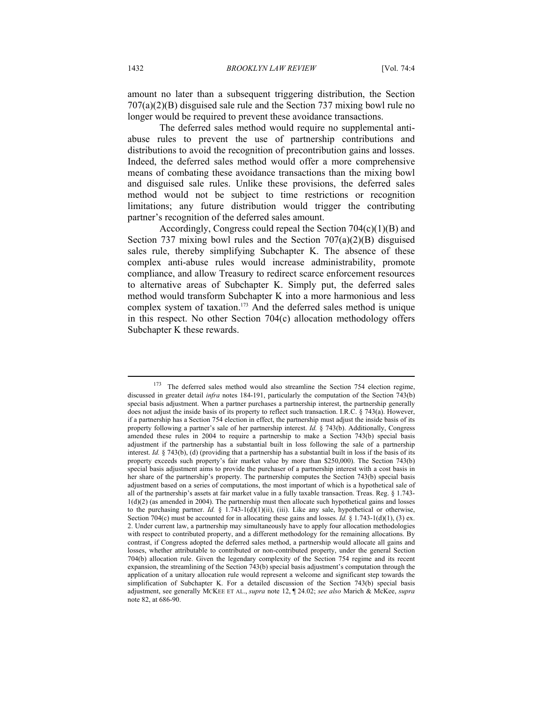amount no later than a subsequent triggering distribution, the Section 707(a)(2)(B) disguised sale rule and the Section 737 mixing bowl rule no longer would be required to prevent these avoidance transactions.

The deferred sales method would require no supplemental antiabuse rules to prevent the use of partnership contributions and distributions to avoid the recognition of precontribution gains and losses. Indeed, the deferred sales method would offer a more comprehensive means of combating these avoidance transactions than the mixing bowl and disguised sale rules. Unlike these provisions, the deferred sales method would not be subject to time restrictions or recognition limitations; any future distribution would trigger the contributing partner's recognition of the deferred sales amount.

Accordingly, Congress could repeal the Section  $704(c)(1)(B)$  and Section 737 mixing bowl rules and the Section 707(a)(2)(B) disguised sales rule, thereby simplifying Subchapter K. The absence of these complex anti-abuse rules would increase administrability, promote compliance, and allow Treasury to redirect scarce enforcement resources to alternative areas of Subchapter K. Simply put, the deferred sales method would transform Subchapter K into a more harmonious and less complex system of taxation.<sup>173</sup> And the deferred sales method is unique in this respect. No other Section 704(c) allocation methodology offers Subchapter K these rewards.

<sup>173</sup> The deferred sales method would also streamline the Section 754 election regime, discussed in greater detail *infra* notes 184-191, particularly the computation of the Section 743(b) special basis adjustment. When a partner purchases a partnership interest, the partnership generally does not adjust the inside basis of its property to reflect such transaction. I.R.C. § 743(a). However, if a partnership has a Section 754 election in effect, the partnership must adjust the inside basis of its property following a partner's sale of her partnership interest. *Id.* § 743(b). Additionally, Congress amended these rules in 2004 to require a partnership to make a Section 743(b) special basis adjustment if the partnership has a substantial built in loss following the sale of a partnership interest. *Id.* § 743(b), (d) (providing that a partnership has a substantial built in loss if the basis of its property exceeds such property's fair market value by more than \$250,000). The Section 743(b) special basis adjustment aims to provide the purchaser of a partnership interest with a cost basis in her share of the partnership's property. The partnership computes the Section 743(b) special basis adjustment based on a series of computations, the most important of which is a hypothetical sale of all of the partnership's assets at fair market value in a fully taxable transaction. Treas. Reg. § 1.743-  $1(d)(2)$  (as amended in 2004). The partnership must then allocate such hypothetical gains and losses to the purchasing partner. *Id.* § 1.743-1(d)(1)(ii), (iii). Like any sale, hypothetical or otherwise, Section 704(c) must be accounted for in allocating these gains and losses. *Id.* § 1.743-1(d)(1), (3) ex. 2. Under current law, a partnership may simultaneously have to apply four allocation methodologies with respect to contributed property, and a different methodology for the remaining allocations. By contrast, if Congress adopted the deferred sales method, a partnership would allocate all gains and losses, whether attributable to contributed or non-contributed property, under the general Section 704(b) allocation rule. Given the legendary complexity of the Section 754 regime and its recent expansion, the streamlining of the Section 743(b) special basis adjustment's computation through the application of a unitary allocation rule would represent a welcome and significant step towards the simplification of Subchapter K. For a detailed discussion of the Section 743(b) special basis adjustment, see generally MCKEE ET AL., *supra* note 12, ¶ 24.02; *see also* Marich & McKee, *supra* note 82, at 686-90.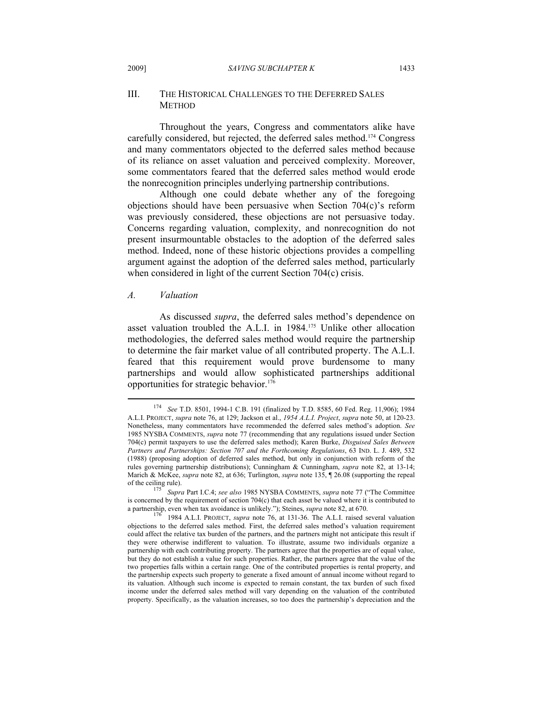#### 2009] *SAVING SUBCHAPTER K* 1433

# III. THE HISTORICAL CHALLENGES TO THE DEFERRED SALES **METHOD**

Throughout the years, Congress and commentators alike have carefully considered, but rejected, the deferred sales method.174 Congress and many commentators objected to the deferred sales method because of its reliance on asset valuation and perceived complexity. Moreover, some commentators feared that the deferred sales method would erode the nonrecognition principles underlying partnership contributions.

Although one could debate whether any of the foregoing objections should have been persuasive when Section 704(c)'s reform was previously considered, these objections are not persuasive today. Concerns regarding valuation, complexity, and nonrecognition do not present insurmountable obstacles to the adoption of the deferred sales method. Indeed, none of these historic objections provides a compelling argument against the adoption of the deferred sales method, particularly when considered in light of the current Section 704(c) crisis.

#### *A. Valuation*

 $\overline{a}$ 

As discussed *supra*, the deferred sales method's dependence on asset valuation troubled the A.L.I. in 1984.175 Unlike other allocation methodologies, the deferred sales method would require the partnership to determine the fair market value of all contributed property. The A.L.I. feared that this requirement would prove burdensome to many partnerships and would allow sophisticated partnerships additional opportunities for strategic behavior.176

<sup>174</sup> *See* T.D. 8501, 1994-1 C.B. 191 (finalized by T.D. 8585, 60 Fed. Reg. 11,906); 1984 A.L.I. PROJECT, *supra* note 76, at 129; Jackson et al., *1954 A.L.I. Project*, *supra* note 50, at 120-23. Nonetheless, many commentators have recommended the deferred sales method's adoption. *See* 1985 NYSBA COMMENTS, *supra* note 77 (recommending that any regulations issued under Section 704(c) permit taxpayers to use the deferred sales method); Karen Burke, *Disguised Sales Between Partners and Partnerships: Section 707 and the Forthcoming Regulations*, 63 IND. L. J. 489, 532 (1988) (proposing adoption of deferred sales method, but only in conjunction with reform of the rules governing partnership distributions); Cunningham & Cunningham, *supra* note 82, at 13-14; Marich & McKee, *supra* note 82, at 636; Turlington, *supra* note 135, ¶ 26.08 (supporting the repeal of the ceiling rule).<br>
<sup>175</sup> S.

of the ceiling rule). 175 *Supra* Part I.C.4; *see also* <sup>1985</sup> NYSBA COMMENTS, *supra* note 77 ("The Committee is concerned by the requirement of section 704(c) that each asset be valued where it is contributed to a partnership, even when tax avoidance is unlikely."); Steines, *supra* note 82, at 670.

<sup>1984</sup> A.L.I. PROJECT, *supra* note 76, at 131-36. The A.L.I. raised several valuation objections to the deferred sales method. First, the deferred sales method's valuation requirement could affect the relative tax burden of the partners, and the partners might not anticipate this result if they were otherwise indifferent to valuation. To illustrate, assume two individuals organize a partnership with each contributing property. The partners agree that the properties are of equal value, but they do not establish a value for such properties. Rather, the partners agree that the value of the two properties falls within a certain range. One of the contributed properties is rental property, and the partnership expects such property to generate a fixed amount of annual income without regard to its valuation. Although such income is expected to remain constant, the tax burden of such fixed income under the deferred sales method will vary depending on the valuation of the contributed property. Specifically, as the valuation increases, so too does the partnership's depreciation and the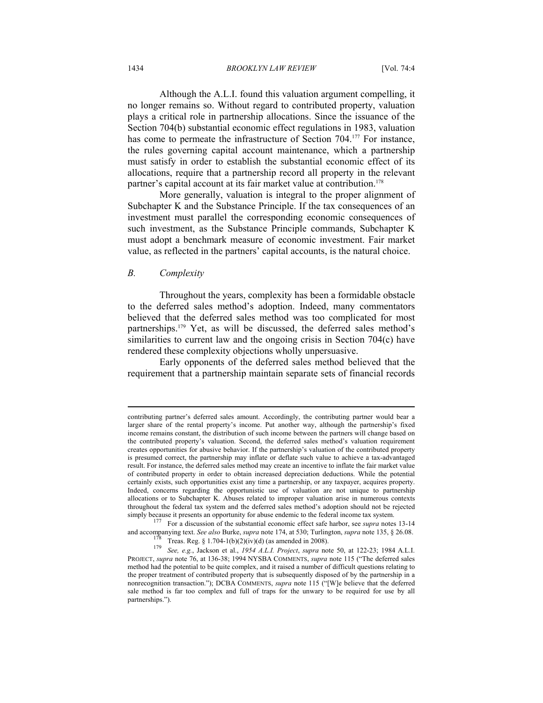Although the A.L.I. found this valuation argument compelling, it no longer remains so. Without regard to contributed property, valuation plays a critical role in partnership allocations. Since the issuance of the Section 704(b) substantial economic effect regulations in 1983, valuation has come to permeate the infrastructure of Section 704.<sup>177</sup> For instance, the rules governing capital account maintenance, which a partnership must satisfy in order to establish the substantial economic effect of its allocations, require that a partnership record all property in the relevant partner's capital account at its fair market value at contribution.<sup>178</sup>

More generally, valuation is integral to the proper alignment of Subchapter K and the Substance Principle. If the tax consequences of an investment must parallel the corresponding economic consequences of such investment, as the Substance Principle commands, Subchapter K must adopt a benchmark measure of economic investment. Fair market value, as reflected in the partners' capital accounts, is the natural choice.

### *B. Complexity*

 $\overline{a}$ 

Throughout the years, complexity has been a formidable obstacle to the deferred sales method's adoption. Indeed, many commentators believed that the deferred sales method was too complicated for most partnerships.179 Yet, as will be discussed, the deferred sales method's similarities to current law and the ongoing crisis in Section 704(c) have rendered these complexity objections wholly unpersuasive.

Early opponents of the deferred sales method believed that the requirement that a partnership maintain separate sets of financial records

contributing partner's deferred sales amount. Accordingly, the contributing partner would bear a larger share of the rental property's income. Put another way, although the partnership's fixed income remains constant, the distribution of such income between the partners will change based on the contributed property's valuation. Second, the deferred sales method's valuation requirement creates opportunities for abusive behavior. If the partnership's valuation of the contributed property is presumed correct, the partnership may inflate or deflate such value to achieve a tax-advantaged result. For instance, the deferred sales method may create an incentive to inflate the fair market value of contributed property in order to obtain increased depreciation deductions. While the potential certainly exists, such opportunities exist any time a partnership, or any taxpayer, acquires property. Indeed, concerns regarding the opportunistic use of valuation are not unique to partnership allocations or to Subchapter K. Abuses related to improper valuation arise in numerous contexts throughout the federal tax system and the deferred sales method's adoption should not be rejected simply because it presents an opportunity for abuse endemic to the federal income tax system.<br><sup>177</sup> For a discussion of the substantial economic effect safe harbor, see *supra* notes 13-14

and accompanying text. See also Burke, *supra* note 174, at 530; Turlington, *supra* note 135, § 26.08.<br>
Treas. Reg. § 1.704-1(b)(2)(iv)(d) (as amended in 2008).<br> *See, e.g.*, Jackson et al., 1954 A.L.I. Project, *supra*

PROJECT, *supra* note 76, at 136-38; 1994 NYSBA COMMENTS, *supra* note 115 ("The deferred sales method had the potential to be quite complex, and it raised a number of difficult questions relating to the proper treatment of contributed property that is subsequently disposed of by the partnership in a nonrecognition transaction."); DCBA COMMENTS, *supra* note 115 ("[W]e believe that the deferred sale method is far too complex and full of traps for the unwary to be required for use by all partnerships.").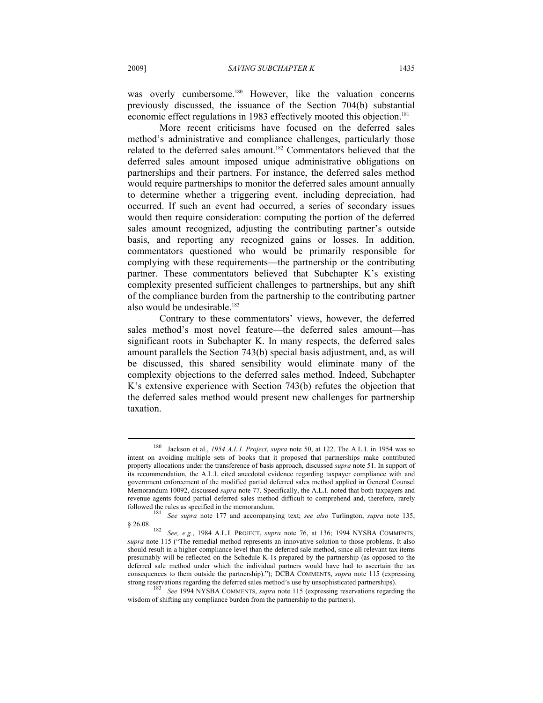was overly cumbersome.<sup>180</sup> However, like the valuation concerns previously discussed, the issuance of the Section 704(b) substantial economic effect regulations in 1983 effectively mooted this objection.<sup>181</sup>

More recent criticisms have focused on the deferred sales method's administrative and compliance challenges, particularly those related to the deferred sales amount.182 Commentators believed that the deferred sales amount imposed unique administrative obligations on partnerships and their partners. For instance, the deferred sales method would require partnerships to monitor the deferred sales amount annually to determine whether a triggering event, including depreciation, had occurred. If such an event had occurred, a series of secondary issues would then require consideration: computing the portion of the deferred sales amount recognized, adjusting the contributing partner's outside basis, and reporting any recognized gains or losses. In addition, commentators questioned who would be primarily responsible for complying with these requirements—the partnership or the contributing partner. These commentators believed that Subchapter K's existing complexity presented sufficient challenges to partnerships, but any shift of the compliance burden from the partnership to the contributing partner also would be undesirable.<sup>183</sup>

Contrary to these commentators' views, however, the deferred sales method's most novel feature—the deferred sales amount—has significant roots in Subchapter K. In many respects, the deferred sales amount parallels the Section 743(b) special basis adjustment, and, as will be discussed, this shared sensibility would eliminate many of the complexity objections to the deferred sales method. Indeed, Subchapter K's extensive experience with Section 743(b) refutes the objection that the deferred sales method would present new challenges for partnership taxation.

<sup>180</sup> Jackson et al., *1954 A.L.I. Project*, *supra* note 50, at 122. The A.L.I. in 1954 was so intent on avoiding multiple sets of books that it proposed that partnerships make contributed property allocations under the transference of basis approach, discussed *supra* note 51. In support of its recommendation, the A.L.I. cited anecdotal evidence regarding taxpayer compliance with and government enforcement of the modified partial deferred sales method applied in General Counsel Memorandum 10092, discussed *supra* note 77. Specifically, the A.L.I. noted that both taxpayers and revenue agents found partial deferred sales method difficult to comprehend and, therefore, rarely

<sup>&</sup>lt;sup>181</sup> See supra note 177 and accompanying text; see also Turlington, *supra* note 135,

<sup>§ 26.08. 182</sup> *See, e.g.*, 1984 A.L.I. PROJECT, *supra* note 76, at 136; <sup>1994</sup> NYSBA COMMENTS, *supra* note 115 ("The remedial method represents an innovative solution to those problems. It also should result in a higher compliance level than the deferred sale method, since all relevant tax items presumably will be reflected on the Schedule K-1s prepared by the partnership (as opposed to the deferred sale method under which the individual partners would have had to ascertain the tax consequences to them outside the partnership)."); DCBA COMMENTS, *supra* note 115 (expressing strong reservations regarding the deferred sales method's use by unsophisticated partnerships). 183 *See* <sup>1994</sup> NYSBA COMMENTS, *supra* note 115 (expressing reservations regarding the

wisdom of shifting any compliance burden from the partnership to the partners).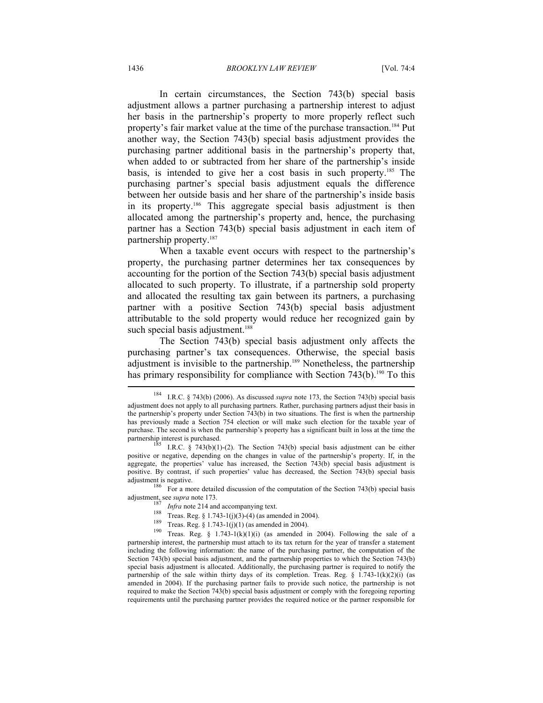In certain circumstances, the Section 743(b) special basis adjustment allows a partner purchasing a partnership interest to adjust her basis in the partnership's property to more properly reflect such property's fair market value at the time of the purchase transaction.184 Put another way, the Section 743(b) special basis adjustment provides the purchasing partner additional basis in the partnership's property that, when added to or subtracted from her share of the partnership's inside basis, is intended to give her a cost basis in such property.<sup>185</sup> The purchasing partner's special basis adjustment equals the difference between her outside basis and her share of the partnership's inside basis in its property.186 This aggregate special basis adjustment is then allocated among the partnership's property and, hence, the purchasing partner has a Section 743(b) special basis adjustment in each item of partnership property.187

When a taxable event occurs with respect to the partnership's property, the purchasing partner determines her tax consequences by accounting for the portion of the Section 743(b) special basis adjustment allocated to such property. To illustrate, if a partnership sold property and allocated the resulting tax gain between its partners, a purchasing partner with a positive Section 743(b) special basis adjustment attributable to the sold property would reduce her recognized gain by such special basis adjustment.<sup>188</sup>

The Section 743(b) special basis adjustment only affects the purchasing partner's tax consequences. Otherwise, the special basis adjustment is invisible to the partnership.189 Nonetheless, the partnership has primary responsibility for compliance with Section  $743(b)$ .<sup>190</sup> To this

adjustment is negative.<br><sup>186</sup> For a more detailed discussion of the computation of the Section 743(b) special basis adjustment, see *supra* note 173.

<sup>187</sup> Infra note 214 and accompanying text.<br><sup>188</sup> Treas. Reg. § 1.743-1(j)(3)-(4) (as amended in 2004).<br><sup>189</sup> Treas. Reg. § 1.743-1(j)(1) (as amended in 2004).<br><sup>190</sup> Treas. Reg. § 1.743-1(k)(1)(i) (as amended in 2004). Fo partnership interest, the partnership must attach to its tax return for the year of transfer a statement including the following information: the name of the purchasing partner, the computation of the Section 743(b) special basis adjustment, and the partnership properties to which the Section 743(b) special basis adjustment is allocated. Additionally, the purchasing partner is required to notify the partnership of the sale within thirty days of its completion. Treas. Reg. § 1.743-1(k)(2)(i) (as amended in 2004). If the purchasing partner fails to provide such notice, the partnership is not required to make the Section 743(b) special basis adjustment or comply with the foregoing reporting requirements until the purchasing partner provides the required notice or the partner responsible for

<sup>184</sup> I.R.C. § 743(b) (2006). As discussed *supra* note 173, the Section 743(b) special basis adjustment does not apply to all purchasing partners. Rather, purchasing partners adjust their basis in the partnership's property under Section 743(b) in two situations. The first is when the partnership has previously made a Section 754 election or will make such election for the taxable year of purchase. The second is when the partnership's property has a significant built in loss at the time the partnership interest is purchased.<br><sup>185</sup> I.R.C. § 743(b)(1)-(2). The Section 743(b) special basis adjustment can be either

positive or negative, depending on the changes in value of the partnership's property. If, in the aggregate, the properties' value has increased, the Section 743(b) special basis adjustment is positive. By contrast, if such properties' value has decreased, the Section 743(b) special basis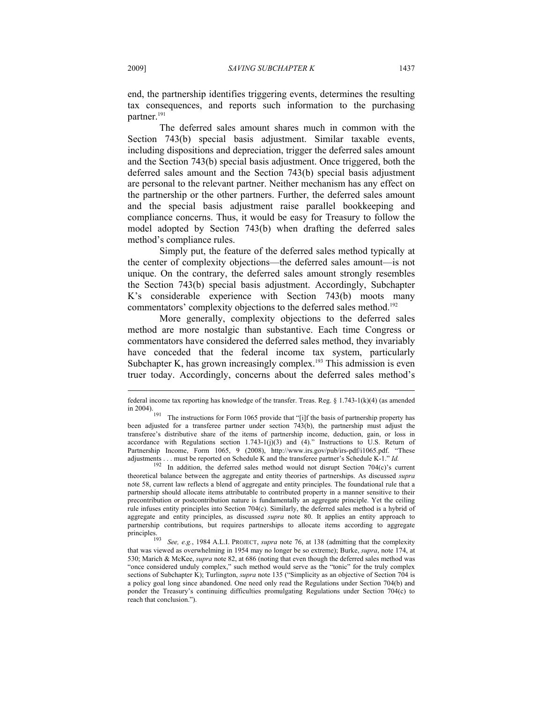end, the partnership identifies triggering events, determines the resulting tax consequences, and reports such information to the purchasing partner.<sup>191</sup>

The deferred sales amount shares much in common with the Section 743(b) special basis adjustment. Similar taxable events, including dispositions and depreciation, trigger the deferred sales amount and the Section 743(b) special basis adjustment. Once triggered, both the deferred sales amount and the Section 743(b) special basis adjustment are personal to the relevant partner. Neither mechanism has any effect on the partnership or the other partners. Further, the deferred sales amount and the special basis adjustment raise parallel bookkeeping and compliance concerns. Thus, it would be easy for Treasury to follow the model adopted by Section 743(b) when drafting the deferred sales method's compliance rules.

Simply put, the feature of the deferred sales method typically at the center of complexity objections—the deferred sales amount—is not unique. On the contrary, the deferred sales amount strongly resembles the Section 743(b) special basis adjustment. Accordingly, Subchapter K's considerable experience with Section 743(b) moots many commentators' complexity objections to the deferred sales method.<sup>192</sup>

More generally, complexity objections to the deferred sales method are more nostalgic than substantive. Each time Congress or commentators have considered the deferred sales method, they invariably have conceded that the federal income tax system, particularly Subchapter K, has grown increasingly complex.<sup>193</sup> This admission is even truer today. Accordingly, concerns about the deferred sales method's

adjustments . . . must be reported on Schedule K and the transferee partner's Schedule K-1." *Id.* In addition, the deferred sales method would not disrupt Section 704(c)'s current theoretical balance between the aggregate and entity theories of partnerships. As discussed *supra* note 58, current law reflects a blend of aggregate and entity principles. The foundational rule that a partnership should allocate items attributable to contributed property in a manner sensitive to their precontribution or postcontribution nature is fundamentally an aggregate principle. Yet the ceiling rule infuses entity principles into Section 704(c). Similarly, the deferred sales method is a hybrid of aggregate and entity principles, as discussed *supra* note 80. It applies an entity approach to partnership contributions, but requires partnerships to allocate items according to aggregate principles.<br><sup>193</sup> See, e.g., 1984 A.L.I. PROJECT, *supra* note 76, at 138 (admitting that the complexity

federal income tax reporting has knowledge of the transfer. Treas. Reg. § 1.743-1(k)(4) (as amended in 2004).

The instructions for Form 1065 provide that "[i]f the basis of partnership property has been adjusted for a transferee partner under section 743(b), the partnership must adjust the transferee's distributive share of the items of partnership income, deduction, gain, or loss in accordance with Regulations section  $1.743$ -1(j)(3) and (4)." Instructions to U.S. Return of Partnership Income, Form 1065, 9 (2008), http://www.irs.gov/pub/irs-pdf/i1065.pdf. "These

that was viewed as overwhelming in 1954 may no longer be so extreme); Burke, *supra*, note 174, at 530; Marich & McKee, *supra* note 82, at 686 (noting that even though the deferred sales method was "once considered unduly complex," such method would serve as the "tonic" for the truly complex sections of Subchapter K); Turlington, *supra* note 135 ("Simplicity as an objective of Section 704 is a policy goal long since abandoned. One need only read the Regulations under Section 704(b) and ponder the Treasury's continuing difficulties promulgating Regulations under Section 704(c) to reach that conclusion.").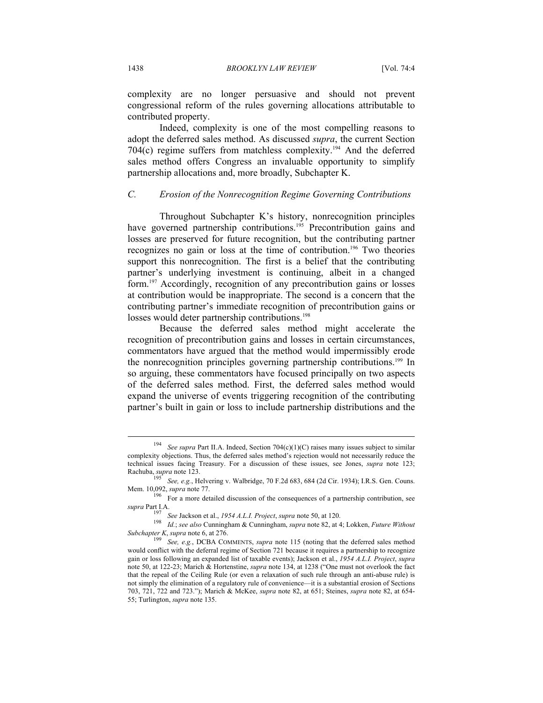complexity are no longer persuasive and should not prevent congressional reform of the rules governing allocations attributable to contributed property.

Indeed, complexity is one of the most compelling reasons to adopt the deferred sales method. As discussed *supra*, the current Section 704(c) regime suffers from matchless complexity.<sup>194</sup> And the deferred sales method offers Congress an invaluable opportunity to simplify partnership allocations and, more broadly, Subchapter K.

# *C. Erosion of the Nonrecognition Regime Governing Contributions*

Throughout Subchapter K's history, nonrecognition principles have governed partnership contributions.<sup>195</sup> Precontribution gains and losses are preserved for future recognition, but the contributing partner recognizes no gain or loss at the time of contribution.196 Two theories support this nonrecognition. The first is a belief that the contributing partner's underlying investment is continuing, albeit in a changed form.<sup>197</sup> Accordingly, recognition of any precontribution gains or losses at contribution would be inappropriate. The second is a concern that the contributing partner's immediate recognition of precontribution gains or losses would deter partnership contributions.<sup>198</sup>

Because the deferred sales method might accelerate the recognition of precontribution gains and losses in certain circumstances, commentators have argued that the method would impermissibly erode the nonrecognition principles governing partnership contributions.199 In so arguing, these commentators have focused principally on two aspects of the deferred sales method. First, the deferred sales method would expand the universe of events triggering recognition of the contributing partner's built in gain or loss to include partnership distributions and the

See supra Part II.A. Indeed, Section 704(c)(1)(C) raises many issues subject to similar complexity objections. Thus, the deferred sales method's rejection would not necessarily reduce the technical issues facing Treasury. For a discussion of these issues, see Jones, *supra* note 123;

Rachuba, *supra* note 123.<br><sup>195</sup> See, e.g., Helvering v. Walbridge, 70 F.2d 683, 684 (2d Cir. 1934); I.R.S. Gen. Couns.<br>Mem. 10,092, *supra* note 77.

<sup>&</sup>lt;sup>196</sup> For a more detailed discussion of the consequences of a partnership contribution, see *supra* Part I.A.

<sup>&</sup>lt;sup>197</sup> See Jackson et al., 1954 A.L.I. Project, supra note 50, at 120.<br><sup>198</sup> Id.; see also Cunningham & Cunningham, supra note 82, at 4; Lokken, Future Without

*Subchapter K*, *supra* note 6, at 276.<br><sup>199</sup> See, e.g., DCBA COMMENTS, *supra* note 115 (noting that the deferred sales method would conflict with the deferral regime of Section 721 because it requires a partnership to recognize gain or loss following an expanded list of taxable events); Jackson et al., *1954 A.L.I. Project*, *supra* note 50, at 122-23; Marich & Hortenstine, *supra* note 134, at 1238 ("One must not overlook the fact that the repeal of the Ceiling Rule (or even a relaxation of such rule through an anti-abuse rule) is not simply the elimination of a regulatory rule of convenience—it is a substantial erosion of Sections 703, 721, 722 and 723."); Marich & McKee, *supra* note 82, at 651; Steines, *supra* note 82, at 654- 55; Turlington, *supra* note 135.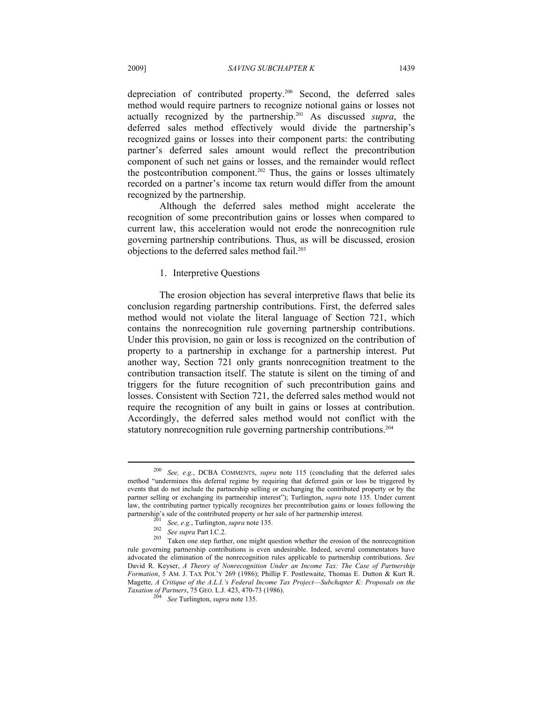depreciation of contributed property.200 Second, the deferred sales method would require partners to recognize notional gains or losses not actually recognized by the partnership.201 As discussed *supra*, the deferred sales method effectively would divide the partnership's recognized gains or losses into their component parts: the contributing partner's deferred sales amount would reflect the precontribution component of such net gains or losses, and the remainder would reflect the postcontribution component.<sup>202</sup> Thus, the gains or losses ultimately recorded on a partner's income tax return would differ from the amount recognized by the partnership.

Although the deferred sales method might accelerate the recognition of some precontribution gains or losses when compared to current law, this acceleration would not erode the nonrecognition rule governing partnership contributions. Thus, as will be discussed, erosion objections to the deferred sales method fail.<sup>203</sup>

### 1. Interpretive Questions

The erosion objection has several interpretive flaws that belie its conclusion regarding partnership contributions. First, the deferred sales method would not violate the literal language of Section 721, which contains the nonrecognition rule governing partnership contributions. Under this provision, no gain or loss is recognized on the contribution of property to a partnership in exchange for a partnership interest. Put another way, Section 721 only grants nonrecognition treatment to the contribution transaction itself. The statute is silent on the timing of and triggers for the future recognition of such precontribution gains and losses. Consistent with Section 721, the deferred sales method would not require the recognition of any built in gains or losses at contribution. Accordingly, the deferred sales method would not conflict with the statutory nonrecognition rule governing partnership contributions.<sup>204</sup>

<sup>200</sup> *See, e.g.*, DCBA COMMENTS, *supra* note 115 (concluding that the deferred sales method "undermines this deferral regime by requiring that deferred gain or loss be triggered by events that do not include the partnership selling or exchanging the contributed property or by the partner selling or exchanging its partnership interest"); Turlington, *supra* note 135. Under current law, the contributing partner typically recognizes her precontribution gains or losses following the partnership's sale of the contributed property or her sale of her partnership interest.

<sup>&</sup>lt;sup>201</sup> See, e.g., Turlington, *supra* note 135.<br><sup>202</sup> See *supra* Part I.C.2.<br><sup>203</sup> Taken one step further, one might question whether the erosion of the nonrecognition rule governing partnership contributions is even undesirable. Indeed, several commentators have advocated the elimination of the nonrecognition rules applicable to partnership contributions. *See*  David R. Keyser, *A Theory of Nonrecognition Under an Income Tax: The Case of Partnership Formation*, 5 AM. J. TAX POL'Y 269 (1986); Phillip F. Postlewaite, Thomas E. Dutton & Kurt R. Magette, *A Critique of the A.L.I.'s Federal Income Tax Project*—*Subchapter K: Proposals on the Taxation of Partners*, 75 GEO. L.J. 423, 470-73 (1986). 204 *See* Turlington, *supra* note 135.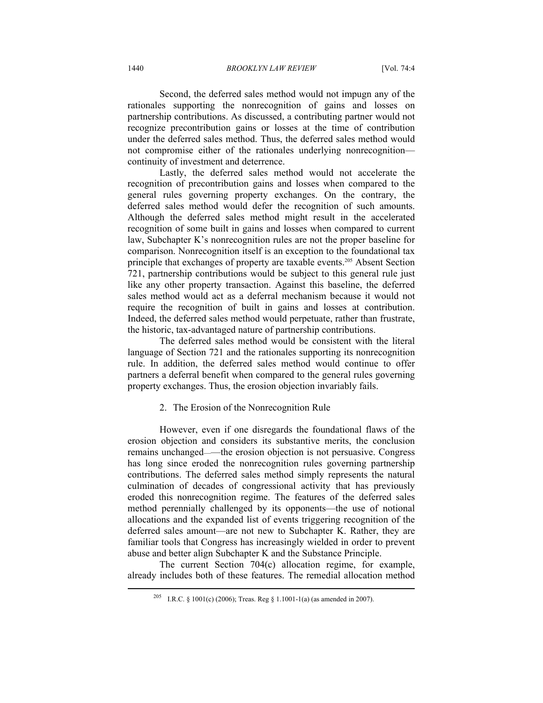1440 *BROOKLYN LAW REVIEW* [Vol. 74:4

Second, the deferred sales method would not impugn any of the rationales supporting the nonrecognition of gains and losses on partnership contributions. As discussed, a contributing partner would not recognize precontribution gains or losses at the time of contribution under the deferred sales method. Thus, the deferred sales method would not compromise either of the rationales underlying nonrecognition continuity of investment and deterrence.

Lastly, the deferred sales method would not accelerate the recognition of precontribution gains and losses when compared to the general rules governing property exchanges. On the contrary, the deferred sales method would defer the recognition of such amounts. Although the deferred sales method might result in the accelerated recognition of some built in gains and losses when compared to current law, Subchapter K's nonrecognition rules are not the proper baseline for comparison. Nonrecognition itself is an exception to the foundational tax principle that exchanges of property are taxable events.<sup>205</sup> Absent Section 721, partnership contributions would be subject to this general rule just like any other property transaction. Against this baseline, the deferred sales method would act as a deferral mechanism because it would not require the recognition of built in gains and losses at contribution. Indeed, the deferred sales method would perpetuate, rather than frustrate, the historic, tax-advantaged nature of partnership contributions.

The deferred sales method would be consistent with the literal language of Section 721 and the rationales supporting its nonrecognition rule. In addition, the deferred sales method would continue to offer partners a deferral benefit when compared to the general rules governing property exchanges. Thus, the erosion objection invariably fails.

#### 2. The Erosion of the Nonrecognition Rule

However, even if one disregards the foundational flaws of the erosion objection and considers its substantive merits, the conclusion remains unchanged——the erosion objection is not persuasive. Congress has long since eroded the nonrecognition rules governing partnership contributions. The deferred sales method simply represents the natural culmination of decades of congressional activity that has previously eroded this nonrecognition regime. The features of the deferred sales method perennially challenged by its opponents—the use of notional allocations and the expanded list of events triggering recognition of the deferred sales amount—are not new to Subchapter K. Rather, they are familiar tools that Congress has increasingly wielded in order to prevent abuse and better align Subchapter K and the Substance Principle.

The current Section 704(c) allocation regime, for example, already includes both of these features. The remedial allocation method

<sup>&</sup>lt;sup>205</sup> I.R.C. § 1001(c) (2006); Treas. Reg § 1.1001-1(a) (as amended in 2007).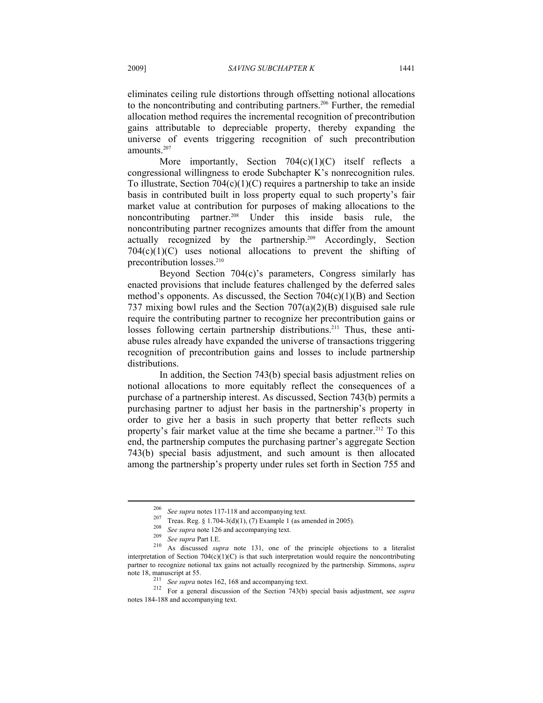eliminates ceiling rule distortions through offsetting notional allocations to the noncontributing and contributing partners.<sup>206</sup> Further, the remedial allocation method requires the incremental recognition of precontribution gains attributable to depreciable property, thereby expanding the universe of events triggering recognition of such precontribution amounts.207

More importantly, Section  $704(c)(1)(C)$  itself reflects a congressional willingness to erode Subchapter K's nonrecognition rules. To illustrate, Section  $704(c)(1)(C)$  requires a partnership to take an inside basis in contributed built in loss property equal to such property's fair market value at contribution for purposes of making allocations to the noncontributing partner.<sup>208</sup> Under this inside basis rule, the noncontributing partner recognizes amounts that differ from the amount actually recognized by the partnership.209 Accordingly, Section  $704(c)(1)(C)$  uses notional allocations to prevent the shifting of precontribution losses.<sup>210</sup>

Beyond Section 704(c)'s parameters, Congress similarly has enacted provisions that include features challenged by the deferred sales method's opponents. As discussed, the Section  $704(c)(1)(B)$  and Section 737 mixing bowl rules and the Section 707(a)(2)(B) disguised sale rule require the contributing partner to recognize her precontribution gains or losses following certain partnership distributions.<sup>211</sup> Thus, these antiabuse rules already have expanded the universe of transactions triggering recognition of precontribution gains and losses to include partnership distributions.

In addition, the Section 743(b) special basis adjustment relies on notional allocations to more equitably reflect the consequences of a purchase of a partnership interest. As discussed, Section 743(b) permits a purchasing partner to adjust her basis in the partnership's property in order to give her a basis in such property that better reflects such property's fair market value at the time she became a partner.<sup>212</sup> To this end, the partnership computes the purchasing partner's aggregate Section 743(b) special basis adjustment, and such amount is then allocated among the partnership's property under rules set forth in Section 755 and

<sup>&</sup>lt;sup>206</sup> See supra notes 117-118 and accompanying text.<br><sup>207</sup> Treas. Reg. § 1.704-3(d)(1), (7) Example 1 (as amended in 2005).<br><sup>208</sup> See supra note 126 and accompanying text.<br><sup>209</sup> See supra Part I.E.<br><sup>210</sup> As discussed *sup* interpretation of Section  $704(c)(1)(C)$  is that such interpretation would require the noncontributing partner to recognize notional tax gains not actually recognized by the partnership. Simmons, *supra*

note 18, manuscript at 55.<br><sup>211</sup> See supra notes 162, 168 and accompanying text.<br><sup>212</sup> For a general discussion of the Section 743(b) special basis adjustment, see *supra* notes 184-188 and accompanying text.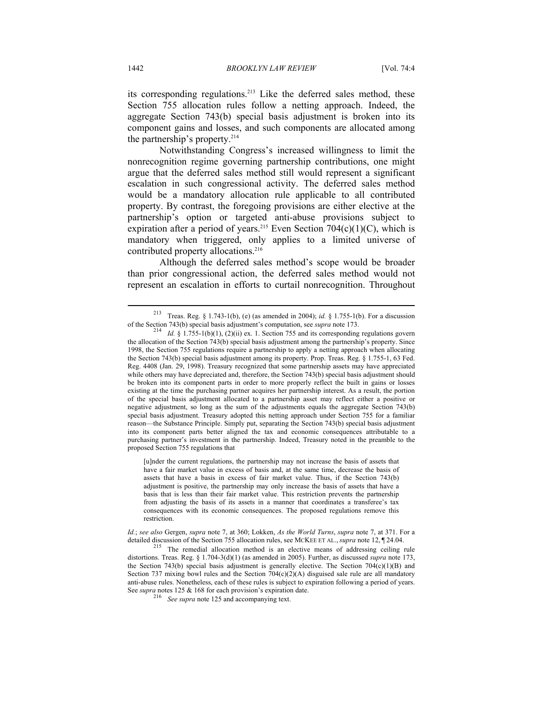its corresponding regulations.<sup>213</sup> Like the deferred sales method, these Section 755 allocation rules follow a netting approach. Indeed, the aggregate Section 743(b) special basis adjustment is broken into its component gains and losses, and such components are allocated among the partnership's property. $214$ 

Notwithstanding Congress's increased willingness to limit the nonrecognition regime governing partnership contributions, one might argue that the deferred sales method still would represent a significant escalation in such congressional activity. The deferred sales method would be a mandatory allocation rule applicable to all contributed property. By contrast, the foregoing provisions are either elective at the partnership's option or targeted anti-abuse provisions subject to expiration after a period of years.<sup>215</sup> Even Section 704(c)(1)(C), which is mandatory when triggered, only applies to a limited universe of contributed property allocations.<sup>216</sup>

Although the deferred sales method's scope would be broader than prior congressional action, the deferred sales method would not represent an escalation in efforts to curtail nonrecognition. Throughout

[u]nder the current regulations, the partnership may not increase the basis of assets that have a fair market value in excess of basis and, at the same time, decrease the basis of assets that have a basis in excess of fair market value. Thus, if the Section 743(b) adjustment is positive, the partnership may only increase the basis of assets that have a basis that is less than their fair market value. This restriction prevents the partnership from adjusting the basis of its assets in a manner that coordinates a transferee's tax consequences with its economic consequences. The proposed regulations remove this restriction.

*Id.*; *see also* Gergen, *supra* note 7, at 360; Lokken, *As the World Turns*, *supra* note 7, at 371. For a detailed discussion of the Section 755 allocation rules, see MCKEE ET AL., *supra* note 12, ¶ 24.04.<br><sup>215</sup> The remedial allocation method is an elective means of addressing ceiling rule

distortions. Treas. Reg. § 1.704-3(d)(1) (as amended in 2005). Further, as discussed *supra* note 173, the Section 743(b) special basis adjustment is generally elective. The Section 704(c)(1)(B) and Section 737 mixing bowl rules and the Section  $704(c)(2)(A)$  disguised sale rule are all mandatory anti-abuse rules. Nonetheless, each of these rules is subject to expiration following a period of years. See *supra* notes 125 & 168 for each provision's expiration date.<br><sup>216</sup> See supra note 125 and accompanying text.

<sup>213</sup> Treas. Reg. § 1.743-1(b), (e) (as amended in 2004); *id.* § 1.755-1(b). For a discussion of the Section 743(b) special basis adjustment's computation, see *supra* note 173.<br><sup>214</sup> *Id.* § 1.755-1(b)(1), (2)(ii) ex. 1. Section 755 and its corresponding regulations govern

the allocation of the Section 743(b) special basis adjustment among the partnership's property. Since 1998, the Section 755 regulations require a partnership to apply a netting approach when allocating the Section 743(b) special basis adjustment among its property. Prop. Treas. Reg. § 1.755-1, 63 Fed. Reg. 4408 (Jan. 29, 1998). Treasury recognized that some partnership assets may have appreciated while others may have depreciated and, therefore, the Section 743(b) special basis adjustment should be broken into its component parts in order to more properly reflect the built in gains or losses existing at the time the purchasing partner acquires her partnership interest. As a result, the portion of the special basis adjustment allocated to a partnership asset may reflect either a positive or negative adjustment, so long as the sum of the adjustments equals the aggregate Section 743(b) special basis adjustment. Treasury adopted this netting approach under Section 755 for a familiar reason—the Substance Principle. Simply put, separating the Section 743(b) special basis adjustment into its component parts better aligned the tax and economic consequences attributable to a purchasing partner's investment in the partnership. Indeed, Treasury noted in the preamble to the proposed Section 755 regulations that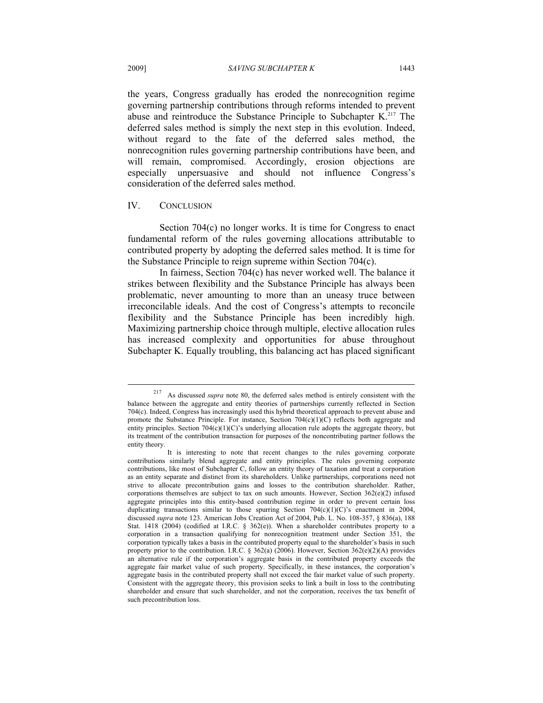the years, Congress gradually has eroded the nonrecognition regime governing partnership contributions through reforms intended to prevent abuse and reintroduce the Substance Principle to Subchapter K.<sup>217</sup> The deferred sales method is simply the next step in this evolution. Indeed, without regard to the fate of the deferred sales method, the nonrecognition rules governing partnership contributions have been, and will remain, compromised. Accordingly, erosion objections are especially unpersuasive and should not influence Congress's consideration of the deferred sales method.

#### IV. CONCLUSION

Section 704(c) no longer works. It is time for Congress to enact fundamental reform of the rules governing allocations attributable to contributed property by adopting the deferred sales method. It is time for the Substance Principle to reign supreme within Section 704(c).

In fairness, Section 704(c) has never worked well. The balance it strikes between flexibility and the Substance Principle has always been problematic, never amounting to more than an uneasy truce between irreconcilable ideals. And the cost of Congress's attempts to reconcile flexibility and the Substance Principle has been incredibly high. Maximizing partnership choice through multiple, elective allocation rules has increased complexity and opportunities for abuse throughout Subchapter K. Equally troubling, this balancing act has placed significant

<sup>217</sup> As discussed *supra* note 80, the deferred sales method is entirely consistent with the balance between the aggregate and entity theories of partnerships currently reflected in Section 704(c). Indeed, Congress has increasingly used this hybrid theoretical approach to prevent abuse and promote the Substance Principle. For instance, Section 704(c)(1)(C) reflects both aggregate and entity principles. Section  $704(c)(1)(C)$ 's underlying allocation rule adopts the aggregate theory, but its treatment of the contribution transaction for purposes of the noncontributing partner follows the entity theory.

It is interesting to note that recent changes to the rules governing corporate contributions similarly blend aggregate and entity principles. The rules governing corporate contributions, like most of Subchapter C, follow an entity theory of taxation and treat a corporation as an entity separate and distinct from its shareholders. Unlike partnerships, corporations need not strive to allocate precontribution gains and losses to the contribution shareholder. Rather, corporations themselves are subject to tax on such amounts. However, Section 362(e)(2) infused aggregate principles into this entity-based contribution regime in order to prevent certain loss duplicating transactions similar to those spurring Section  $704(c)(1)(C)$ 's enactment in 2004, discussed *supra* note 123. American Jobs Creation Act of 2004, Pub. L. No. 108-357, § 836(a), 188 Stat. 1418 (2004) (codified at I.R.C. § 362(e)). When a shareholder contributes property to a corporation in a transaction qualifying for nonrecognition treatment under Section 351, the corporation typically takes a basis in the contributed property equal to the shareholder's basis in such property prior to the contribution. I.R.C. § 362(a) (2006). However, Section 362(e)(2)(A) provides an alternative rule if the corporation's aggregate basis in the contributed property exceeds the aggregate fair market value of such property. Specifically, in these instances, the corporation's aggregate basis in the contributed property shall not exceed the fair market value of such property. Consistent with the aggregate theory, this provision seeks to link a built in loss to the contributing shareholder and ensure that such shareholder, and not the corporation, receives the tax benefit of such precontribution loss.